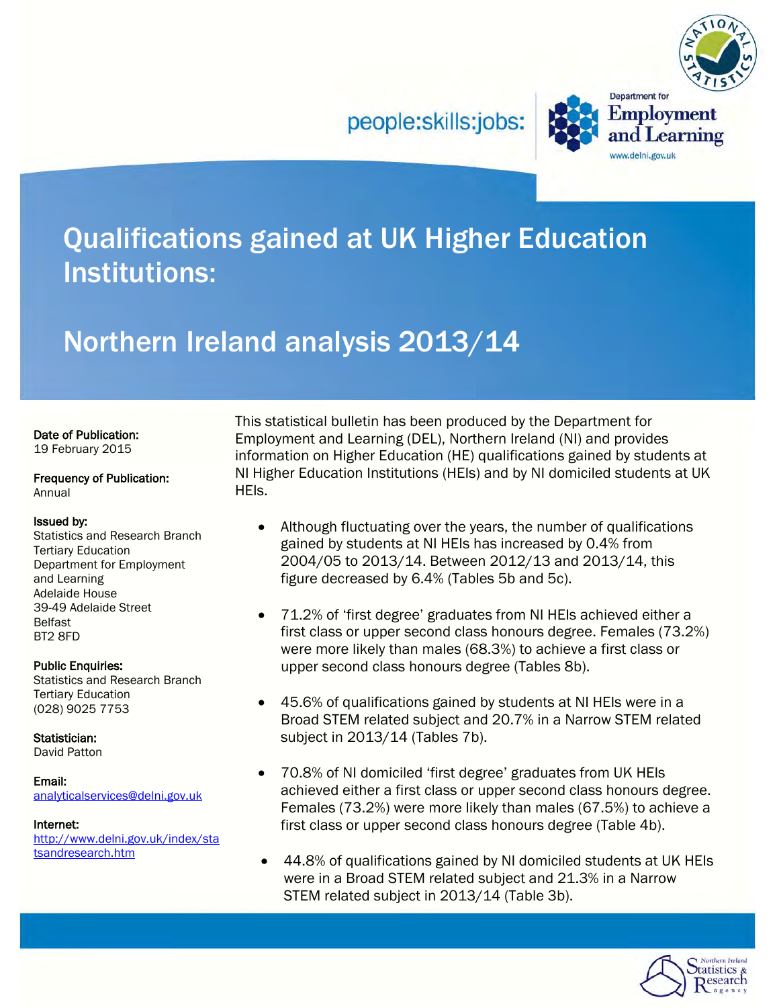people:skills:jobs:



**Department** for

www.delni.gov.uk

**Employment** 

and Learning

## Qualifications gained at UK Higher Education Institutions:

## Northern Ireland analysis 2013/14

### Date of Publication:

19 February 2015

#### Frequency of Publication: Annual

### Issued by:

Statistics and Research Branch Tertiary Education Department for Employment and Learning Adelaide House 39-49 Adelaide Street Belfast BT2 8FD

### Public Enquiries:

Statistics and Research Branch Tertiary Education (028) 9025 7753

Statistician:

David Patton

### Email:

[analyticalservices@delni.gov.uk](mailto:analyticalservices@delni.gov.uk)

<span id="page-0-0"></span>Internet: [http://www.delni.gov.uk/index/sta](http://www.delni.gov.uk/index/statsandresearch.htm) [tsandresearch.htm](http://www.delni.gov.uk/index/statsandresearch.htm)

This statistical bulletin has been produced by the Department for Employment and Learning (DEL), Northern Ireland (NI) and provides information on Higher Education (HE) qualifications gained by students at NI Higher Education Institutions (HEIs) and by NI domiciled students at UK HEIs.

- Although fluctuating over the years, the number of qualifications gained by students at NI HEIs has increased by 0.4% from 2004/05 to 2013/14. Between 2012/13 and 2013/14, this figure decreased by 6.4% (Tables 5b and 5c).
- 71.2% of 'first degree' graduates from NI HEIs achieved either a first class or upper second class honours degree. Females (73.2%) were more likely than males (68.3%) to achieve a first class or upper second class honours degree (Tables 8b).
- 45.6% of qualifications gained by students at NI HEIs were in a Broad STEM related subject and 20.7% in a Narrow STEM related subject in 2013/14 (Tables 7b).
- 70.8% of NI domiciled 'first degree' graduates from UK HEIs achieved either a first class or upper second class honours degree. Females (73.2%) were more likely than males (67.5%) to achieve a first class or upper second class honours degree (Table 4b).
- 44.8% of qualifications gained by NI domiciled students at UK HEIs were in a Broad STEM related subject and 21.3% in a Narrow STEM related subject in 2013/14 (Table 3b).

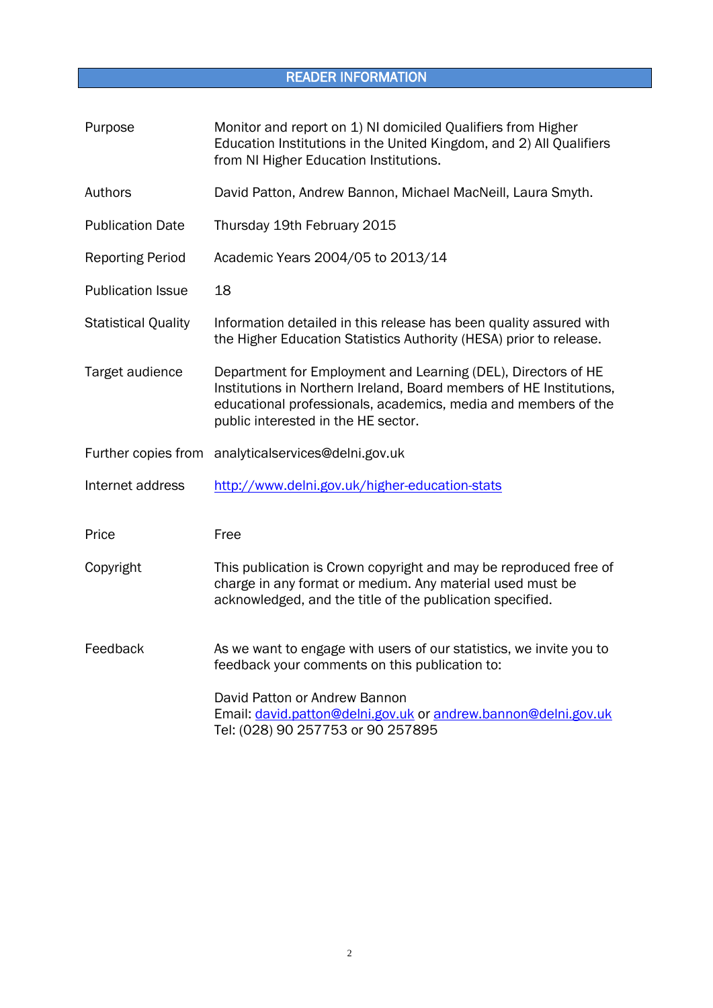## READER INFORMATION

<span id="page-1-0"></span>

| Purpose                    | Monitor and report on 1) NI domiciled Qualifiers from Higher<br>Education Institutions in the United Kingdom, and 2) All Qualifiers<br>from NI Higher Education Institutions.                                                                 |  |  |  |  |  |
|----------------------------|-----------------------------------------------------------------------------------------------------------------------------------------------------------------------------------------------------------------------------------------------|--|--|--|--|--|
| Authors                    | David Patton, Andrew Bannon, Michael MacNeill, Laura Smyth.                                                                                                                                                                                   |  |  |  |  |  |
| <b>Publication Date</b>    | Thursday 19th February 2015                                                                                                                                                                                                                   |  |  |  |  |  |
| <b>Reporting Period</b>    | Academic Years 2004/05 to 2013/14                                                                                                                                                                                                             |  |  |  |  |  |
| <b>Publication Issue</b>   | 18                                                                                                                                                                                                                                            |  |  |  |  |  |
| <b>Statistical Quality</b> | Information detailed in this release has been quality assured with<br>the Higher Education Statistics Authority (HESA) prior to release.                                                                                                      |  |  |  |  |  |
| Target audience            | Department for Employment and Learning (DEL), Directors of HE<br>Institutions in Northern Ireland, Board members of HE Institutions,<br>educational professionals, academics, media and members of the<br>public interested in the HE sector. |  |  |  |  |  |
|                            | Further copies from analyticalservices@delni.gov.uk                                                                                                                                                                                           |  |  |  |  |  |
| Internet address           | http://www.delni.gov.uk/higher-education-stats                                                                                                                                                                                                |  |  |  |  |  |
| Price                      | Free                                                                                                                                                                                                                                          |  |  |  |  |  |
| Copyright                  | This publication is Crown copyright and may be reproduced free of<br>charge in any format or medium. Any material used must be<br>acknowledged, and the title of the publication specified.                                                   |  |  |  |  |  |
| Feedback                   | As we want to engage with users of our statistics, we invite you to<br>feedback your comments on this publication to:                                                                                                                         |  |  |  |  |  |
|                            | David Patton or Andrew Bannon<br>Email: david.patton@delni.gov.uk or andrew.bannon@delni.gov.uk<br>Tel: (028) 90 257753 or 90 257895                                                                                                          |  |  |  |  |  |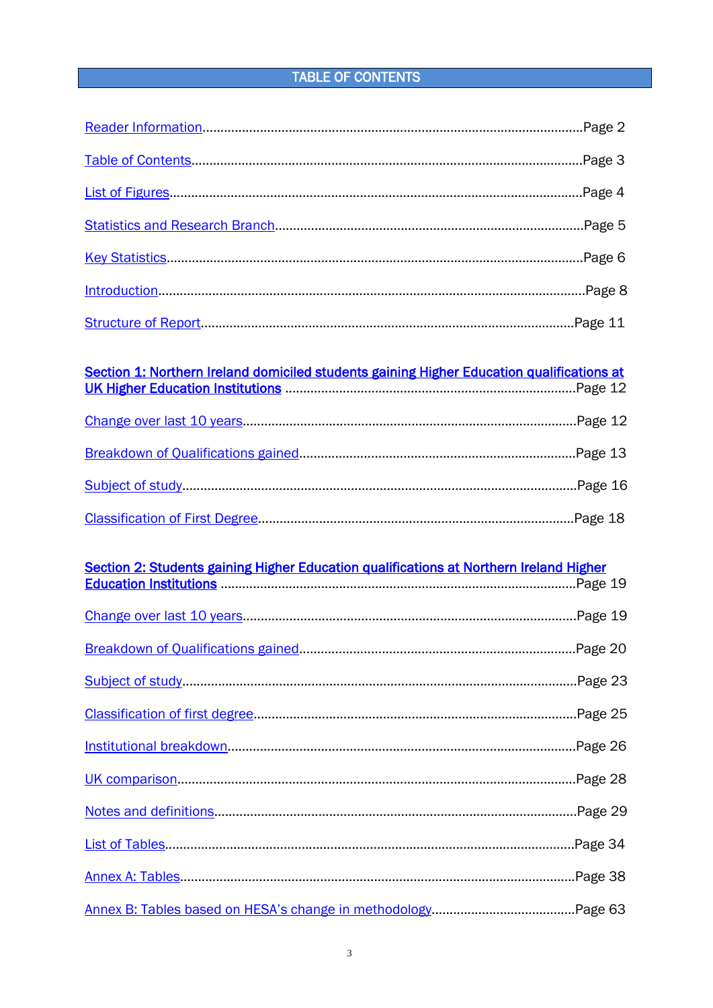### **TABLE OF CONTENTS**

<span id="page-2-0"></span>

# 

## Section 2: Students gaining Higher Education qualifications at Northern Ireland Higher<br>Fducation Institutions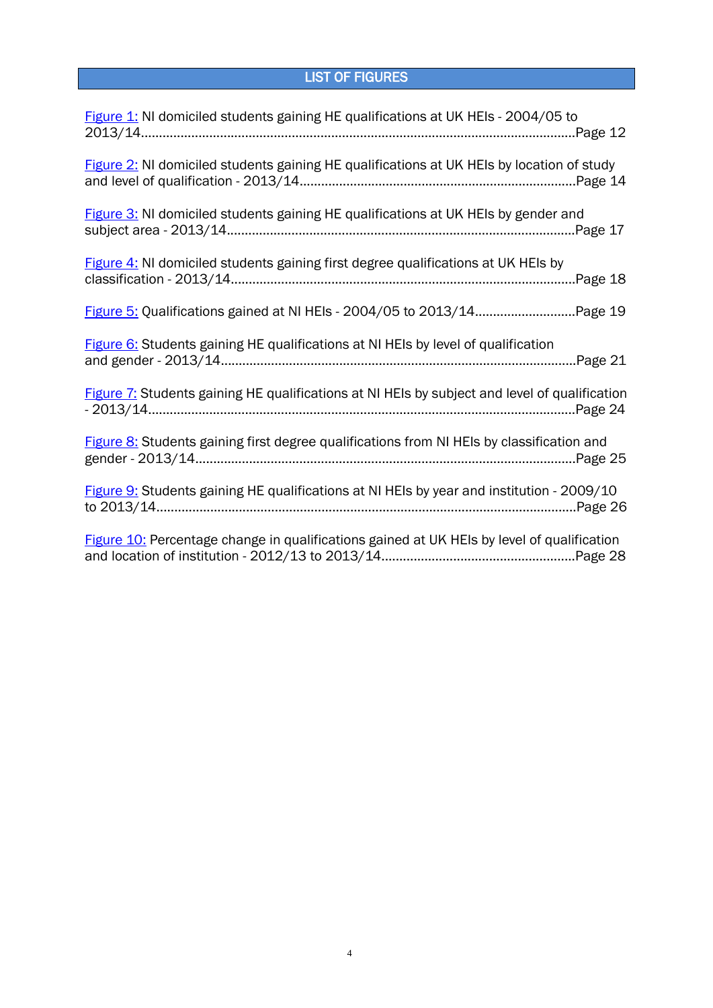## LIST OF FIGURES

<span id="page-3-0"></span>

| Figure 1: NI domiciled students gaining HE qualifications at UK HEIs - 2004/05 to             |
|-----------------------------------------------------------------------------------------------|
| Figure 2: NI domiciled students gaining HE qualifications at UK HEIs by location of study     |
| Figure 3: NI domiciled students gaining HE qualifications at UK HEIs by gender and            |
| Figure 4: NI domiciled students gaining first degree qualifications at UK HEIs by             |
| Figure 5: Qualifications gained at NI HEIs - 2004/05 to 2013/14Page 19                        |
| Figure 6: Students gaining HE qualifications at NI HEIs by level of qualification             |
| Figure 7: Students gaining HE qualifications at NI HEIs by subject and level of qualification |
| Figure 8: Students gaining first degree qualifications from NI HEIs by classification and     |
| Figure 9: Students gaining HE qualifications at NI HEIs by year and institution - 2009/10     |
| Figure 10: Percentage change in qualifications gained at UK HEIs by level of qualification    |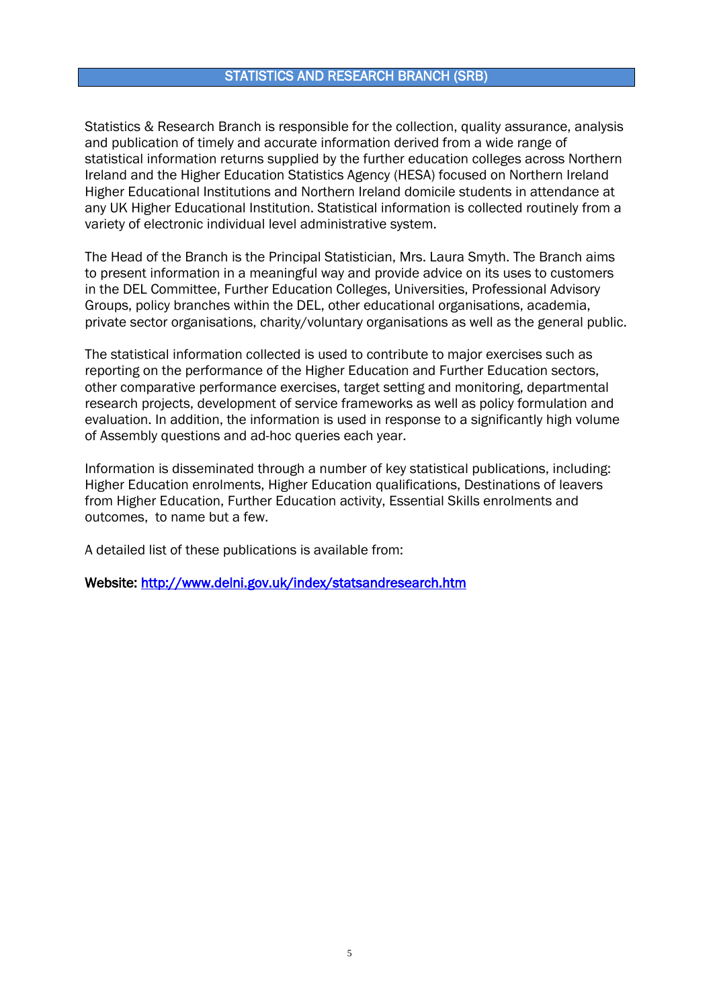### STATISTICS AND RESEARCH BRANCH (SRB)

<span id="page-4-0"></span>Statistics & Research Branch is responsible for the collection, quality assurance, analysis and publication of timely and accurate information derived from a wide range of statistical information returns supplied by the further education colleges across Northern Ireland and the Higher Education Statistics Agency (HESA) focused on Northern Ireland Higher Educational Institutions and Northern Ireland domicile students in attendance at any UK Higher Educational Institution. Statistical information is collected routinely from a variety of electronic individual level administrative system.

The Head of the Branch is the Principal Statistician, Mrs. Laura Smyth. The Branch aims to present information in a meaningful way and provide advice on its uses to customers in the DEL Committee, Further Education Colleges, Universities, Professional Advisory Groups, policy branches within the DEL, other educational organisations, academia, private sector organisations, charity/voluntary organisations as well as the general public.

The statistical information collected is used to contribute to major exercises such as reporting on the performance of the Higher Education and Further Education sectors, other comparative performance exercises, target setting and monitoring, departmental research projects, development of service frameworks as well as policy formulation and evaluation. In addition, the information is used in response to a significantly high volume of Assembly questions and ad-hoc queries each year.

Information is disseminated through a number of key statistical publications, including: Higher Education enrolments, Higher Education qualifications, Destinations of leavers from Higher Education, Further Education activity, Essential Skills enrolments and outcomes, to name but a few.

A detailed list of these publications is available from:

Website:<http://www.delni.gov.uk/index/statsandresearch.htm>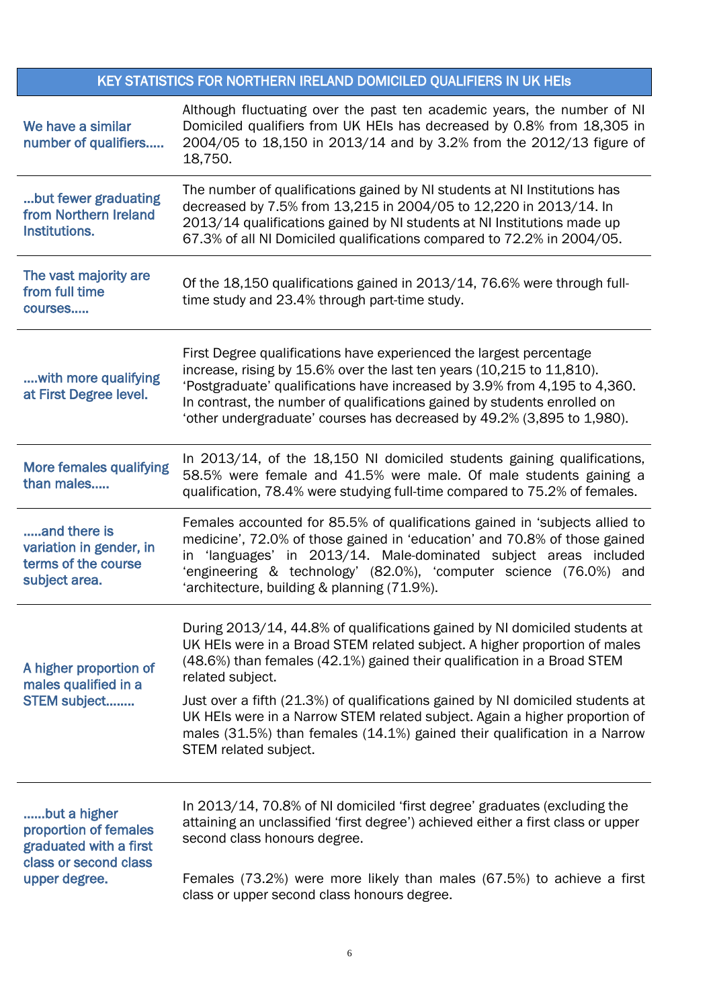## KEY STATISTICS FOR NORTHERN IRELAND DOMICILED QUALIFIERS IN UK HEIs

<span id="page-5-0"></span>

| We have a similar<br>number of qualifiers                                       | Although fluctuating over the past ten academic years, the number of NI<br>Domiciled qualifiers from UK HEIs has decreased by 0.8% from 18,305 in<br>2004/05 to 18,150 in 2013/14 and by 3.2% from the 2012/13 figure of<br>18,750.                                                                                                                                             |
|---------------------------------------------------------------------------------|---------------------------------------------------------------------------------------------------------------------------------------------------------------------------------------------------------------------------------------------------------------------------------------------------------------------------------------------------------------------------------|
| but fewer graduating<br>from Northern Ireland<br>Institutions.                  | The number of qualifications gained by NI students at NI Institutions has<br>decreased by 7.5% from 13,215 in 2004/05 to 12,220 in 2013/14. In<br>2013/14 qualifications gained by NI students at NI Institutions made up<br>67.3% of all NI Domiciled qualifications compared to 72.2% in 2004/05.                                                                             |
| The vast majority are<br>from full time<br>courses                              | Of the 18,150 qualifications gained in 2013/14, 76.6% were through full-<br>time study and 23.4% through part-time study.                                                                                                                                                                                                                                                       |
| with more qualifying<br>at First Degree level.                                  | First Degree qualifications have experienced the largest percentage<br>increase, rising by 15.6% over the last ten years (10,215 to 11,810).<br>'Postgraduate' qualifications have increased by 3.9% from 4,195 to 4,360.<br>In contrast, the number of qualifications gained by students enrolled on<br>'other undergraduate' courses has decreased by 49.2% (3,895 to 1,980). |
| <b>More females qualifying</b><br>than males                                    | In 2013/14, of the 18,150 NI domiciled students gaining qualifications,<br>58.5% were female and 41.5% were male. Of male students gaining a<br>qualification, 78.4% were studying full-time compared to 75.2% of females.                                                                                                                                                      |
| and there is<br>variation in gender, in<br>terms of the course<br>subject area. | Females accounted for 85.5% of qualifications gained in 'subjects allied to<br>medicine', 72.0% of those gained in 'education' and 70.8% of those gained<br>'languages' in 2013/14. Male-dominated subject areas included<br>in.<br>'engineering & technology' (82.0%), 'computer science (76.0%) and<br>'architecture, building & planning (71.9%).                            |
| A higher proportion of<br>males qualified in a                                  | During 2013/14, 44.8% of qualifications gained by NI domiciled students at<br>UK HEIs were in a Broad STEM related subject. A higher proportion of males<br>(48.6%) than females (42.1%) gained their qualification in a Broad STEM<br>related subject.                                                                                                                         |
| STEM subject                                                                    | Just over a fifth (21.3%) of qualifications gained by NI domiciled students at<br>UK HEIs were in a Narrow STEM related subject. Again a higher proportion of<br>males (31.5%) than females (14.1%) gained their qualification in a Narrow<br>STEM related subject.                                                                                                             |
| but a higher<br>proportion of females<br>graduated with a first                 | In 2013/14, 70.8% of NI domiciled 'first degree' graduates (excluding the<br>attaining an unclassified 'first degree') achieved either a first class or upper<br>second class honours degree.                                                                                                                                                                                   |
| class or second class<br>upper degree.                                          | Females (73.2%) were more likely than males (67.5%) to achieve a first<br>class or upper second class honours degree.                                                                                                                                                                                                                                                           |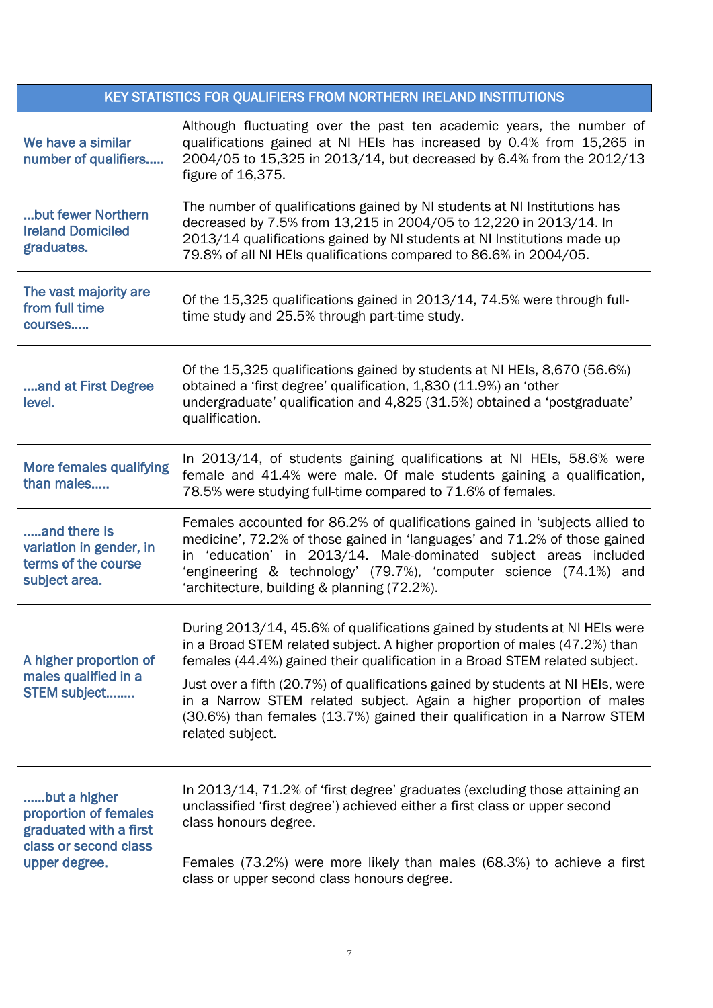## KEY STATISTICS FOR QUALIFIERS FROM NORTHERN IRELAND INSTITUTIONS

| We have a similar<br>number of qualifiers                                                | Although fluctuating over the past ten academic years, the number of<br>qualifications gained at NI HEIs has increased by 0.4% from 15,265 in<br>2004/05 to 15,325 in 2013/14, but decreased by 6.4% from the 2012/13<br>figure of 16,375.                                                                                                       |  |  |  |  |  |  |  |
|------------------------------------------------------------------------------------------|--------------------------------------------------------------------------------------------------------------------------------------------------------------------------------------------------------------------------------------------------------------------------------------------------------------------------------------------------|--|--|--|--|--|--|--|
| but fewer Northern<br><b>Ireland Domiciled</b><br>graduates.                             | The number of qualifications gained by NI students at NI Institutions has<br>decreased by 7.5% from 13,215 in 2004/05 to 12,220 in 2013/14. In<br>2013/14 qualifications gained by NI students at NI Institutions made up<br>79.8% of all NI HEIs qualifications compared to 86.6% in 2004/05.                                                   |  |  |  |  |  |  |  |
| The vast majority are<br>from full time<br>courses                                       | Of the 15,325 qualifications gained in 2013/14, 74.5% were through full-<br>time study and 25.5% through part-time study.                                                                                                                                                                                                                        |  |  |  |  |  |  |  |
| and at First Degree<br>level.                                                            | Of the 15,325 qualifications gained by students at NI HEIs, 8,670 (56.6%)<br>obtained a 'first degree' qualification, 1,830 (11.9%) an 'other<br>undergraduate' qualification and 4,825 (31.5%) obtained a 'postgraduate'<br>qualification.                                                                                                      |  |  |  |  |  |  |  |
| <b>More females qualifying</b><br>than males                                             | In 2013/14, of students gaining qualifications at NI HEIs, 58.6% were<br>female and 41.4% were male. Of male students gaining a qualification,<br>78.5% were studying full-time compared to 71.6% of females.                                                                                                                                    |  |  |  |  |  |  |  |
| and there is<br>variation in gender, in<br>terms of the course<br>subject area.          | Females accounted for 86.2% of qualifications gained in 'subjects allied to<br>medicine', 72.2% of those gained in 'languages' and 71.2% of those gained<br>in 'education' in 2013/14. Male-dominated subject areas included<br>'engineering & technology' (79.7%), 'computer science (74.1%) and<br>'architecture, building & planning (72.2%). |  |  |  |  |  |  |  |
| A higher proportion of                                                                   | During 2013/14, 45.6% of qualifications gained by students at NI HEIs were<br>in a Broad STEM related subject. A higher proportion of males (47.2%) than<br>females (44.4%) gained their qualification in a Broad STEM related subject.                                                                                                          |  |  |  |  |  |  |  |
| males qualified in a<br>STEM subject                                                     | Just over a fifth (20.7%) of qualifications gained by students at NI HEIs, were<br>in a Narrow STEM related subject. Again a higher proportion of males<br>(30.6%) than females (13.7%) gained their qualification in a Narrow STEM<br>related subject.                                                                                          |  |  |  |  |  |  |  |
| but a higher<br>proportion of females<br>graduated with a first<br>class or second class | In 2013/14, 71.2% of 'first degree' graduates (excluding those attaining an<br>unclassified 'first degree') achieved either a first class or upper second<br>class honours degree.                                                                                                                                                               |  |  |  |  |  |  |  |
| upper degree.                                                                            | Females (73.2%) were more likely than males (68.3%) to achieve a first<br>class or upper second class honours degree.                                                                                                                                                                                                                            |  |  |  |  |  |  |  |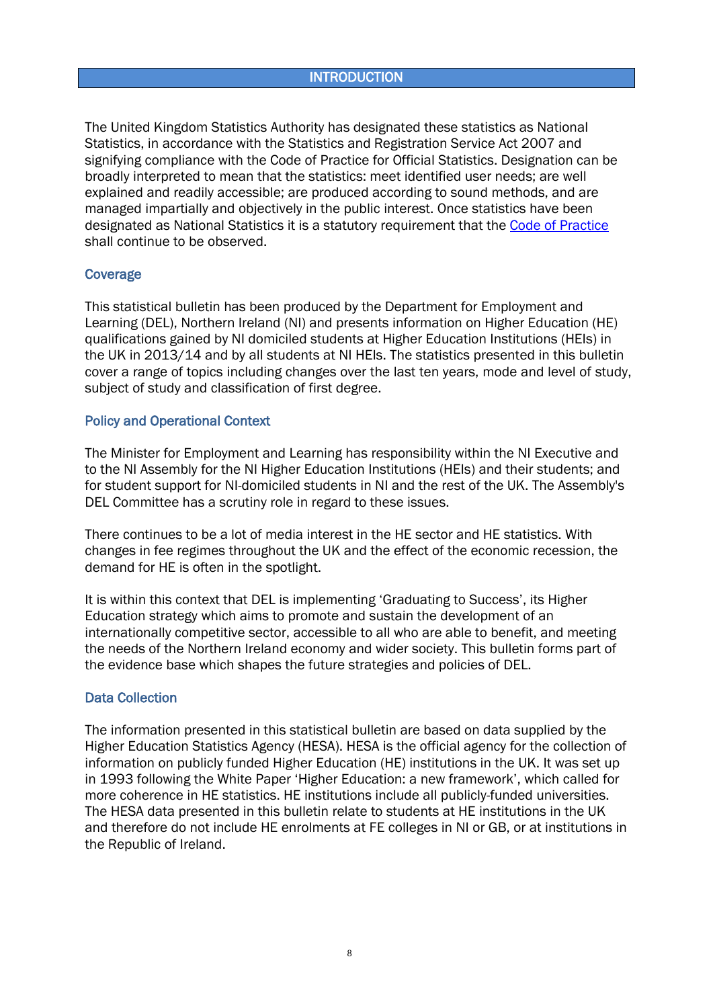### **INTRODUCTION**

<span id="page-7-0"></span>The United Kingdom Statistics Authority has designated these statistics as National Statistics, in accordance with the Statistics and Registration Service Act 2007 and signifying compliance with the Code of Practice for Official Statistics. Designation can be broadly interpreted to mean that the statistics: meet identified user needs; are well explained and readily accessible; are produced according to sound methods, and are managed impartially and objectively in the public interest. Once statistics have been designated as National Statistics it is a statutory requirement that the [Code of Practice](http://www.statisticsauthority.gov.uk/assessment/code-of-practice/) shall continue to be observed.

### **Coverage**

This statistical bulletin has been produced by the Department for Employment and Learning (DEL), Northern Ireland (NI) and presents information on Higher Education (HE) qualifications gained by NI domiciled students at Higher Education Institutions (HEIs) in the UK in 2013/14 and by all students at NI HEIs. The statistics presented in this bulletin cover a range of topics including changes over the last ten years, mode and level of study, subject of study and classification of first degree.

### Policy and Operational Context

The Minister for Employment and Learning has responsibility within the NI Executive and to the NI Assembly for the NI Higher Education Institutions (HEIs) and their students; and for student support for NI-domiciled students in NI and the rest of the UK. The Assembly's DEL Committee has a scrutiny role in regard to these issues.

There continues to be a lot of media interest in the HE sector and HE statistics. With changes in fee regimes throughout the UK and the effect of the economic recession, the demand for HE is often in the spotlight.

It is within this context that DEL is implementing 'Graduating to Success', its Higher Education strategy which aims to promote and sustain the development of an internationally competitive sector, accessible to all who are able to benefit, and meeting the needs of the Northern Ireland economy and wider society. This bulletin forms part of the evidence base which shapes the future strategies and policies of DEL.

### Data Collection

The information presented in this statistical bulletin are based on data supplied by the Higher Education Statistics Agency (HESA). HESA is the official agency for the collection of information on publicly funded Higher Education (HE) institutions in the UK. It was set up in 1993 following the White Paper 'Higher Education: a new framework', which called for more coherence in HE statistics. HE institutions include all publicly-funded universities. The HESA data presented in this bulletin relate to students at HE institutions in the UK and therefore do not include HE enrolments at FE colleges in NI or GB, or at institutions in the Republic of Ireland.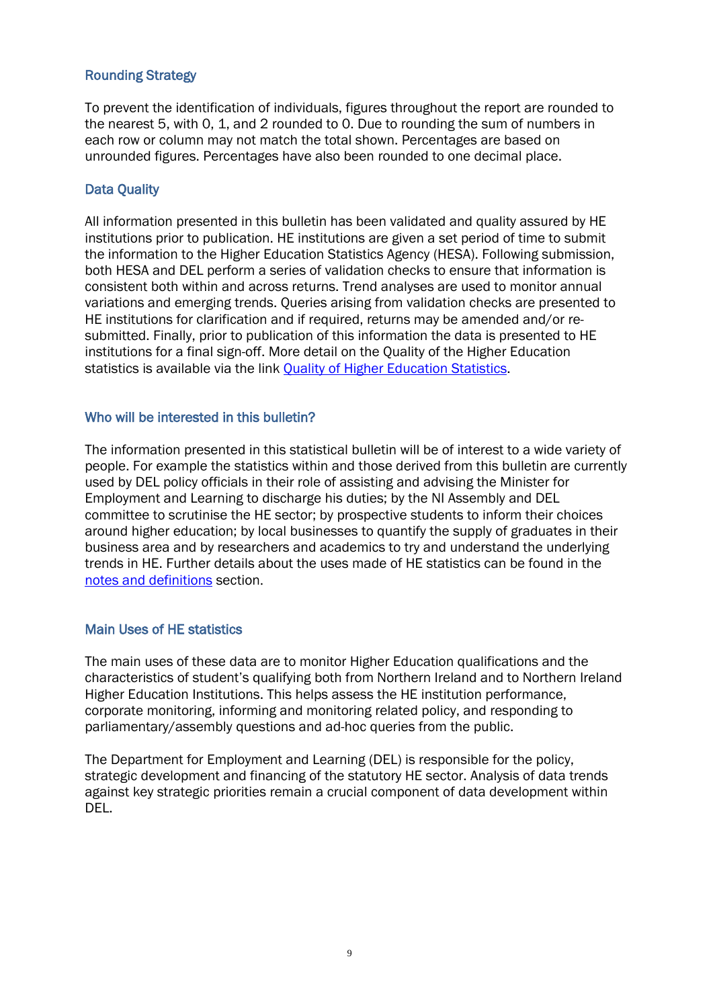### Rounding Strategy

To prevent the identification of individuals, figures throughout the report are rounded to the nearest 5, with 0, 1, and 2 rounded to 0. Due to rounding the sum of numbers in each row or column may not match the total shown. Percentages are based on unrounded figures. Percentages have also been rounded to one decimal place.

### Data Quality

All information presented in this bulletin has been validated and quality assured by HE institutions prior to publication. HE institutions are given a set period of time to submit the information to the Higher Education Statistics Agency (HESA). Following submission, both HESA and DEL perform a series of validation checks to ensure that information is consistent both within and across returns. Trend analyses are used to monitor annual variations and emerging trends. Queries arising from validation checks are presented to HE institutions for clarification and if required, returns may be amended and/or resubmitted. Finally, prior to publication of this information the data is presented to HE institutions for a final sign-off. More detail on the Quality of the Higher Education statistics is available via the link [Quality of Higher Education Statistics.](http://www.delni.gov.uk/index/statsandresearch/higher-education-stats/he-statistical-methods.htm)

### Who will be interested in this bulletin?

The information presented in this statistical bulletin will be of interest to a wide variety of people. For example the statistics within and those derived from this bulletin are currently used by DEL policy officials in their role of assisting and advising the Minister for Employment and Learning to discharge his duties; by the NI Assembly and DEL committee to scrutinise the HE sector; by prospective students to inform their choices around higher education; by local businesses to quantify the supply of graduates in their business area and by researchers and academics to try and understand the underlying trends in HE. Further details about the uses made of HE statistics can be found in the [notes and definitions](#page-28-0) section[.](#page-0-0)

### Main Uses of HE statistics

The main uses of these data are to monitor Higher Education qualifications and the characteristics of student's qualifying both from Northern Ireland and to Northern Ireland Higher Education Institutions. This helps assess the HE institution performance, corporate monitoring, informing and monitoring related policy, and responding to parliamentary/assembly questions and ad-hoc queries from the public.

The Department for Employment and Learning (DEL) is responsible for the policy, strategic development and financing of the statutory HE sector. Analysis of data trends against key strategic priorities remain a crucial component of data development within DEL.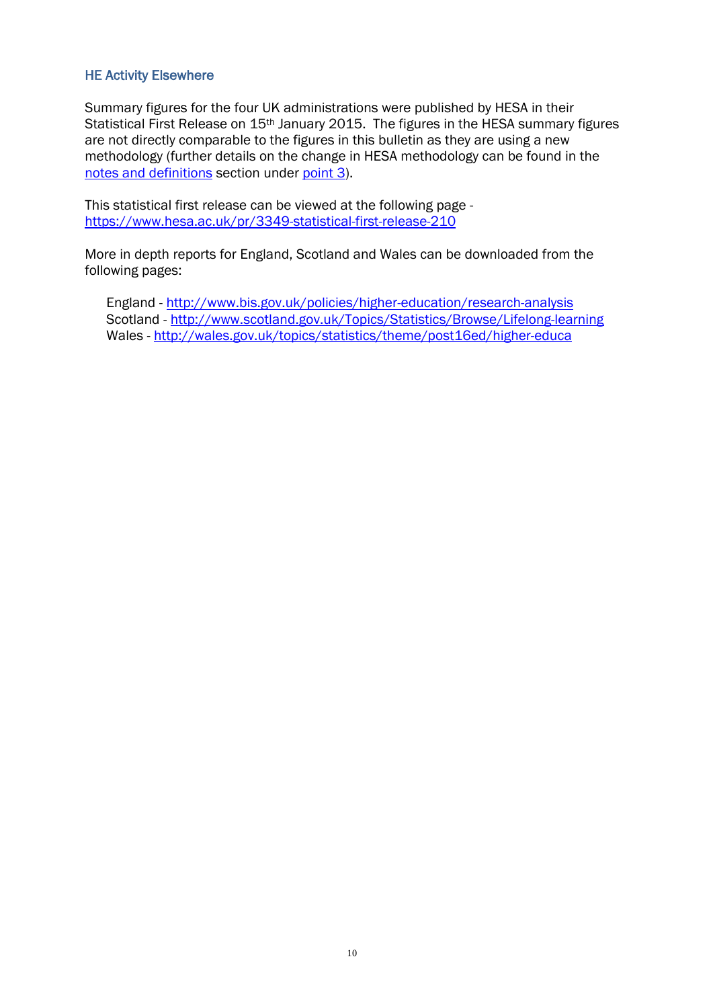### HE Activity Elsewhere

Summary figures for the four UK administrations were published by HESA in their Statistical First Release on 15<sup>th</sup> January 2015. The figures in the HESA summary figures are not directly comparable to the figures in this bulletin as they are using a new methodology (further details on the change in HESA methodology can be found in the [notes and definitions](#page-28-0) section under [point 3\)](#page-28-1).

This statistical first release can be viewed at the following page <https://www.hesa.ac.uk/pr/3349-statistical-first-release-210>

More in depth reports for England, Scotland and Wales can be downloaded from the following pages:

England -<http://www.bis.gov.uk/policies/higher-education/research-analysis> Scotland -<http://www.scotland.gov.uk/Topics/Statistics/Browse/Lifelong-learning> Wales -<http://wales.gov.uk/topics/statistics/theme/post16ed/higher-educa>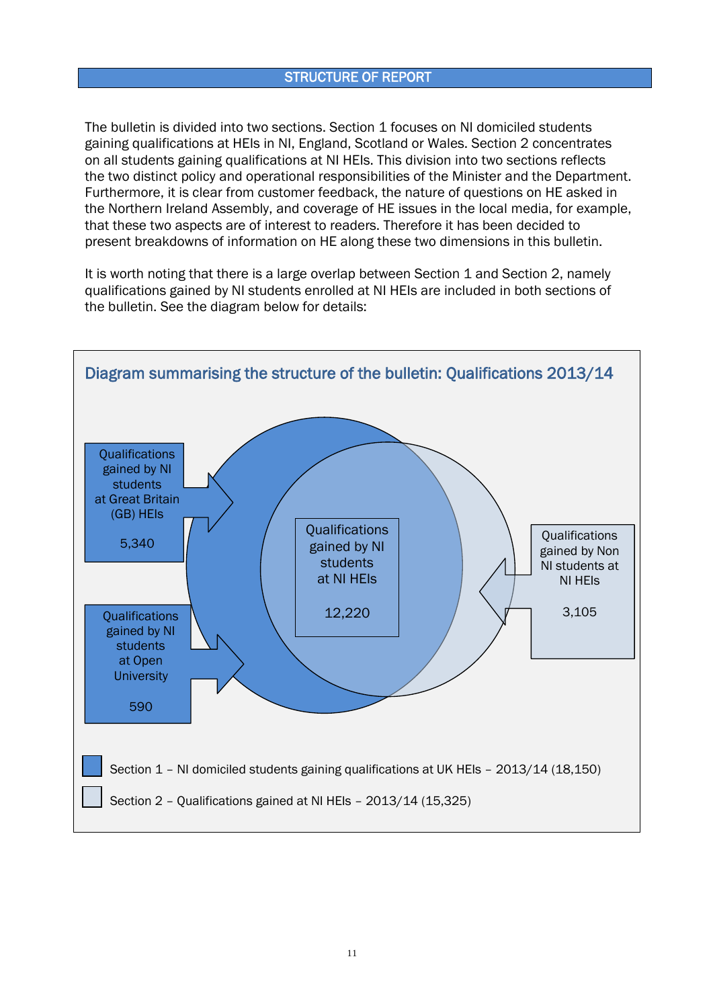### STRUCTURE OF REPORT

<span id="page-10-0"></span>The bulletin is divided into two sections. Section 1 focuses on NI domiciled students gaining qualifications at HEIs in NI, England, Scotland or Wales. Section 2 concentrates on all students gaining qualifications at NI HEIs. This division into two sections reflects the two distinct policy and operational responsibilities of the Minister and the Department. Furthermore, it is clear from customer feedback, the nature of questions on HE asked in the Northern Ireland Assembly, and coverage of HE issues in the local media, for example, that these two aspects are of interest to readers. Therefore it has been decided to present breakdowns of information on HE along these two dimensions in this bulletin.

It is worth noting that there is a large overlap between Section 1 and Section 2, namely qualifications gained by NI students enrolled at NI HEIs are included in both sections of the bulletin. See the diagram below for details:

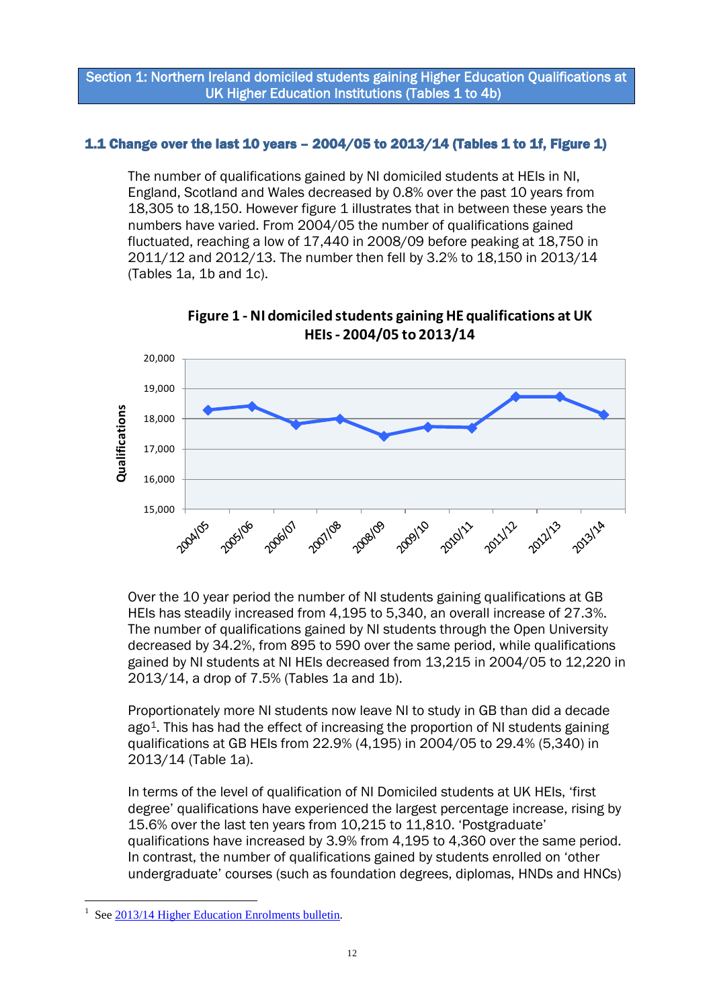Section 1: Northern Ireland domiciled students gaining Higher Education Qualifications at UK Higher Education Institutions (Tables 1 to 4b)

### <span id="page-11-0"></span>1.1 Change over the last 10 years – 2004/05 to 2013/14 (Tables 1 to 1f, Figure 1)

The number of qualifications gained by NI domiciled students at HEIs in NI, England, Scotland and Wales decreased by 0.8% over the past 10 years from 18,305 to 18,150. However figure 1 illustrates that in between these years the numbers have varied. From 2004/05 the number of qualifications gained fluctuated, reaching a low of 17,440 in 2008/09 before peaking at 18,750 in 2011/12 and 2012/13. The number then fell by 3.2% to 18,150 in 2013/14 (Tables 1a, 1b and 1c).

<span id="page-11-1"></span>

**Figure 1 - NI domiciled students gaining HE qualifications at UK HEIs - 2004/05 to 2013/14**

Over the 10 year period the number of NI students gaining qualifications at GB HEIs has steadily increased from 4,195 to 5,340, an overall increase of 27.3%. The number of qualifications gained by NI students through the Open University decreased by 34.2%, from 895 to 590 over the same period, while qualifications gained by NI students at NI HEIs decreased from 13,215 in 2004/05 to 12,220 in 2013/14, a drop of 7.5% (Tables 1a and 1b).

Proportionately more NI students now leave NI to study in GB than did a decade ago<sup>[1](#page-11-2)</sup>. This has had the effect of increasing the proportion of NI students gaining qualifications at GB HEIs from 22.9% (4,195) in 2004/05 to 29.4% (5,340) in 2013/14 (Table 1a).

In terms of the level of qualification of NI Domiciled students at UK HEIs, 'first degree' qualifications have experienced the largest percentage increase, rising by 15.6% over the last ten years from 10,215 to 11,810. 'Postgraduate' qualifications have increased by 3.9% from 4,195 to 4,360 over the same period. In contrast, the number of qualifications gained by students enrolled on 'other undergraduate' courses (such as foundation degrees, diplomas, HNDs and HNCs)

<span id="page-11-2"></span><sup>&</sup>lt;u>.</u> 1 See [2013/14 Higher Education Enrolments bulletin.](http://www.delni.gov.uk/index/statsandresearch/higher-education-stats/he-enrolments-2.htm)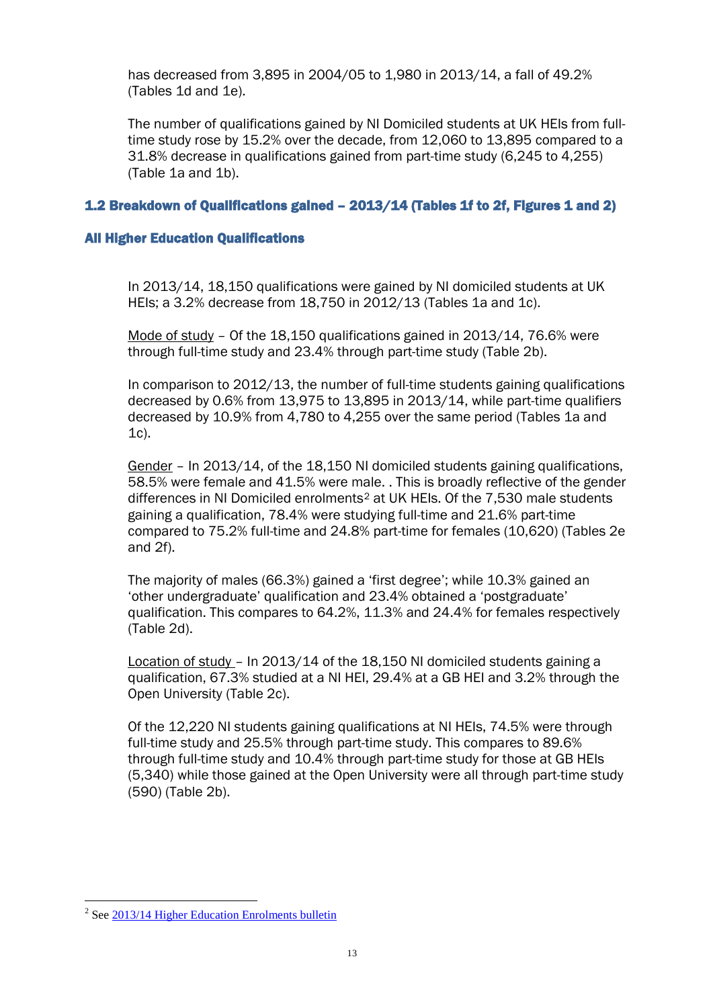has decreased from 3,895 in 2004/05 to 1,980 in 2013/14, a fall of 49.2% (Tables 1d and 1e).

The number of qualifications gained by NI Domiciled students at UK HEIs from fulltime study rose by 15.2% over the decade, from 12,060 to 13,895 compared to a 31.8% decrease in qualifications gained from part-time study (6,245 to 4,255) (Table 1a and 1b).

### <span id="page-12-0"></span>1.2 Breakdown of Qualifications gained – 2013/14 (Tables 1f to 2f, Figures 1 and 2)

### All Higher Education Qualifications

In 2013/14, 18,150 qualifications were gained by NI domiciled students at UK HEIs; a 3.2% decrease from 18,750 in 2012/13 (Tables 1a and 1c).

Mode of study – Of the 18,150 qualifications gained in 2013/14, 76.6% were through full-time study and 23.4% through part-time study (Table 2b).

In comparison to 2012/13, the number of full-time students gaining qualifications decreased by 0.6% from 13,975 to 13,895 in 2013/14, while part-time qualifiers decreased by 10.9% from 4,780 to 4,255 over the same period (Tables 1a and 1c).

Gender – In 2013/14, of the 18,150 NI domiciled students gaining qualifications, 58.5% were female and 41.5% were male. . This is broadly reflective of the gender differences in NI Domiciled enrolments[2](#page-12-1) at UK HEIs. Of the 7,530 male students gaining a qualification, 78.4% were studying full-time and 21.6% part-time compared to 75.2% full-time and 24.8% part-time for females (10,620) (Tables 2e and 2f).

The majority of males (66.3%) gained a 'first degree'; while 10.3% gained an 'other undergraduate' qualification and 23.4% obtained a 'postgraduate' qualification. This compares to 64.2%, 11.3% and 24.4% for females respectively (Table 2d).

Location of study – In 2013/14 of the 18,150 NI domiciled students gaining a qualification, 67.3% studied at a NI HEI, 29.4% at a GB HEI and 3.2% through the Open University (Table 2c).

Of the 12,220 NI students gaining qualifications at NI HEIs, 74.5% were through full-time study and 25.5% through part-time study. This compares to 89.6% through full-time study and 10.4% through part-time study for those at GB HEIs (5,340) while those gained at the Open University were all through part-time study (590) (Table 2b).

<u>.</u>

<span id="page-12-1"></span><sup>&</sup>lt;sup>2</sup> Se[e 2013/14 Higher Education Enrolments bulletin](http://www.delni.gov.uk/index/statsandresearch/higher-education-stats/he-enrolments-2.htm)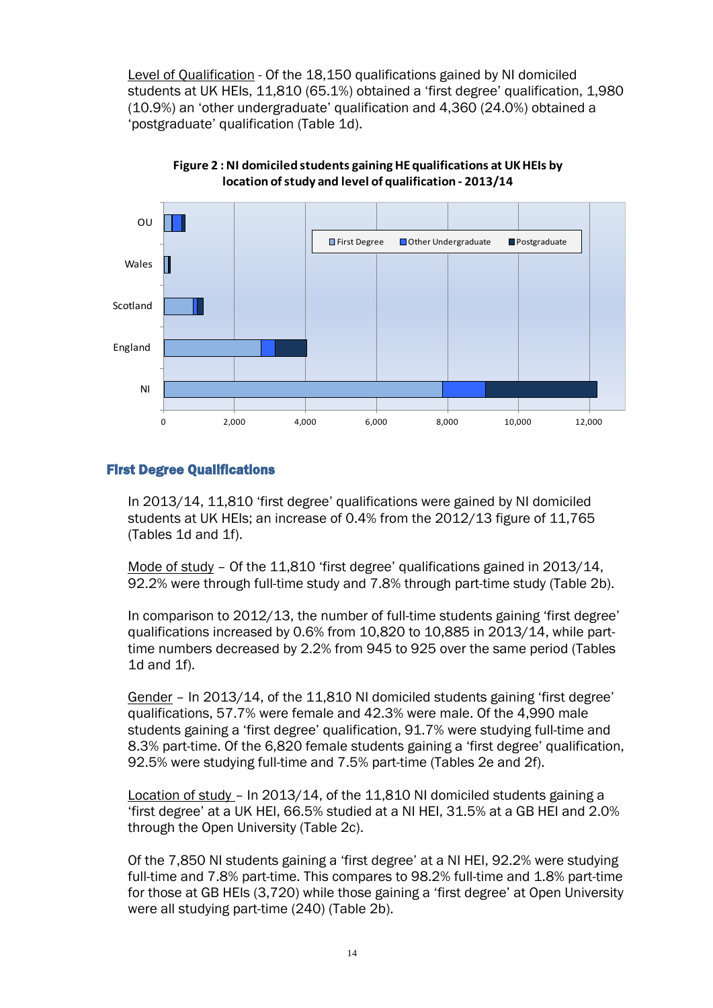Level of Qualification - Of the 18,150 qualifications gained by NI domiciled students at UK HEIs, 11,810 (65.1%) obtained a 'first degree' qualification, 1,980 (10.9%) an 'other undergraduate' qualification and 4,360 (24.0%) obtained a 'postgraduate' qualification (Table 1d).

<span id="page-13-0"></span>



### First Degree Qualifications

In 2013/14, 11,810 'first degree' qualifications were gained by NI domiciled students at UK HEIs; an increase of 0.4% from the 2012/13 figure of 11,765 (Tables 1d and 1f).

Mode of study – Of the 11,810 'first degree' qualifications gained in 2013/14, 92.2% were through full-time study and 7.8% through part-time study (Table 2b).

In comparison to 2012/13, the number of full-time students gaining 'first degree' qualifications increased by 0.6% from 10,820 to 10,885 in 2013/14, while parttime numbers decreased by 2.2% from 945 to 925 over the same period (Tables 1d and 1f).

Gender – In 2013/14, of the 11,810 NI domiciled students gaining 'first degree' qualifications, 57.7% were female and 42.3% were male. Of the 4,990 male students gaining a 'first degree' qualification, 91.7% were studying full-time and 8.3% part-time. Of the 6,820 female students gaining a 'first degree' qualification, 92.5% were studying full-time and 7.5% part-time (Tables 2e and 2f).

Location of study – In 2013/14, of the 11,810 NI domiciled students gaining a 'first degree' at a UK HEI, 66.5% studied at a NI HEI, 31.5% at a GB HEI and 2.0% through the Open University (Table 2c).

Of the 7,850 NI students gaining a 'first degree' at a NI HEI, 92.2% were studying full-time and 7.8% part-time. This compares to 98.2% full-time and 1.8% part-time for those at GB HEIs (3,720) while those gaining a 'first degree' at Open University were all studying part-time (240) (Table 2b).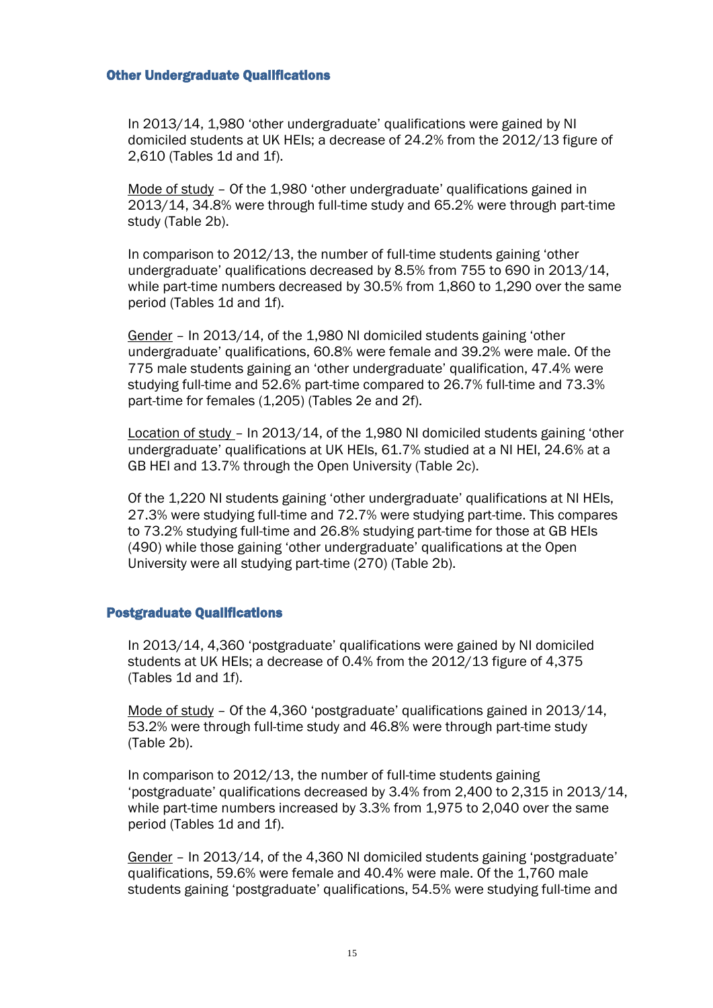#### Other Undergraduate Qualifications

In 2013/14, 1,980 'other undergraduate' qualifications were gained by NI domiciled students at UK HEIs; a decrease of 24.2% from the 2012/13 figure of 2,610 (Tables 1d and 1f).

Mode of study - Of the 1,980 'other undergraduate' qualifications gained in 2013/14, 34.8% were through full-time study and 65.2% were through part-time study (Table 2b).

In comparison to 2012/13, the number of full-time students gaining 'other undergraduate' qualifications decreased by 8.5% from 755 to 690 in 2013/14, while part-time numbers decreased by 30.5% from 1,860 to 1,290 over the same period (Tables 1d and 1f).

Gender – In 2013/14, of the 1,980 NI domiciled students gaining 'other undergraduate' qualifications, 60.8% were female and 39.2% were male. Of the 775 male students gaining an 'other undergraduate' qualification, 47.4% were studying full-time and 52.6% part-time compared to 26.7% full-time and 73.3% part-time for females (1,205) (Tables 2e and 2f).

Location of study – In 2013/14, of the 1,980 NI domiciled students gaining 'other undergraduate' qualifications at UK HEIs, 61.7% studied at a NI HEI, 24.6% at a GB HEI and 13.7% through the Open University (Table 2c).

Of the 1,220 NI students gaining 'other undergraduate' qualifications at NI HEIs, 27.3% were studying full-time and 72.7% were studying part-time. This compares to 73.2% studying full-time and 26.8% studying part-time for those at GB HEIs (490) while those gaining 'other undergraduate' qualifications at the Open University were all studying part-time (270) (Table 2b).

### Postgraduate Qualifications

In 2013/14, 4,360 'postgraduate' qualifications were gained by NI domiciled students at UK HEIs; a decrease of 0.4% from the 2012/13 figure of 4,375 (Tables 1d and 1f).

Mode of study – Of the 4,360 'postgraduate' qualifications gained in 2013/14, 53.2% were through full-time study and 46.8% were through part-time study (Table 2b).

In comparison to 2012/13, the number of full-time students gaining 'postgraduate' qualifications decreased by 3.4% from 2,400 to 2,315 in 2013/14, while part-time numbers increased by 3.3% from 1,975 to 2,040 over the same period (Tables 1d and 1f).

Gender – In 2013/14, of the 4,360 NI domiciled students gaining 'postgraduate' qualifications, 59.6% were female and 40.4% were male. Of the 1,760 male students gaining 'postgraduate' qualifications, 54.5% were studying full-time and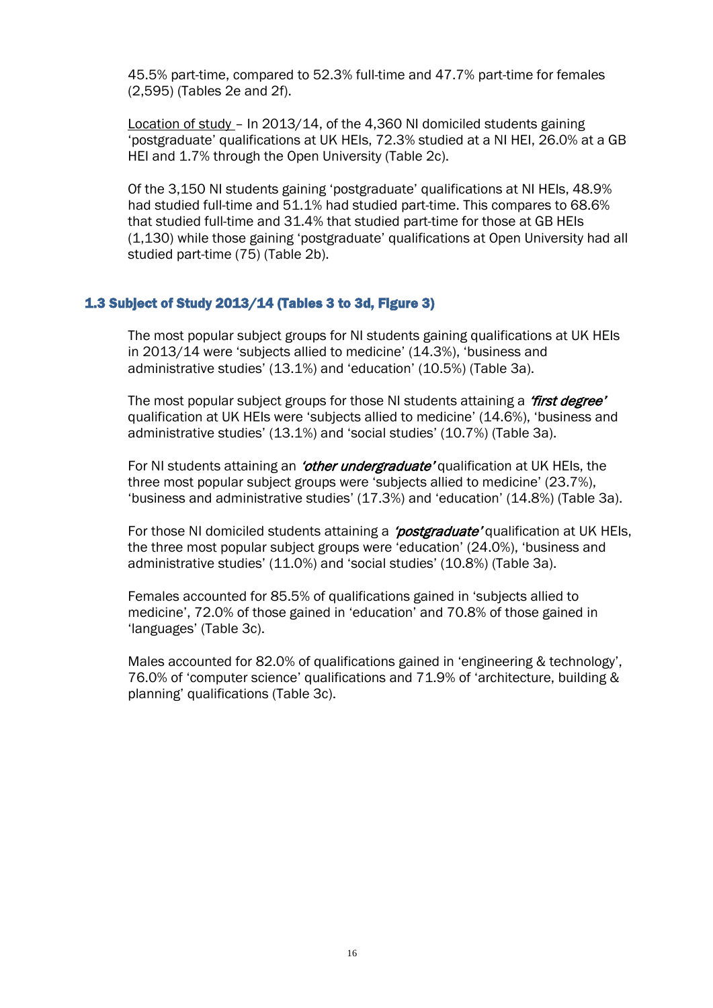45.5% part-time, compared to 52.3% full-time and 47.7% part-time for females (2,595) (Tables 2e and 2f).

Location of study – In 2013/14, of the 4,360 NI domiciled students gaining 'postgraduate' qualifications at UK HEIs, 72.3% studied at a NI HEI, 26.0% at a GB HEI and 1.7% through the Open University (Table 2c).

Of the 3,150 NI students gaining 'postgraduate' qualifications at NI HEIs, 48.9% had studied full-time and 51.1% had studied part-time. This compares to 68.6% that studied full-time and 31.4% that studied part-time for those at GB HEIs (1,130) while those gaining 'postgraduate' qualifications at Open University had all studied part-time (75) (Table 2b).

#### <span id="page-15-0"></span>1.3 Subject of Study 2013/14 (Tables 3 to 3d, Figure 3)

The most popular subject groups for NI students gaining qualifications at UK HEIs in 2013/14 were 'subjects allied to medicine' (14.3%), 'business and administrative studies' (13.1%) and 'education' (10.5%) (Table 3a).

The most popular subject groups for those NI students attaining a *'first degree'* qualification at UK HEIs were 'subjects allied to medicine' (14.6%), 'business and administrative studies' (13.1%) and 'social studies' (10.7%) (Table 3a).

For NI students attaining an *'other undergraduate'* qualification at UK HEIs, the three most popular subject groups were 'subjects allied to medicine' (23.7%), 'business and administrative studies' (17.3%) and 'education' (14.8%) (Table 3a).

For those NI domiciled students attaining a *'postgraduate'* qualification at UK HEIs, the three most popular subject groups were 'education' (24.0%), 'business and administrative studies' (11.0%) and 'social studies' (10.8%) (Table 3a).

Females accounted for 85.5% of qualifications gained in 'subjects allied to medicine', 72.0% of those gained in 'education' and 70.8% of those gained in 'languages' (Table 3c).

Males accounted for 82.0% of qualifications gained in 'engineering & technology', 76.0% of 'computer science' qualifications and 71.9% of 'architecture, building & planning' qualifications (Table 3c).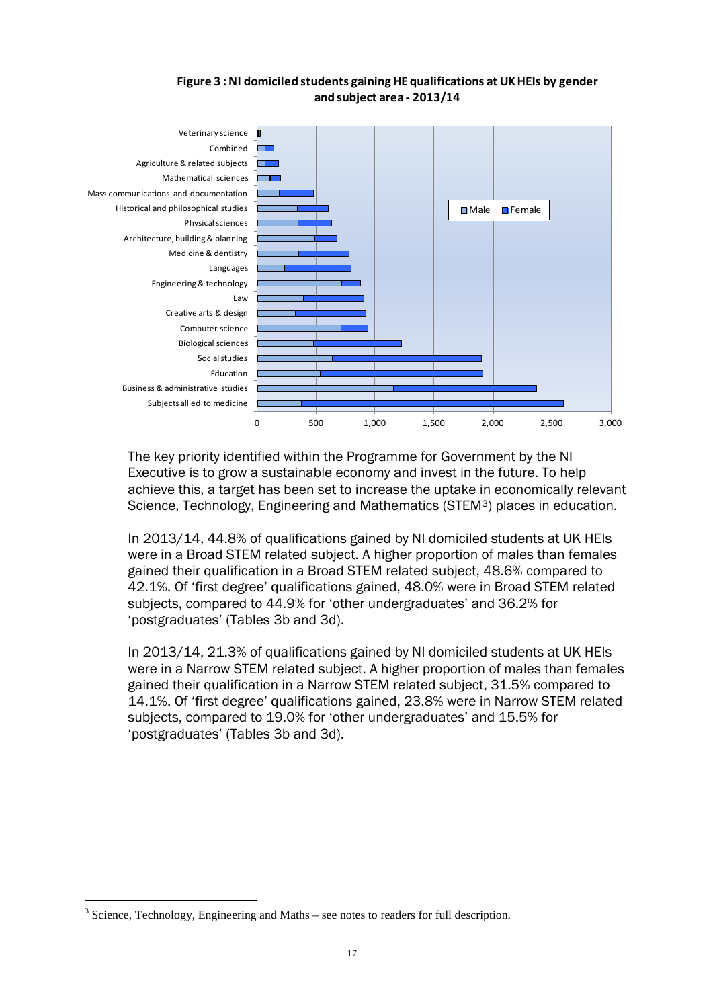### **Figure 3 : NI domiciled students gaining HE qualifications at UK HEIs by gender and subject area - 2013/14**

<span id="page-16-0"></span>

The key priority identified within the Programme for Government by the NI Executive is to grow a sustainable economy and invest in the future. To help achieve this, a target has been set to increase the uptake in economically relevant Science, Technology, Engineering and Mathematics (STEM[3\)](#page-16-1) places in education.

In 2013/14, 44.8% of qualifications gained by NI domiciled students at UK HEIs were in a Broad STEM related subject. A higher proportion of males than females gained their qualification in a Broad STEM related subject, 48.6% compared to 42.1%. Of 'first degree' qualifications gained, 48.0% were in Broad STEM related subjects, compared to 44.9% for 'other undergraduates' and 36.2% for 'postgraduates' (Tables 3b and 3d).

In 2013/14, 21.3% of qualifications gained by NI domiciled students at UK HEIs were in a Narrow STEM related subject. A higher proportion of males than females gained their qualification in a Narrow STEM related subject, 31.5% compared to 14.1%. Of 'first degree' qualifications gained, 23.8% were in Narrow STEM related subjects, compared to 19.0% for 'other undergraduates' and 15.5% for 'postgraduates' (Tables 3b and 3d).

<span id="page-16-1"></span><sup>&</sup>lt;u>.</u> <sup>3</sup> Science, Technology, Engineering and Maths – see notes to readers for full description.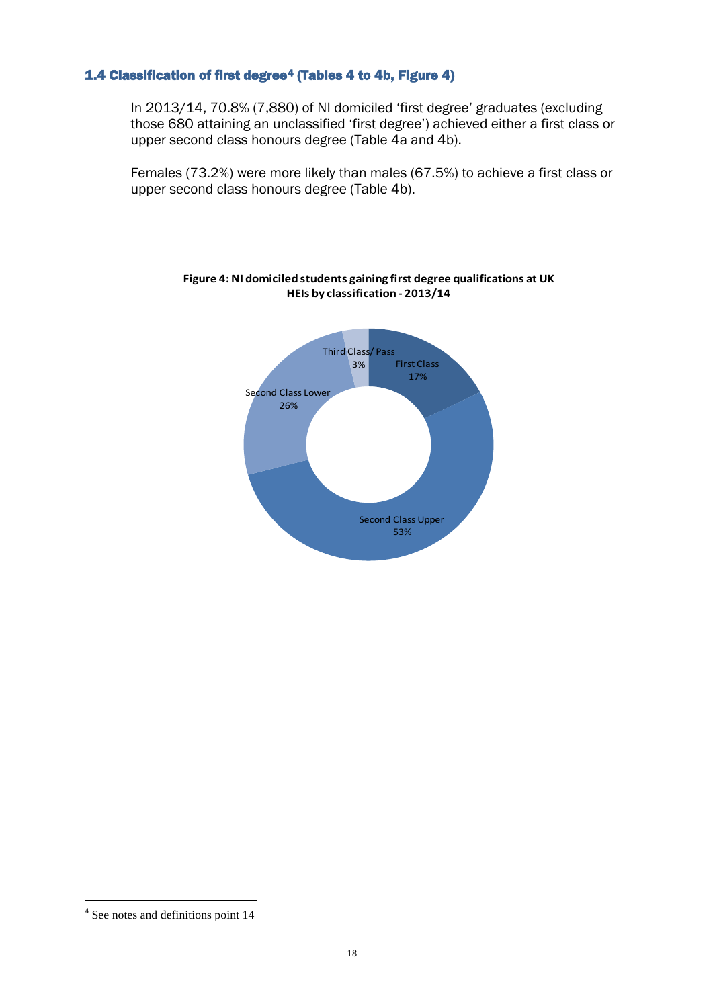### <span id="page-17-0"></span>1.4 Classification of first degree[4](#page-17-2) (Tables 4 to 4b, Figure 4)

In 2013/14, 70.8% (7,880) of NI domiciled 'first degree' graduates (excluding those 680 attaining an unclassified 'first degree') achieved either a first class or upper second class honours degree (Table 4a and 4b).

<span id="page-17-1"></span>Females (73.2%) were more likely than males (67.5%) to achieve a first class or upper second class honours degree (Table 4b).



#### **Figure 4: NI domiciled students gaining first degree qualifications at UK HEIs by classification - 2013/14**

<u>.</u>

<span id="page-17-2"></span><sup>4</sup> See notes and definitions point 14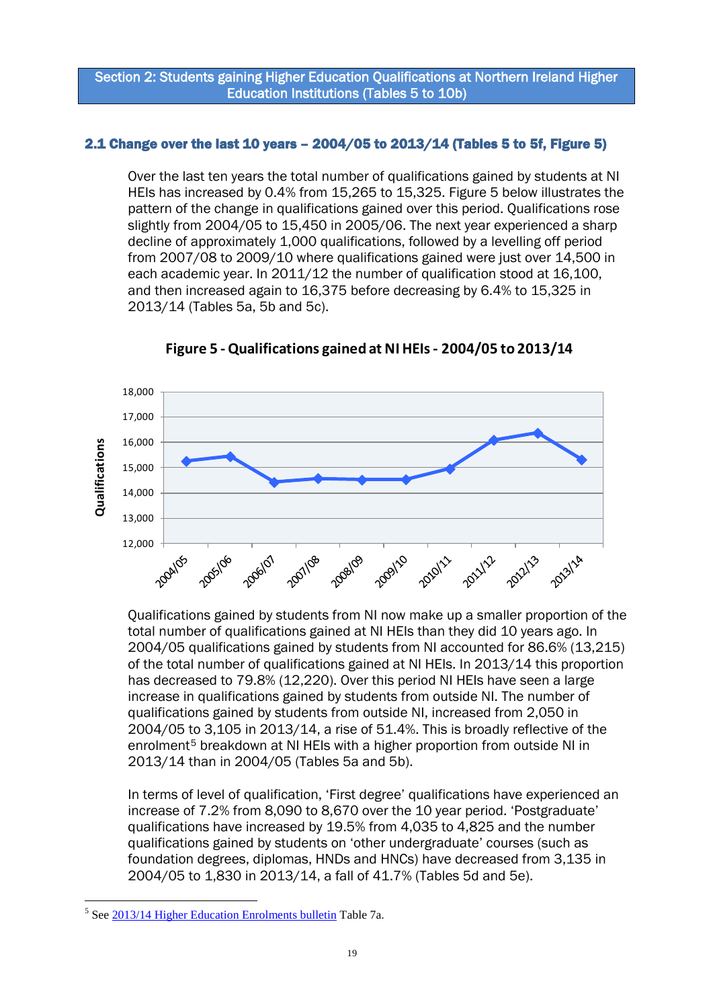### Section 2: Students gaining Higher Education Qualifications at Northern Ireland Higher Education Institutions (Tables 5 to 10b)

### <span id="page-18-0"></span>2.1 Change over the last 10 years – 2004/05 to 2013/14 (Tables 5 to 5f, Figure 5)

Over the last ten years the total number of qualifications gained by students at NI HEIs has increased by 0.4% from 15,265 to 15,325. Figure 5 below illustrates the pattern of the change in qualifications gained over this period. Qualifications rose slightly from 2004/05 to 15,450 in 2005/06. The next year experienced a sharp decline of approximately 1,000 qualifications, followed by a levelling off period from 2007/08 to 2009/10 where qualifications gained were just over 14,500 in each academic year. In 2011/12 the number of qualification stood at 16,100, and then increased again to 16,375 before decreasing by 6.4% to 15,325 in 2013/14 (Tables 5a, 5b and 5c).

<span id="page-18-1"></span>

**Figure 5 -Qualifications gained at NI HEIs - 2004/05 to 2013/14**

Qualifications gained by students from NI now make up a smaller proportion of the total number of qualifications gained at NI HEIs than they did 10 years ago. In 2004/05 qualifications gained by students from NI accounted for 86.6% (13,215) of the total number of qualifications gained at NI HEIs. In 2013/14 this proportion has decreased to 79.8% (12,220). Over this period NI HEIs have seen a large increase in qualifications gained by students from outside NI. The number of qualifications gained by students from outside NI, increased from 2,050 in 2004/05 to 3,105 in 2013/14, a rise of 51.4%. This is broadly reflective of the enrolment<sup>[5](#page-18-2)</sup> breakdown at NI HEIs with a higher proportion from outside NI in 2013/14 than in 2004/05 (Tables 5a and 5b).

In terms of level of qualification, 'First degree' qualifications have experienced an increase of 7.2% from 8,090 to 8,670 over the 10 year period. 'Postgraduate' qualifications have increased by 19.5% from 4,035 to 4,825 and the number qualifications gained by students on 'other undergraduate' courses (such as foundation degrees, diplomas, HNDs and HNCs) have decreased from 3,135 in 2004/05 to 1,830 in 2013/14, a fall of 41.7% (Tables 5d and 5e).

<span id="page-18-2"></span><sup>&</sup>lt;u>.</u> <sup>5</sup> Se[e 2013/14 Higher Education Enrolments bulletin](http://www.delni.gov.uk/index/statsandresearch/higher-education-stats/he-enrolments-2.htm) Table 7a.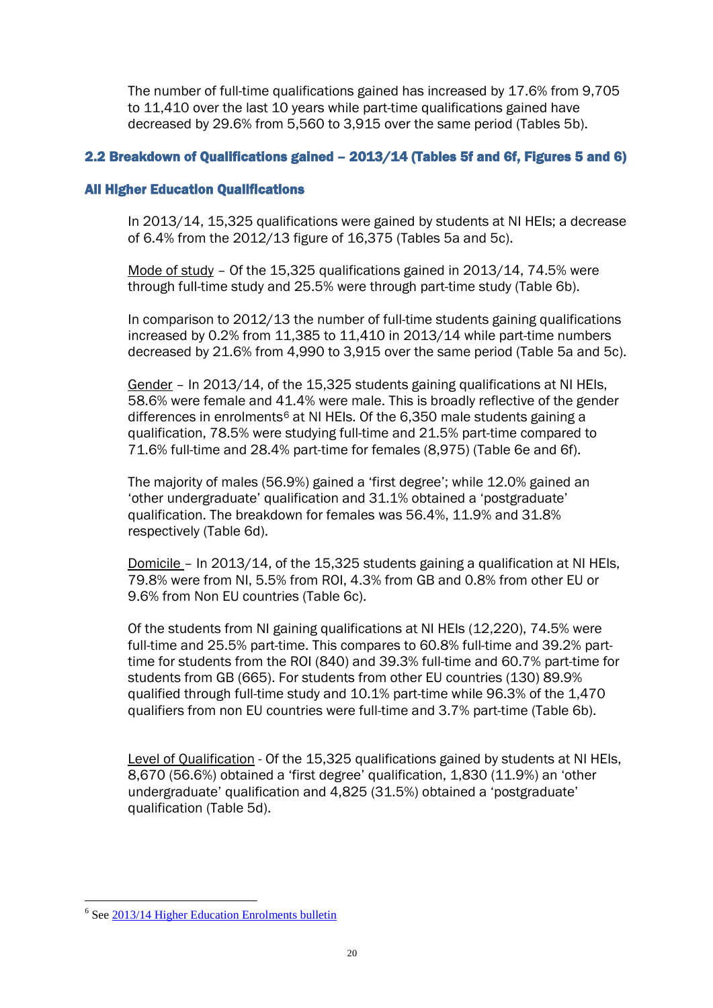The number of full-time qualifications gained has increased by 17.6% from 9,705 to 11,410 over the last 10 years while part-time qualifications gained have decreased by 29.6% from 5,560 to 3,915 over the same period (Tables 5b).

### <span id="page-19-0"></span>2.2 Breakdown of Qualifications gained – 2013/14 (Tables 5f and 6f, Figures 5 and 6)

### All Higher Education Qualifications

In 2013/14, 15,325 qualifications were gained by students at NI HEIs; a decrease of 6.4% from the 2012/13 figure of 16,375 (Tables 5a and 5c).

Mode of study – Of the 15,325 qualifications gained in 2013/14, 74.5% were through full-time study and 25.5% were through part-time study (Table 6b).

In comparison to 2012/13 the number of full-time students gaining qualifications increased by 0.2% from 11,385 to 11,410 in 2013/14 while part-time numbers decreased by 21.6% from 4,990 to 3,915 over the same period (Table 5a and 5c).

Gender – In 2013/14, of the 15,325 students gaining qualifications at NI HEIs, 58.6% were female and 41.4% were male. This is broadly reflective of the gender differences in enrolments<sup>6</sup> at NI HEIs. Of the 6,350 male students gaining a qualification, 78.5% were studying full-time and 21.5% part-time compared to 71.6% full-time and 28.4% part-time for females (8,975) (Table 6e and 6f).

The majority of males (56.9%) gained a 'first degree'; while 12.0% gained an 'other undergraduate' qualification and 31.1% obtained a 'postgraduate' qualification. The breakdown for females was 56.4%, 11.9% and 31.8% respectively (Table 6d).

Domicile – In 2013/14, of the 15,325 students gaining a qualification at NI HEIs, 79.8% were from NI, 5.5% from ROI, 4.3% from GB and 0.8% from other EU or 9.6% from Non EU countries (Table 6c).

Of the students from NI gaining qualifications at NI HEIs (12,220), 74.5% were full-time and 25.5% part-time. This compares to 60.8% full-time and 39.2% parttime for students from the ROI (840) and 39.3% full-time and 60.7% part-time for students from GB (665). For students from other EU countries (130) 89.9% qualified through full-time study and 10.1% part-time while 96.3% of the 1,470 qualifiers from non EU countries were full-time and 3.7% part-time (Table 6b).

Level of Qualification - Of the 15,325 qualifications gained by students at NI HEIs, 8,670 (56.6%) obtained a 'first degree' qualification, 1,830 (11.9%) an 'other undergraduate' qualification and 4,825 (31.5%) obtained a 'postgraduate' qualification (Table 5d).

<u>.</u>

<span id="page-19-1"></span><sup>&</sup>lt;sup>6</sup> Se[e 2013/14 Higher Education Enrolments bulletin](http://www.delni.gov.uk/index/statsandresearch/higher-education-stats/he-enrolments-2.htm)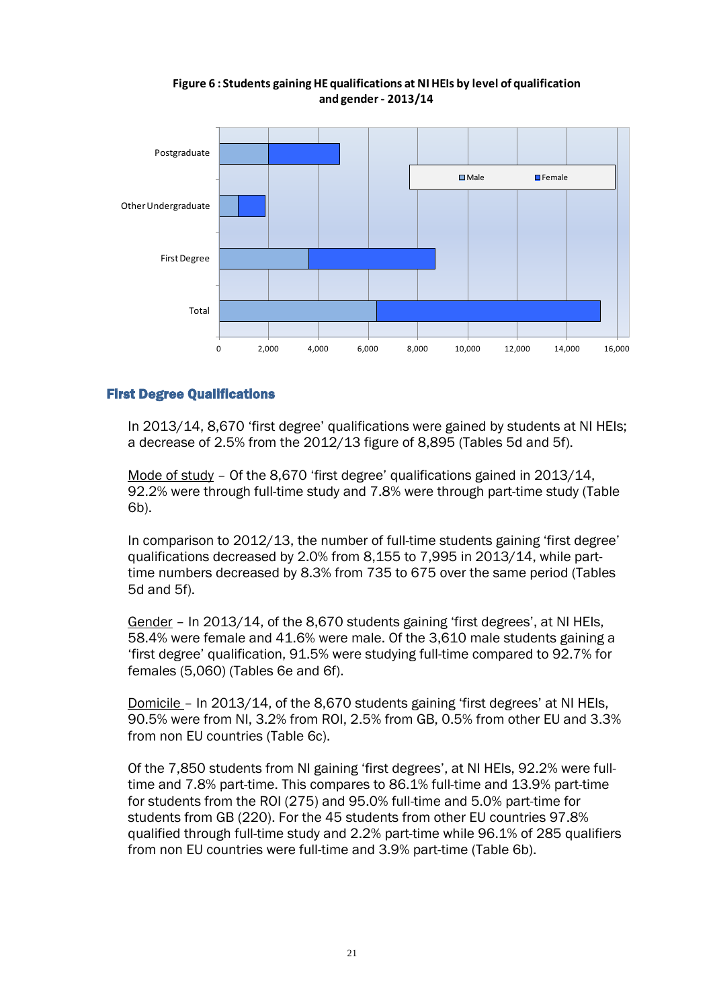<span id="page-20-0"></span>

### **Figure 6 : Students gaining HE qualifications at NI HEIs by level of qualification and gender - 2013/14**

### First Degree Qualifications

In 2013/14, 8,670 'first degree' qualifications were gained by students at NI HEIs; a decrease of 2.5% from the 2012/13 figure of 8,895 (Tables 5d and 5f).

Mode of study - Of the 8,670 'first degree' qualifications gained in 2013/14, 92.2% were through full-time study and 7.8% were through part-time study (Table 6b).

In comparison to 2012/13, the number of full-time students gaining 'first degree' qualifications decreased by 2.0% from 8,155 to 7,995 in 2013/14, while parttime numbers decreased by 8.3% from 735 to 675 over the same period (Tables 5d and 5f).

Gender – In 2013/14, of the 8,670 students gaining 'first degrees', at NI HEIs, 58.4% were female and 41.6% were male. Of the 3,610 male students gaining a 'first degree' qualification, 91.5% were studying full-time compared to 92.7% for females (5,060) (Tables 6e and 6f).

Domicile – In 2013/14, of the 8,670 students gaining 'first degrees' at NI HEIs, 90.5% were from NI, 3.2% from ROI, 2.5% from GB, 0.5% from other EU and 3.3% from non EU countries (Table 6c).

Of the 7,850 students from NI gaining 'first degrees', at NI HEIs, 92.2% were fulltime and 7.8% part-time. This compares to 86.1% full-time and 13.9% part-time for students from the ROI (275) and 95.0% full-time and 5.0% part-time for students from GB (220). For the 45 students from other EU countries 97.8% qualified through full-time study and 2.2% part-time while 96.1% of 285 qualifiers from non EU countries were full-time and 3.9% part-time (Table 6b).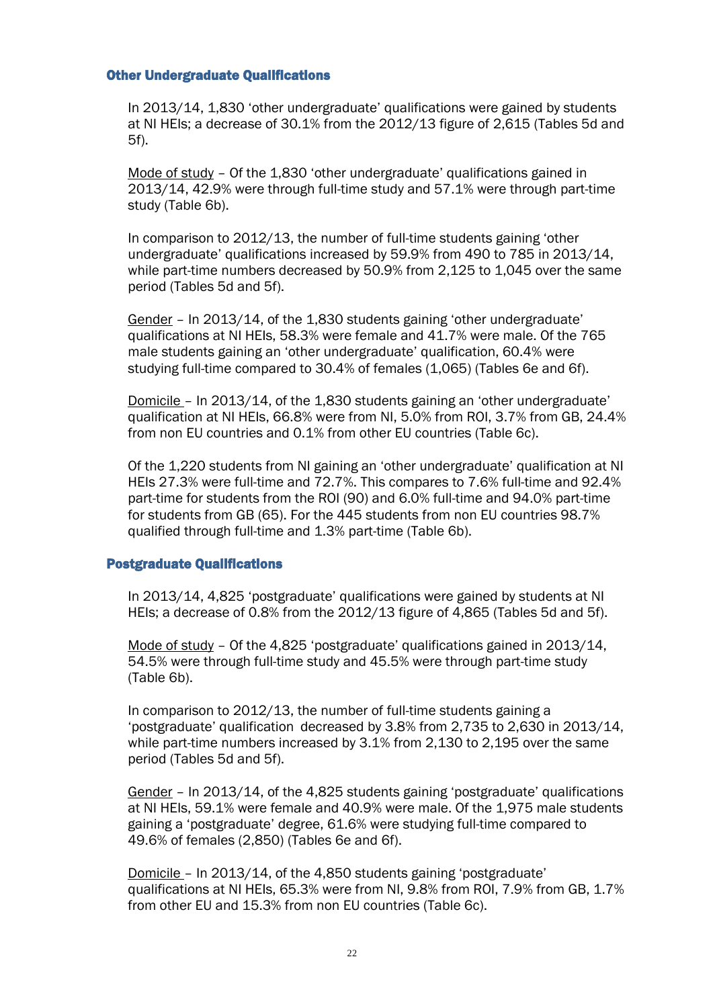#### Other Undergraduate Qualifications

In 2013/14, 1,830 'other undergraduate' qualifications were gained by students at NI HEIs; a decrease of 30.1% from the 2012/13 figure of 2,615 (Tables 5d and 5f).

Mode of study – Of the 1,830 'other undergraduate' qualifications gained in 2013/14, 42.9% were through full-time study and 57.1% were through part-time study (Table 6b).

In comparison to 2012/13, the number of full-time students gaining 'other undergraduate' qualifications increased by 59.9% from 490 to 785 in 2013/14, while part-time numbers decreased by 50.9% from 2,125 to 1,045 over the same period (Tables 5d and 5f).

Gender – In 2013/14, of the 1,830 students gaining 'other undergraduate' qualifications at NI HEIs, 58.3% were female and 41.7% were male. Of the 765 male students gaining an 'other undergraduate' qualification, 60.4% were studying full-time compared to 30.4% of females (1,065) (Tables 6e and 6f).

Domicile – In 2013/14, of the 1,830 students gaining an 'other undergraduate' qualification at NI HEIs, 66.8% were from NI, 5.0% from ROI, 3.7% from GB, 24.4% from non EU countries and 0.1% from other EU countries (Table 6c).

Of the 1,220 students from NI gaining an 'other undergraduate' qualification at NI HEIs 27.3% were full-time and 72.7%. This compares to 7.6% full-time and 92.4% part-time for students from the ROI (90) and 6.0% full-time and 94.0% part-time for students from GB (65). For the 445 students from non EU countries 98.7% qualified through full-time and 1.3% part-time (Table 6b).

### Postgraduate Qualifications

In 2013/14, 4,825 'postgraduate' qualifications were gained by students at NI HEIs; a decrease of 0.8% from the 2012/13 figure of 4,865 (Tables 5d and 5f).

Mode of study – Of the 4,825 'postgraduate' qualifications gained in 2013/14, 54.5% were through full-time study and 45.5% were through part-time study (Table 6b).

In comparison to 2012/13, the number of full-time students gaining a 'postgraduate' qualification decreased by 3.8% from 2,735 to 2,630 in 2013/14, while part-time numbers increased by 3.1% from 2,130 to 2,195 over the same period (Tables 5d and 5f).

Gender – In 2013/14, of the 4,825 students gaining 'postgraduate' qualifications at NI HEIs, 59.1% were female and 40.9% were male. Of the 1,975 male students gaining a 'postgraduate' degree, 61.6% were studying full-time compared to 49.6% of females (2,850) (Tables 6e and 6f).

Domicile – In 2013/14, of the 4,850 students gaining 'postgraduate' qualifications at NI HEIs, 65.3% were from NI, 9.8% from ROI, 7.9% from GB, 1.7% from other EU and 15.3% from non EU countries (Table 6c).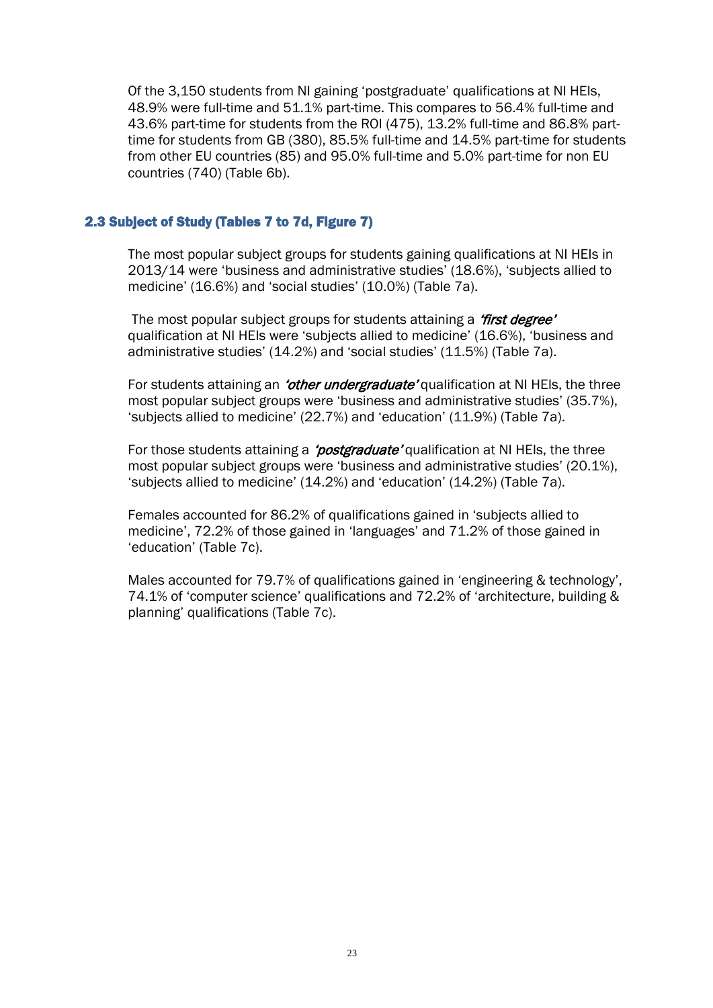Of the 3,150 students from NI gaining 'postgraduate' qualifications at NI HEIs, 48.9% were full-time and 51.1% part-time. This compares to 56.4% full-time and 43.6% part-time for students from the ROI (475), 13.2% full-time and 86.8% parttime for students from GB (380), 85.5% full-time and 14.5% part-time for students from other EU countries (85) and 95.0% full-time and 5.0% part-time for non EU countries (740) (Table 6b).

#### <span id="page-22-0"></span>2.3 Subject of Study (Tables 7 to 7d, Figure 7)

The most popular subject groups for students gaining qualifications at NI HEIs in 2013/14 were 'business and administrative studies' (18.6%), 'subjects allied to medicine' (16.6%) and 'social studies' (10.0%) (Table 7a).

The most popular subject groups for students attaining a 'first degree' qualification at NI HEIs were 'subjects allied to medicine' (16.6%), 'business and administrative studies' (14.2%) and 'social studies' (11.5%) (Table 7a).

For students attaining an 'other undergraduate' qualification at NI HEIs, the three most popular subject groups were 'business and administrative studies' (35.7%), 'subjects allied to medicine' (22.7%) and 'education' (11.9%) (Table 7a).

For those students attaining a *'postgraduate'* qualification at NI HEIs, the three most popular subject groups were 'business and administrative studies' (20.1%), 'subjects allied to medicine' (14.2%) and 'education' (14.2%) (Table 7a).

Females accounted for 86.2% of qualifications gained in 'subjects allied to medicine', 72.2% of those gained in 'languages' and 71.2% of those gained in 'education' (Table 7c).

Males accounted for 79.7% of qualifications gained in 'engineering & technology', 74.1% of 'computer science' qualifications and 72.2% of 'architecture, building & planning' qualifications (Table 7c).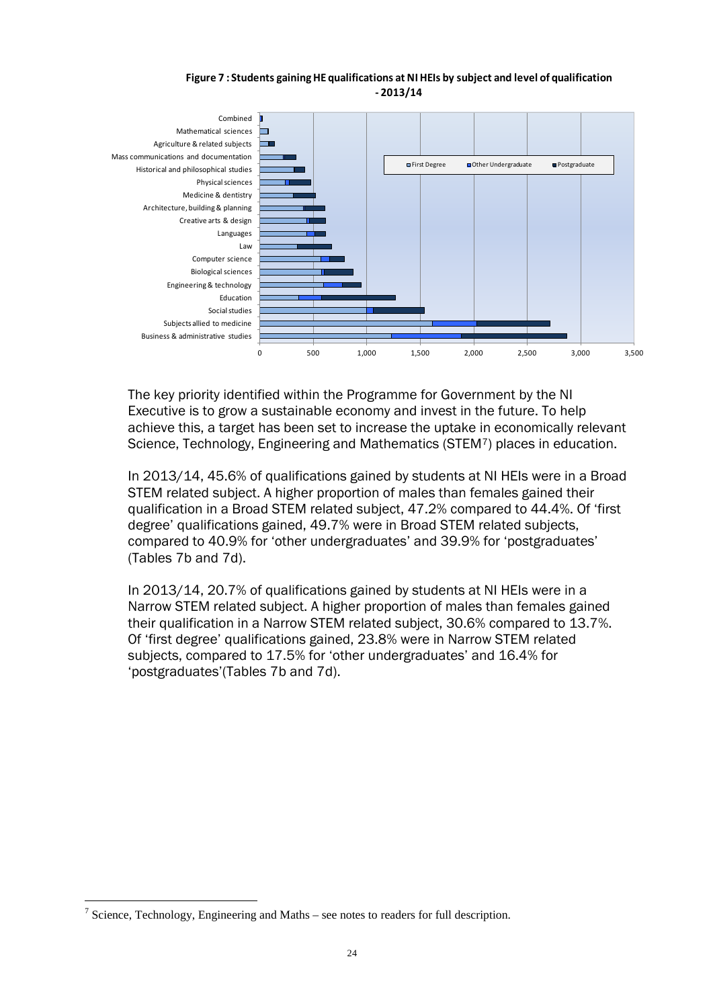#### **Figure 7 : Students gaining HE qualifications at NI HEIs by subject and level of qualification - 2013/14**

<span id="page-23-0"></span>

The key priority identified within the Programme for Government by the NI Executive is to grow a sustainable economy and invest in the future. To help achieve this, a target has been set to increase the uptake in economically relevant Science, Technology, Engineering and Mathematics (STEM[7\)](#page-23-1) places in education.

In 2013/14, 45.6% of qualifications gained by students at NI HEIs were in a Broad STEM related subject. A higher proportion of males than females gained their qualification in a Broad STEM related subject, 47.2% compared to 44.4%. Of 'first degree' qualifications gained, 49.7% were in Broad STEM related subjects, compared to 40.9% for 'other undergraduates' and 39.9% for 'postgraduates' (Tables 7b and 7d).

In 2013/14, 20.7% of qualifications gained by students at NI HEIs were in a Narrow STEM related subject. A higher proportion of males than females gained their qualification in a Narrow STEM related subject, 30.6% compared to 13.7%. Of 'first degree' qualifications gained, 23.8% were in Narrow STEM related subjects, compared to 17.5% for 'other undergraduates' and 16.4% for 'postgraduates'(Tables 7b and 7d).

<u>.</u>

<span id="page-23-1"></span> $\frac{7}{1}$  Science, Technology, Engineering and Maths – see notes to readers for full description.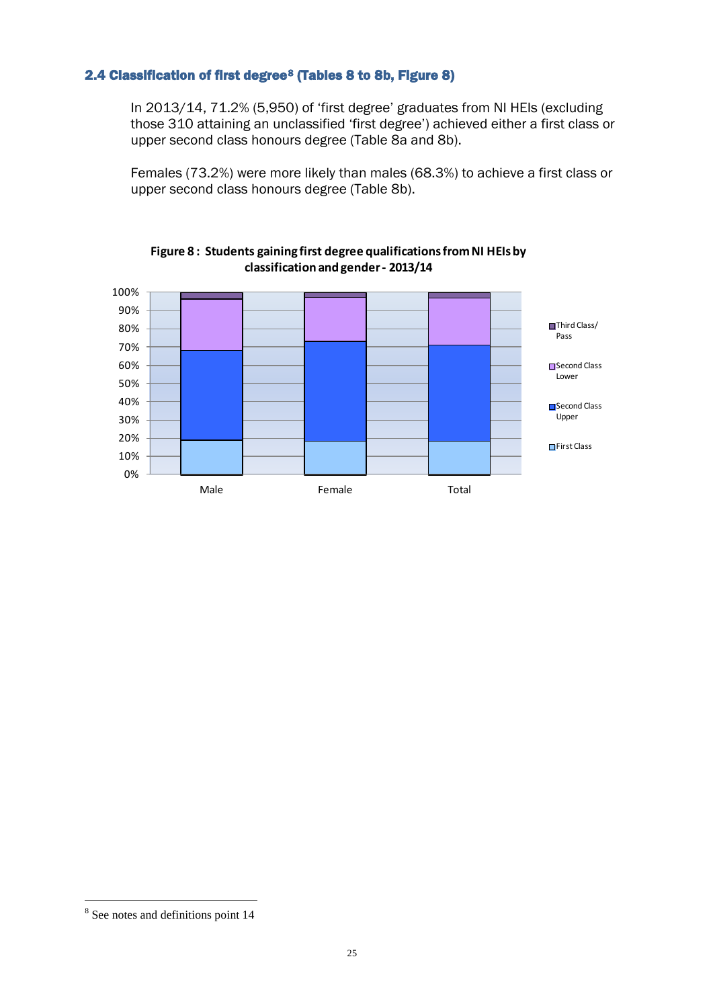### <span id="page-24-0"></span>2.4 Classification of first degree<sup>[8](#page-24-2)</sup> (Tables 8 to 8b, Figure 8)

In 2013/14, 71.2% (5,950) of 'first degree' graduates from NI HEIs (excluding those 310 attaining an unclassified 'first degree') achieved either a first class or upper second class honours degree (Table 8a and 8b).

Females (73.2%) were more likely than males (68.3%) to achieve a first class or upper second class honours degree (Table 8b).

<span id="page-24-1"></span>

#### **Figure 8 : Students gaining first degree qualifications from NI HEIs by classification and gender - 2013/14**

<u>.</u>

<span id="page-24-2"></span><sup>8</sup> See notes and definitions point 14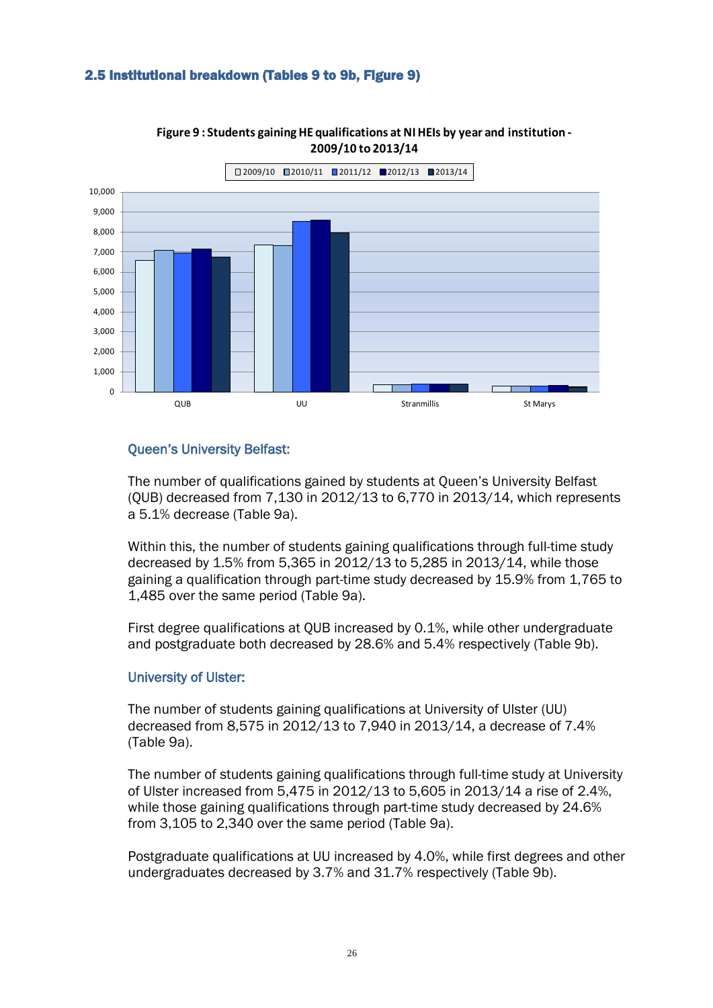### <span id="page-25-0"></span>2.5 Institutional breakdown (Tables 9 to 9b, Figure 9)

<span id="page-25-1"></span>

**Figure 9 : Students gaining HE qualifications at NI HEIs by year and institution - 2009/10 to 2013/14**

### Queen's University Belfast:

The number of qualifications gained by students at Queen's University Belfast (QUB) decreased from 7,130 in 2012/13 to 6,770 in 2013/14, which represents a 5.1% decrease (Table 9a).

Within this, the number of students gaining qualifications through full-time study decreased by 1.5% from 5,365 in 2012/13 to 5,285 in 2013/14, while those gaining a qualification through part-time study decreased by 15.9% from 1,765 to 1,485 over the same period (Table 9a).

First degree qualifications at QUB increased by 0.1%, while other undergraduate and postgraduate both decreased by 28.6% and 5.4% respectively (Table 9b).

### University of Ulster:

The number of students gaining qualifications at University of Ulster (UU) decreased from 8,575 in 2012/13 to 7,940 in 2013/14, a decrease of 7.4% (Table 9a).

The number of students gaining qualifications through full-time study at University of Ulster increased from 5,475 in 2012/13 to 5,605 in 2013/14 a rise of 2.4%, while those gaining qualifications through part-time study decreased by 24.6% from 3,105 to 2,340 over the same period (Table 9a).

Postgraduate qualifications at UU increased by 4.0%, while first degrees and other undergraduates decreased by 3.7% and 31.7% respectively (Table 9b).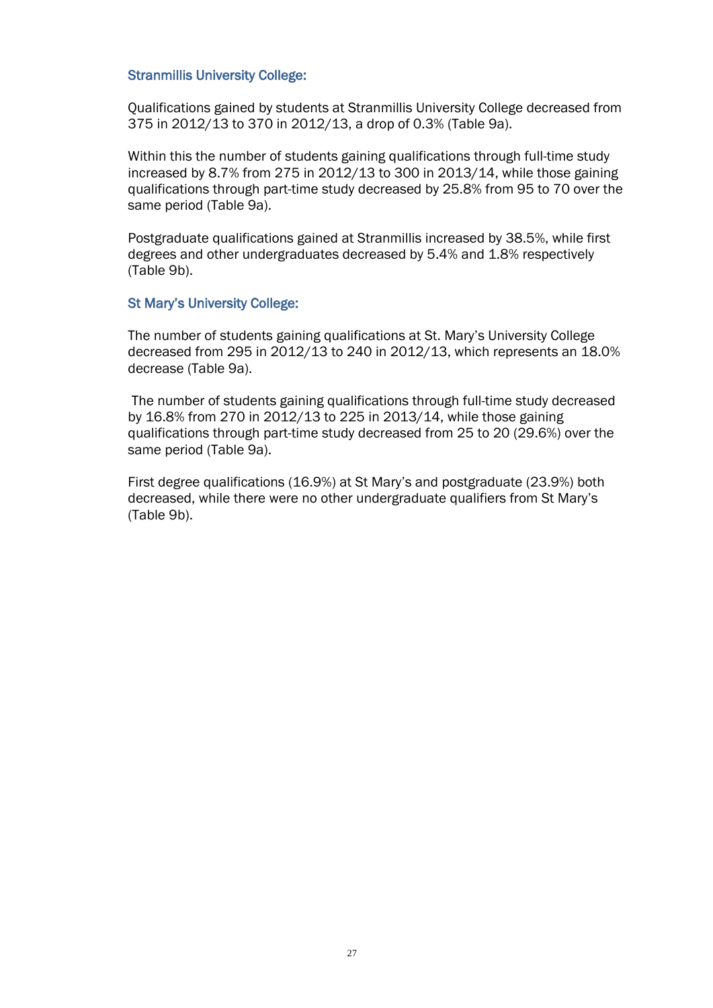#### Stranmillis University College:

Qualifications gained by students at Stranmillis University College decreased from 375 in 2012/13 to 370 in 2012/13, a drop of 0.3% (Table 9a).

Within this the number of students gaining qualifications through full-time study increased by 8.7% from 275 in 2012/13 to 300 in 2013/14, while those gaining qualifications through part-time study decreased by 25.8% from 95 to 70 over the same period (Table 9a).

Postgraduate qualifications gained at Stranmillis increased by 38.5%, while first degrees and other undergraduates decreased by 5.4% and 1.8% respectively (Table 9b).

#### St Mary's University College:

The number of students gaining qualifications at St. Mary's University College decreased from 295 in 2012/13 to 240 in 2012/13, which represents an 18.0% decrease (Table 9a).

 The number of students gaining qualifications through full-time study decreased by 16.8% from 270 in 2012/13 to 225 in 2013/14, while those gaining qualifications through part-time study decreased from 25 to 20 (29.6%) over the same period (Table 9a).

First degree qualifications (16.9%) at St Mary's and postgraduate (23.9%) both decreased, while there were no other undergraduate qualifiers from St Mary's (Table 9b).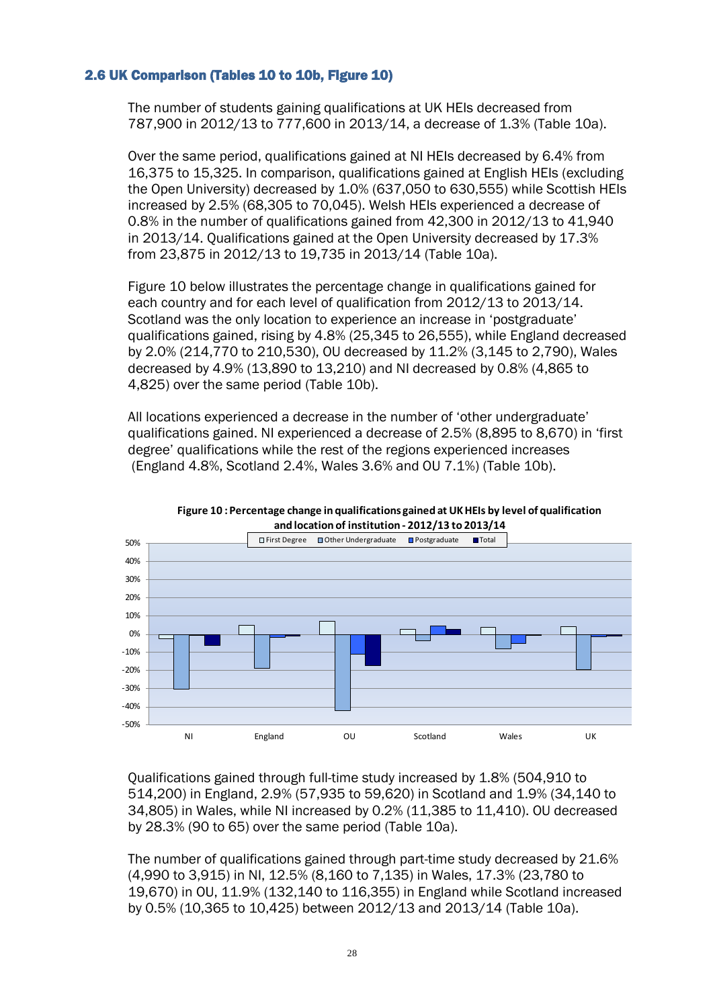### 2.6 UK Comparison (Tables 10 to 10b, Figure 10)

<span id="page-27-0"></span>The number of students gaining qualifications at UK HEIs decreased from 787,900 in 2012/13 to 777,600 in 2013/14, a decrease of 1.3% (Table 10a).

Over the same period, qualifications gained at NI HEIs decreased by 6.4% from 16,375 to 15,325. In comparison, qualifications gained at English HEIs (excluding the Open University) decreased by 1.0% (637,050 to 630,555) while Scottish HEIs increased by 2.5% (68,305 to 70,045). Welsh HEIs experienced a decrease of 0.8% in the number of qualifications gained from 42,300 in 2012/13 to 41,940 in 2013/14. Qualifications gained at the Open University decreased by 17.3% from 23,875 in 2012/13 to 19,735 in 2013/14 (Table 10a).

Figure 10 below illustrates the percentage change in qualifications gained for each country and for each level of qualification from 2012/13 to 2013/14. Scotland was the only location to experience an increase in 'postgraduate' qualifications gained, rising by 4.8% (25,345 to 26,555), while England decreased by 2.0% (214,770 to 210,530), OU decreased by 11.2% (3,145 to 2,790), Wales decreased by 4.9% (13,890 to 13,210) and NI decreased by 0.8% (4,865 to 4,825) over the same period (Table 10b).

All locations experienced a decrease in the number of 'other undergraduate' qualifications gained. NI experienced a decrease of 2.5% (8,895 to 8,670) in 'first degree' qualifications while the rest of the regions experienced increases (England 4.8%, Scotland 2.4%, Wales 3.6% and OU 7.1%) (Table 10b).

<span id="page-27-1"></span>



Qualifications gained through full-time study increased by 1.8% (504,910 to 514,200) in England, 2.9% (57,935 to 59,620) in Scotland and 1.9% (34,140 to 34,805) in Wales, while NI increased by 0.2% (11,385 to 11,410). OU decreased by 28.3% (90 to 65) over the same period (Table 10a).

The number of qualifications gained through part-time study decreased by 21.6% (4,990 to 3,915) in NI, 12.5% (8,160 to 7,135) in Wales, 17.3% (23,780 to 19,670) in OU, 11.9% (132,140 to 116,355) in England while Scotland increased by 0.5% (10,365 to 10,425) between 2012/13 and 2013/14 (Table 10a).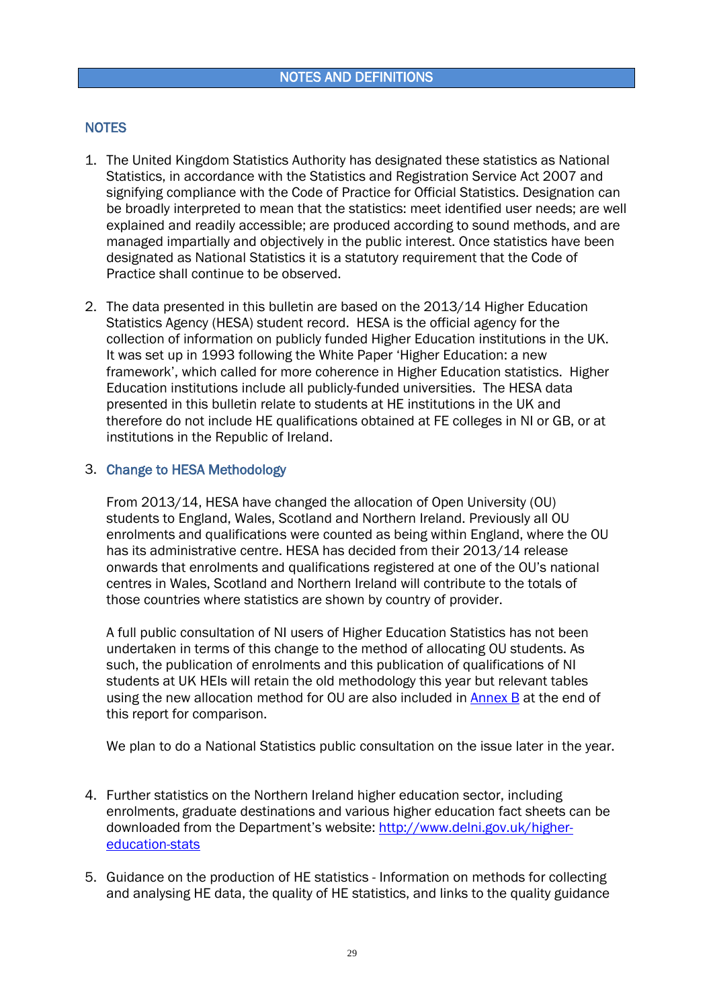### <span id="page-28-0"></span>**NOTES**

- 1. The United Kingdom Statistics Authority has designated these statistics as National Statistics, in accordance with the Statistics and Registration Service Act 2007 and signifying compliance with the Code of Practice for Official Statistics. Designation can be broadly interpreted to mean that the statistics: meet identified user needs; are well explained and readily accessible; are produced according to sound methods, and are managed impartially and objectively in the public interest. Once statistics have been designated as National Statistics it is a statutory requirement that the Code of Practice shall continue to be observed.
- 2. The data presented in this bulletin are based on the 2013/14 Higher Education Statistics Agency (HESA) student record. HESA is the official agency for the collection of information on publicly funded Higher Education institutions in the UK. It was set up in 1993 following the White Paper 'Higher Education: a new framework', which called for more coherence in Higher Education statistics. Higher Education institutions include all publicly-funded universities. The HESA data presented in this bulletin relate to students at HE institutions in the UK and therefore do not include HE qualifications obtained at FE colleges in NI or GB, or at institutions in the Republic of Ireland.

### <span id="page-28-1"></span>3. Change to HESA Methodology

From 2013/14, HESA have changed the allocation of Open University (OU) students to England, Wales, Scotland and Northern Ireland. Previously all OU enrolments and qualifications were counted as being within England, where the OU has its administrative centre. HESA has decided from their 2013/14 release onwards that enrolments and qualifications registered at one of the OU's national centres in Wales, Scotland and Northern Ireland will contribute to the totals of those countries where statistics are shown by country of provider.

A full public consultation of NI users of Higher Education Statistics has not been undertaken in terms of this change to the method of allocating OU students. As such, the publication of enrolments and this publication of qualifications of NI students at UK HEIs will retain the old methodology this year but relevant tables using the new allocation method for OU are also included in **Annex B** at the end of this report for comparison.

We plan to do a National Statistics public consultation on the issue later in the year.

- 4. Further statistics on the Northern Ireland higher education sector, including enrolments, graduate destinations and various higher education fact sheets can be downloaded from the Department's website: [http://www.delni.gov.uk/higher](http://www.delni.gov.uk/higher-education-stats)[education-stats](http://www.delni.gov.uk/higher-education-stats)
- 5. Guidance on the production of HE statistics Information on methods for collecting and analysing HE data, the quality of HE statistics, and links to the quality guidance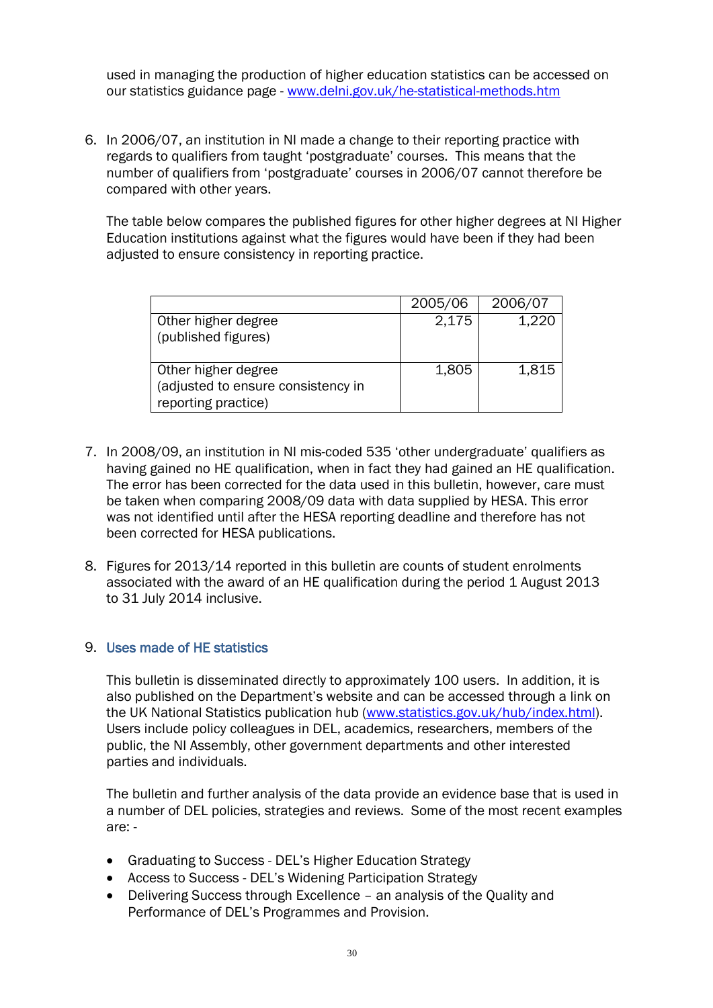used in managing the production of higher education statistics can be accessed on our statistics guidance page - [www.delni.gov.uk/he-statistical-methods.htm](http://www.delni.gov.uk/he-statistical-methods.htm)

6. In 2006/07, an institution in NI made a change to their reporting practice with regards to qualifiers from taught 'postgraduate' courses. This means that the number of qualifiers from 'postgraduate' courses in 2006/07 cannot therefore be compared with other years.

The table below compares the published figures for other higher degrees at NI Higher Education institutions against what the figures would have been if they had been adjusted to ensure consistency in reporting practice.

|                                                                                  | 2005/06 | 2006/07 |
|----------------------------------------------------------------------------------|---------|---------|
| Other higher degree<br>(published figures)                                       | 2,175   | 1.220   |
| Other higher degree<br>(adjusted to ensure consistency in<br>reporting practice) | 1,805   | 1,815   |

- 7. In 2008/09, an institution in NI mis-coded 535 'other undergraduate' qualifiers as having gained no HE qualification, when in fact they had gained an HE qualification. The error has been corrected for the data used in this bulletin, however, care must be taken when comparing 2008/09 data with data supplied by HESA. This error was not identified until after the HESA reporting deadline and therefore has not been corrected for HESA publications.
- 8. Figures for 2013/14 reported in this bulletin are counts of student enrolments associated with the award of an HE qualification during the period 1 August 2013 to 31 July 2014 inclusive.

### 9. Uses made of HE statistics

This bulletin is disseminated directly to approximately 100 users. In addition, it is also published on the Department's website and can be accessed through a link on the UK National Statistics publication hub [\(www.statistics.gov.uk/hub/index.html\)](http://www.statistics.gov.uk/hub/index.html). Users include policy colleagues in DEL, academics, researchers, members of the public, the NI Assembly, other government departments and other interested parties and individuals.

The bulletin and further analysis of the data provide an evidence base that is used in a number of DEL policies, strategies and reviews. Some of the most recent examples are: -

- Graduating to Success DEL's Higher Education Strategy
- Access to Success DEL's Widening Participation Strategy
- Delivering Success through Excellence an analysis of the Quality and Performance of DEL's Programmes and Provision.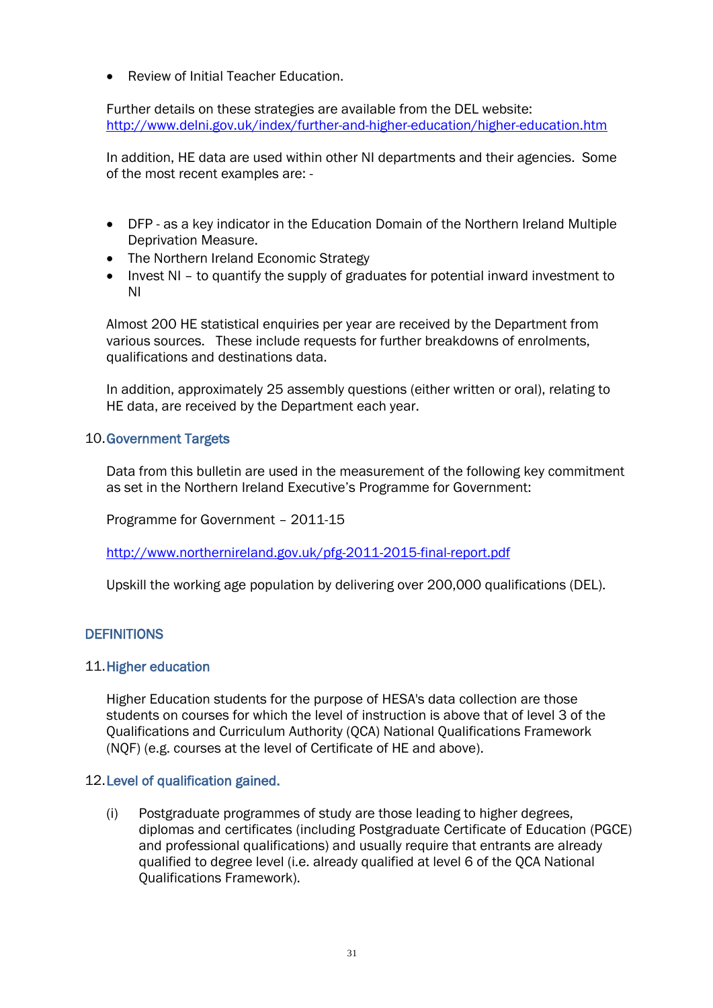• Review of Initial Teacher Education.

Further details on these strategies are available from the DEL website: <http://www.delni.gov.uk/index/further-and-higher-education/higher-education.htm>

In addition, HE data are used within other NI departments and their agencies. Some of the most recent examples are: -

- DFP as a key indicator in the Education Domain of the Northern Ireland Multiple Deprivation Measure.
- The Northern Ireland Economic Strategy
- Invest NI to quantify the supply of graduates for potential inward investment to NI

Almost 200 HE statistical enquiries per year are received by the Department from various sources. These include requests for further breakdowns of enrolments, qualifications and destinations data.

In addition, approximately 25 assembly questions (either written or oral), relating to HE data, are received by the Department each year.

### 10.Government Targets

Data from this bulletin are used in the measurement of the following key commitment as set in the Northern Ireland Executive's Programme for Government:

Programme for Government – 2011-15

<http://www.northernireland.gov.uk/pfg-2011-2015-final-report.pdf>

Upskill the working age population by delivering over 200,000 qualifications (DEL).

### **DEFINITIONS**

### 11.Higher education

Higher Education students for the purpose of HESA's data collection are those students on courses for which the level of instruction is above that of level 3 of the Qualifications and Curriculum Authority (QCA) National Qualifications Framework (NQF) (e.g. courses at the level of Certificate of HE and above).

### 12.Level of qualification gained.

(i) Postgraduate programmes of study are those leading to higher degrees, diplomas and certificates (including Postgraduate Certificate of Education (PGCE) and professional qualifications) and usually require that entrants are already qualified to degree level (i.e. already qualified at level 6 of the QCA National Qualifications Framework).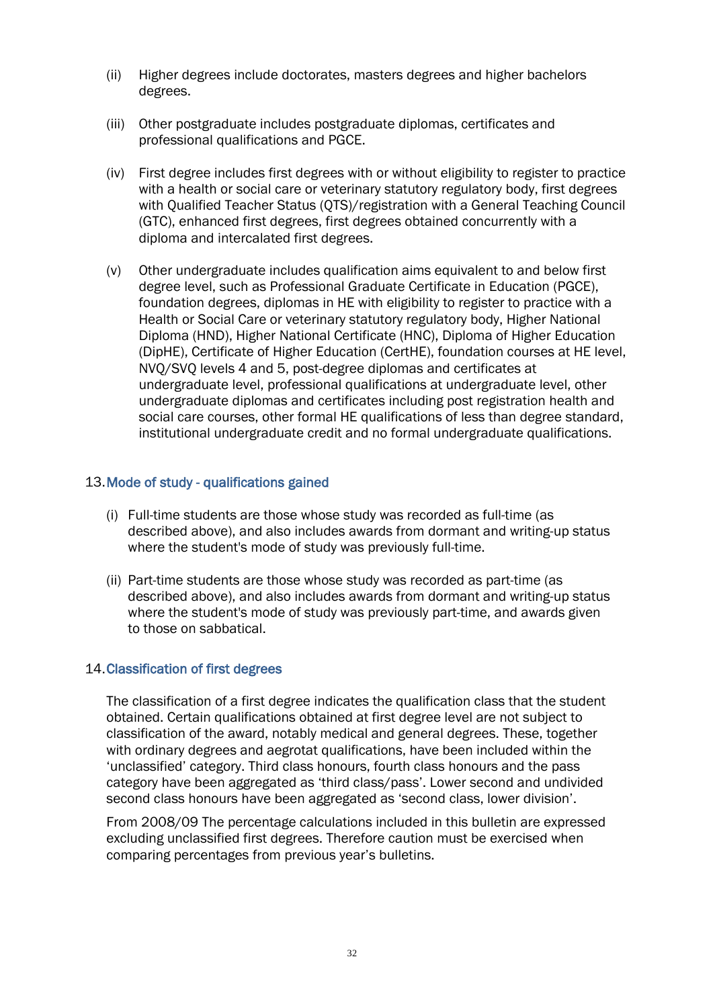- (ii) Higher degrees include doctorates, masters degrees and higher bachelors degrees.
- (iii) Other postgraduate includes postgraduate diplomas, certificates and professional qualifications and PGCE.
- (iv) First degree includes first degrees with or without eligibility to register to practice with a health or social care or veterinary statutory regulatory body, first degrees with Qualified Teacher Status (QTS)/registration with a General Teaching Council (GTC), enhanced first degrees, first degrees obtained concurrently with a diploma and intercalated first degrees.
- (v) Other undergraduate includes qualification aims equivalent to and below first degree level, such as Professional Graduate Certificate in Education (PGCE), foundation degrees, diplomas in HE with eligibility to register to practice with a Health or Social Care or veterinary statutory regulatory body, Higher National Diploma (HND), Higher National Certificate (HNC), Diploma of Higher Education (DipHE), Certificate of Higher Education (CertHE), foundation courses at HE level, NVQ/SVQ levels 4 and 5, post-degree diplomas and certificates at undergraduate level, professional qualifications at undergraduate level, other undergraduate diplomas and certificates including post registration health and social care courses, other formal HE qualifications of less than degree standard, institutional undergraduate credit and no formal undergraduate qualifications.

### 13.Mode of study - qualifications gained

- (i) Full-time students are those whose study was recorded as full-time (as described above), and also includes awards from dormant and writing-up status where the student's mode of study was previously full-time.
- (ii) Part-time students are those whose study was recorded as part-time (as described above), and also includes awards from dormant and writing-up status where the student's mode of study was previously part-time, and awards given to those on sabbatical.

### 14.Classification of first degrees

The classification of a first degree indicates the qualification class that the student obtained. Certain qualifications obtained at first degree level are not subject to classification of the award, notably medical and general degrees. These, together with ordinary degrees and aegrotat qualifications, have been included within the 'unclassified' category. Third class honours, fourth class honours and the pass category have been aggregated as 'third class/pass'. Lower second and undivided second class honours have been aggregated as 'second class, lower division'.

From 2008/09 The percentage calculations included in this bulletin are expressed excluding unclassified first degrees. Therefore caution must be exercised when comparing percentages from previous year's bulletins.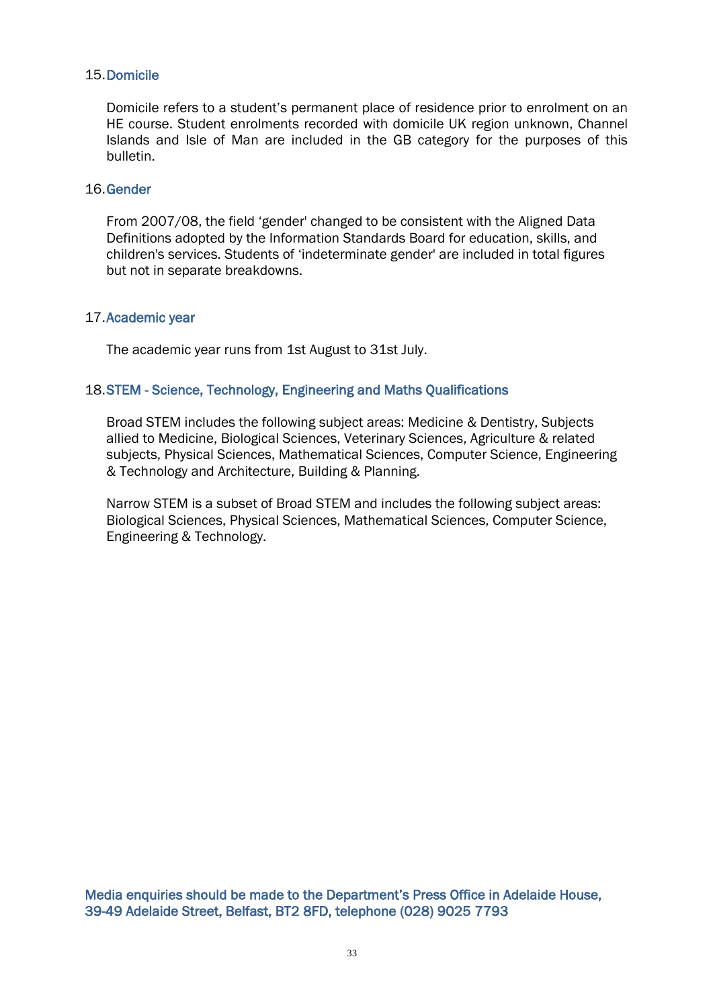### 15.Domicile

Domicile refers to a student's permanent place of residence prior to enrolment on an HE course. Student enrolments recorded with domicile UK region unknown, Channel Islands and Isle of Man are included in the GB category for the purposes of this bulletin.

### 16.Gender

From 2007/08, the field 'gender' changed to be consistent with the Aligned Data Definitions adopted by the Information Standards Board for education, skills, and children's services. Students of 'indeterminate gender' are included in total figures but not in separate breakdowns.

### 17.Academic year

The academic year runs from 1st August to 31st July.

### 18.STEM - Science, Technology, Engineering and Maths Qualifications

Broad STEM includes the following subject areas: Medicine & Dentistry, Subjects allied to Medicine, Biological Sciences, Veterinary Sciences, Agriculture & related subjects, Physical Sciences, Mathematical Sciences, Computer Science, Engineering & Technology and Architecture, Building & Planning.

Narrow STEM is a subset of Broad STEM and includes the following subject areas: Biological Sciences, Physical Sciences, Mathematical Sciences, Computer Science, Engineering & Technology.

Media enquiries should be made to the Department's Press Office in Adelaide House, 39-49 Adelaide Street, Belfast, BT2 8FD, telephone (028) 9025 7793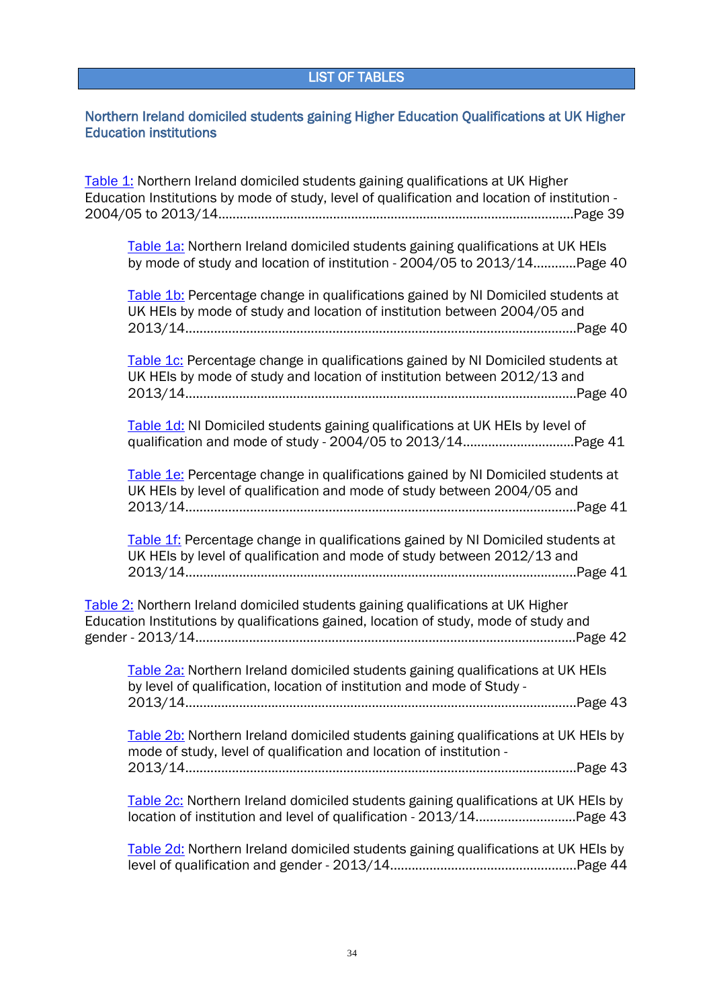### <span id="page-33-0"></span>Northern Ireland domiciled students gaining Higher Education Qualifications at UK Higher Education institutions

[Table 1:](#page-38-0) Northern Ireland domiciled students gaining qualifications at UK Higher Education Institutions by mode of study, level of qualification and location of institution - 2004/05 to 2013/14...................................................................................................Page 39

[Table 1a:](#page-39-0) Northern Ireland domiciled students gaining qualifications at UK HEIs by mode of study and location of institution - 2004/05 to 2013/14............Page 40

[Table 1b:](#page-39-0) Percentage change in qualifications gained by NI Domiciled students at UK HEIs by mode of study and location of institution between 2004/05 and 2013/14.............................................................................................................Page 40

[Table 1c:](#page-39-0) Percentage change in qualifications gained by NI Domiciled students at UK HEIs by mode of study and location of institution between 2012/13 and 2013/14.............................................................................................................Page 40

[Table 1d:](#page-40-0) NI Domiciled students gaining qualifications at UK HEIs by level of qualification and mode of study - 2004/05 to 2013/14...............................Page 41

[Table 1e:](#page-40-0) Percentage change in qualifications gained by NI Domiciled students at UK HEIs by level of qualification and mode of study between 2004/05 and 2013/14.............................................................................................................Page 41

[Table 1f:](#page-40-0) Percentage change in qualifications gained by NI Domiciled students at UK HEIs by level of qualification and mode of study between 2012/13 and 2013/14.............................................................................................................Page 41

[Table 2:](#page-41-0) Northern Ireland domiciled students gaining qualifications at UK Higher Education Institutions by qualifications gained, location of study, mode of study and gender - 2013/14..........................................................................................................Page 42

[Table 2a:](#page-42-0) Northern Ireland domiciled students gaining qualifications at UK HEIs by level of qualification, location of institution and mode of Study - 2013/14.............................................................................................................Page 43 [Table 2b:](#page-42-0) Northern Ireland domiciled students gaining qualifications at UK HEIs by mode of study, level of qualification and location of institution - 2013/14.............................................................................................................Page 43 [Table 2c:](#page-42-0) Northern Ireland domiciled students gaining qualifications at UK HEIs by location of institution and level of qualification - 2013/14............................Page 43 [Table 2d:](#page-43-0) Northern Ireland domiciled students gaining qualifications at UK HEIs by level of qualification and gender - 2013/14....................................................Page 44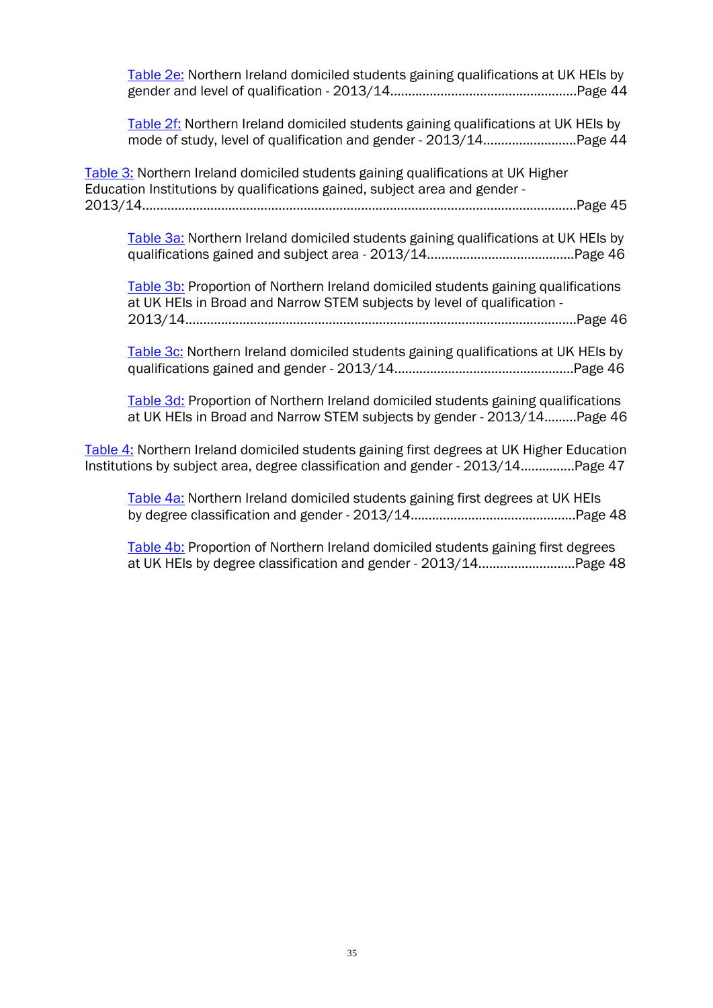| Table 2e: Northern Ireland domiciled students gaining qualifications at UK HEIs by                                                                                           |
|------------------------------------------------------------------------------------------------------------------------------------------------------------------------------|
| Table 2f: Northern Ireland domiciled students gaining qualifications at UK HEIs by<br>mode of study, level of qualification and gender - 2013/14Page 44                      |
| Table 3: Northern Ireland domiciled students gaining qualifications at UK Higher<br>Education Institutions by qualifications gained, subject area and gender -               |
| Table 3a: Northern Ireland domiciled students gaining qualifications at UK HEIs by                                                                                           |
| Table 3b: Proportion of Northern Ireland domiciled students gaining qualifications<br>at UK HEIs in Broad and Narrow STEM subjects by level of qualification -               |
| Table 3c: Northern Ireland domiciled students gaining qualifications at UK HEIs by                                                                                           |
| Table 3d: Proportion of Northern Ireland domiciled students gaining qualifications<br>at UK HEIs in Broad and Narrow STEM subjects by gender - 2013/14Page 46                |
| Table 4: Northern Ireland domiciled students gaining first degrees at UK Higher Education<br>Institutions by subject area, degree classification and gender - 2013/14Page 47 |
| Table 4a: Northern Ireland domiciled students gaining first degrees at UK HEIs                                                                                               |
| Table 4b: Proportion of Northern Ireland domiciled students gaining first degrees<br>at UK HEIs by degree classification and gender - 2013/14Page 48                         |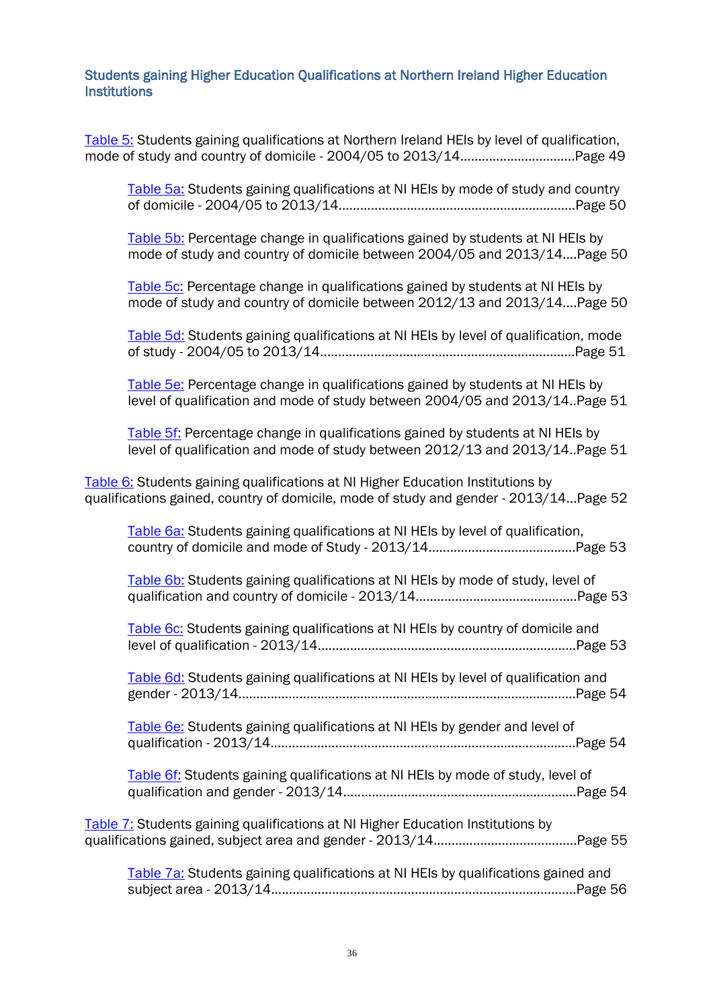### Students gaining Higher Education Qualifications at Northern Ireland Higher Education **Institutions**

[Table 5:](#page-48-0) Students gaining qualifications at Northern Ireland HEIs by level of qualification, mode of study and country of domicile - 2004/05 to 2013/14................................Page 49

[Table 5a:](#page-49-0) Students gaining qualifications at NI HEIs by mode of study and country of domicile - 2004/05 to 2013/14..................................................................Page 50

[Table 5b:](#page-49-0) Percentage change in qualifications gained by students at NI HEIs by mode of study and country of domicile between 2004/05 and 2013/14....Page 50

[Table 5c:](#page-49-0) Percentage change in qualifications gained by students at NI HEIs by mode of study and country of domicile between 2012/13 and 2013/14....Page 50

[Table 5d:](#page-50-0) Students gaining qualifications at NI HEIs by level of qualification, mode of study - 2004/05 to 2013/14.......................................................................Page 51

[Table 5e:](#page-50-0) Percentage change in qualifications gained by students at NI HEIs by level of qualification and mode of study between 2004/05 and 2013/14..Page 51

[Table 5f:](#page-50-0) Percentage change in qualifications gained by students at NI HEIs by level of qualification and mode of study between 2012/13 and 2013/14..Page 51

[Table 6:](#page-51-0) Students gaining qualifications at NI Higher Education Institutions by qualifications gained, country of domicile, mode of study and gender - 2013/14...Page 52

| Table 6a: Students gaining qualifications at NI HEIs by level of qualification,    |
|------------------------------------------------------------------------------------|
| Table 6b: Students gaining qualifications at NI HEIs by mode of study, level of    |
| Table 6c: Students gaining qualifications at NI HEIs by country of domicile and    |
| Table 6d: Students gaining qualifications at NI HEIs by level of qualification and |
| Table 6e: Students gaining qualifications at NI HEIs by gender and level of        |
| Table 6f: Students gaining qualifications at NI HEIs by mode of study, level of    |
| Table 7: Students gaining qualifications at NI Higher Education Institutions by    |
| Table 7a: Students gaining qualifications at NI HEIs by qualifications gained and  |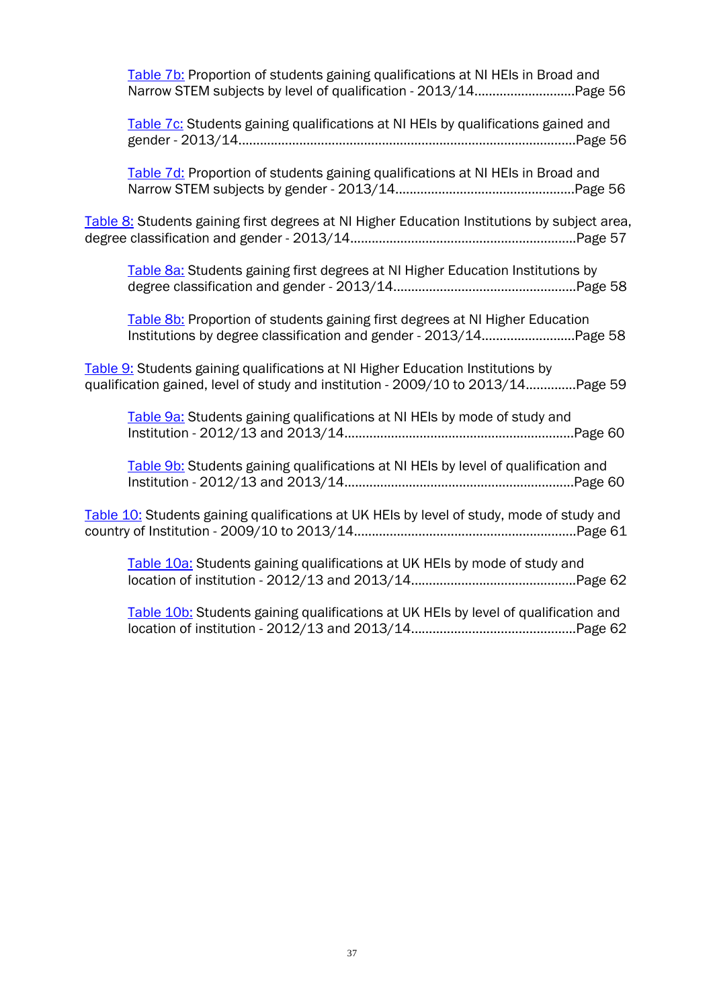| Table 7b: Proportion of students gaining qualifications at NI HEIs in Broad and                                                                                     |
|---------------------------------------------------------------------------------------------------------------------------------------------------------------------|
| Table 7c: Students gaining qualifications at NI HEIs by qualifications gained and                                                                                   |
| Table 7d: Proportion of students gaining qualifications at NI HEIs in Broad and                                                                                     |
| Table 8: Students gaining first degrees at NI Higher Education Institutions by subject area,                                                                        |
| Table 8a: Students gaining first degrees at NI Higher Education Institutions by                                                                                     |
| Table 8b: Proportion of students gaining first degrees at NI Higher Education<br>Institutions by degree classification and gender - 2013/14Page 58                  |
| Table 9: Students gaining qualifications at NI Higher Education Institutions by<br>qualification gained, level of study and institution - 2009/10 to 2013/14Page 59 |
| Table 9a: Students gaining qualifications at NI HEIs by mode of study and                                                                                           |
| Table 9b: Students gaining qualifications at NI HEIs by level of qualification and                                                                                  |
| Table 10: Students gaining qualifications at UK HEIs by level of study, mode of study and                                                                           |
| Table 10a: Students gaining qualifications at UK HEIs by mode of study and                                                                                          |
| Table 10b: Students gaining qualifications at UK HEIs by level of qualification and                                                                                 |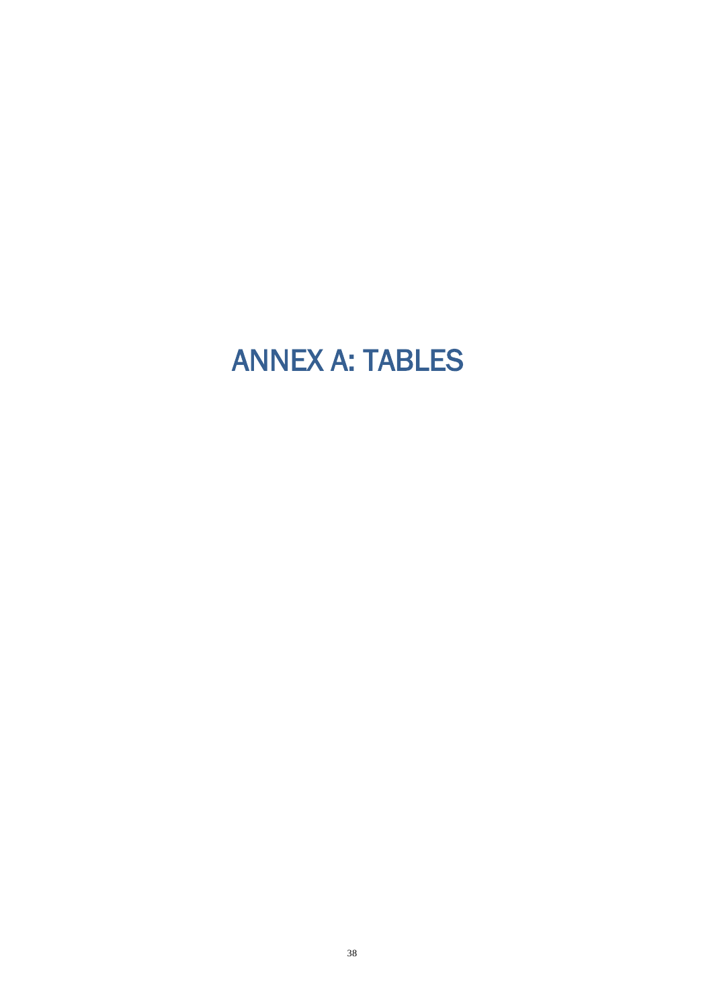# <span id="page-37-0"></span>ANNEX A: TABLES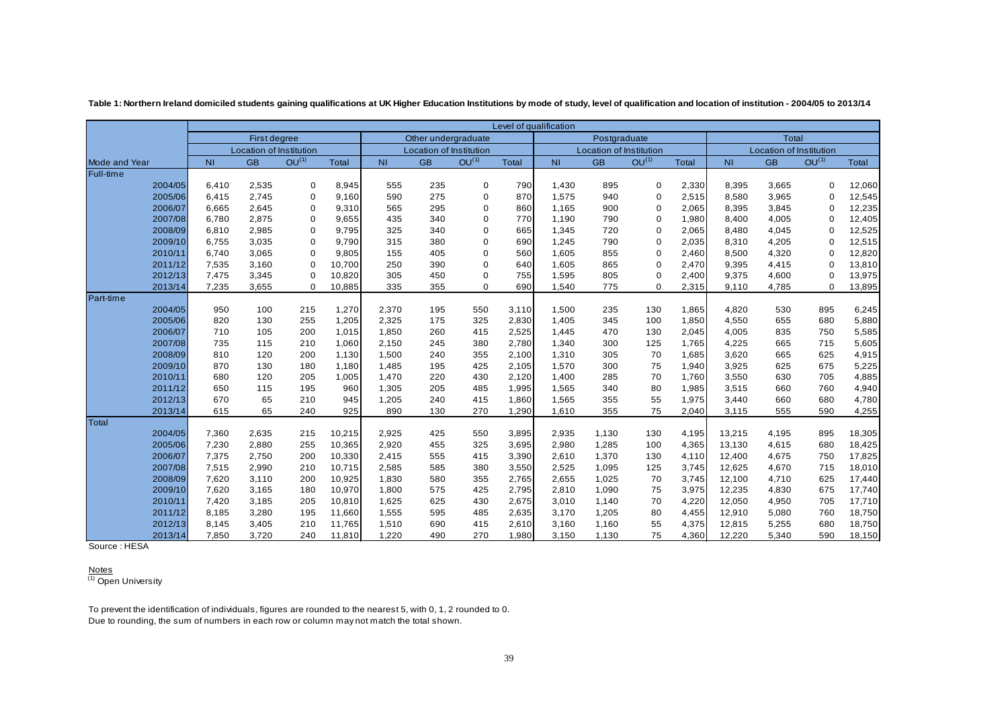|                      |         | Level of qualification                                    |              |                                                           |                         |                     |                                      |                         |       |              |                |                         |                   |        |       |             |        |
|----------------------|---------|-----------------------------------------------------------|--------------|-----------------------------------------------------------|-------------------------|---------------------|--------------------------------------|-------------------------|-------|--------------|----------------|-------------------------|-------------------|--------|-------|-------------|--------|
|                      |         |                                                           | First degree |                                                           |                         | Other undergraduate |                                      |                         |       | Postgraduate |                |                         |                   | Total  |       |             |        |
|                      |         | Location of Institution                                   |              |                                                           | Location of Institution |                     |                                      | Location of Institution |       |              |                | Location of Institution |                   |        |       |             |        |
| <b>Mode and Year</b> |         | OU <sup>(1)</sup><br><b>GB</b><br>N <sub>1</sub><br>Total |              | OU <sup>(1)</sup><br><b>GB</b><br>Total<br>N <sub>1</sub> |                         |                     | $OU^{(1)}$<br><b>NI</b><br><b>GB</b> |                         |       | Total        | N <sub>1</sub> | <b>GB</b>               | OU <sup>(1)</sup> | Total  |       |             |        |
| Full-time            |         |                                                           |              |                                                           |                         |                     |                                      |                         |       |              |                |                         |                   |        |       |             |        |
|                      | 2004/05 | 6,410                                                     | 2,535        | $\mathbf 0$                                               | 8,945                   | 555                 | 235                                  | $\mathbf 0$             | 790   | 1,430        | 895            | 0                       | 2,330             | 8,395  | 3,665 | 0           | 12,060 |
|                      | 2005/06 | 6,415                                                     | 2,745        | $\mathbf 0$                                               | 9,160                   | 590                 | 275                                  | $\mathbf 0$             | 870   | 1.575        | 940            | 0                       | 2,515             | 8,580  | 3,965 | 0           | 12,545 |
|                      | 2006/07 | 6,665                                                     | 2,645        | $\mathbf 0$                                               | 9,310                   | 565                 | 295                                  | $\mathbf 0$             | 860   | 1,165        | 900            | 0                       | 2,065             | 8,395  | 3,845 | 0           | 12,235 |
|                      | 2007/08 | 6,780                                                     | 2,875        | $\mathbf 0$                                               | 9,655                   | 435                 | 340                                  | $\mathbf 0$             | 770   | 1,190        | 790            | 0                       | 1,980             | 8,400  | 4,005 | 0           | 12,405 |
|                      | 2008/09 | 6,810                                                     | 2,985        | $\mathbf 0$                                               | 9,795                   | 325                 | 340                                  | $\mathbf 0$             | 665   | 1,345        | 720            | 0                       | 2,065             | 8,480  | 4,045 | 0           | 12,525 |
|                      | 2009/10 | 6,755                                                     | 3,035        | $\mathbf 0$                                               | 9,790                   | 315                 | 380                                  | $\mathbf 0$             | 690   | 1,245        | 790            | 0                       | 2,035             | 8,310  | 4,205 | $\mathbf 0$ | 12,515 |
|                      | 2010/11 | 6,740                                                     | 3,065        | 0                                                         | 9,805                   | 155                 | 405                                  | $\mathbf 0$             | 560   | 1,605        | 855            | 0                       | 2,460             | 8,500  | 4,320 | 0           | 12,820 |
|                      | 2011/12 | 7,535                                                     | 3,160        | $\mathbf 0$                                               | 10,700                  | 250                 | 390                                  | $\mathbf 0$             | 640   | 1,605        | 865            | 0                       | 2,470             | 9,395  | 4,415 | 0           | 13,810 |
|                      | 2012/13 | 7,475                                                     | 3,345        | $\mathbf 0$                                               | 10,820                  | 305                 | 450                                  | $\mathbf 0$             | 755   | 1,595        | 805            | 0                       | 2,400             | 9,375  | 4,600 | $\mathbf 0$ | 13,975 |
|                      | 2013/14 | 7,235                                                     | 3,655        | $\mathbf 0$                                               | 10,885                  | 335                 | 355                                  | $\mathbf 0$             | 690   | 1,540        | 775            | 0                       | 2,315             | 9,110  | 4,785 | $\mathbf 0$ | 13,895 |
| Part-time            |         |                                                           |              |                                                           |                         |                     |                                      |                         |       |              |                |                         |                   |        |       |             |        |
|                      | 2004/05 | 950                                                       | 100          | 215                                                       | 1,270                   | 2,370               | 195                                  | 550                     | 3,110 | 1,500        | 235            | 130                     | 1,865             | 4,820  | 530   | 895         | 6,245  |
|                      | 2005/06 | 820                                                       | 130          | 255                                                       | 1,205                   | 2,325               | 175                                  | 325                     | 2,830 | 1,405        | 345            | 100                     | 1,850             | 4,550  | 655   | 680         | 5,880  |
|                      | 2006/07 | 710                                                       | 105          | 200                                                       | 1,015                   | 1,850               | 260                                  | 415                     | 2,525 | 1,445        | 470            | 130                     | 2,045             | 4,005  | 835   | 750         | 5,585  |
|                      | 2007/08 | 735                                                       | 115          | 210                                                       | 1,060                   | 2,150               | 245                                  | 380                     | 2,780 | 1,340        | 300            | 125                     | 1,765             | 4,225  | 665   | 715         | 5,605  |
|                      | 2008/09 | 810                                                       | 120          | 200                                                       | 1,130                   | 1,500               | 240                                  | 355                     | 2,100 | 1,310        | 305            | 70                      | 1,685             | 3,620  | 665   | 625         | 4,915  |
|                      | 2009/10 | 870                                                       | 130          | 180                                                       | 1,180                   | 1,485               | 195                                  | 425                     | 2,105 | 1,570        | 300            | 75                      | 1,940             | 3,925  | 625   | 675         | 5,225  |
|                      | 2010/11 | 680                                                       | 120          | 205                                                       | 1,005                   | 1,470               | 220                                  | 430                     | 2,120 | 1,400        | 285            | 70                      | 1,760             | 3,550  | 630   | 705         | 4,885  |
|                      | 2011/12 | 650                                                       | 115          | 195                                                       | 960                     | 1,305               | 205                                  | 485                     | 1,995 | 1,565        | 340            | 80                      | 1,985             | 3,515  | 660   | 760         | 4,940  |
|                      | 2012/13 | 670                                                       | 65           | 210                                                       | 945                     | 1,205               | 240                                  | 415                     | 1,860 | 1,565        | 355            | 55                      | 1,975             | 3,440  | 660   | 680         | 4,780  |
|                      | 2013/14 | 615                                                       | 65           | 240                                                       | 925                     | 890                 | 130                                  | 270                     | 1,290 | 1,610        | 355            | 75                      | 2,040             | 3,115  | 555   | 590         | 4,255  |
| Total                |         |                                                           |              |                                                           |                         |                     |                                      |                         |       |              |                |                         |                   |        |       |             |        |
|                      | 2004/05 | 7,360                                                     | 2,635        | 215                                                       | 10,215                  | 2,925               | 425                                  | 550                     | 3,895 | 2,935        | 1,130          | 130                     | 4,195             | 13,215 | 4,195 | 895         | 18,305 |
|                      | 2005/06 | 7,230                                                     | 2,880        | 255                                                       | 10,365                  | 2,920               | 455                                  | 325                     | 3,695 | 2,980        | 1,285          | 100                     | 4,365             | 13,130 | 4,615 | 680         | 18,425 |
|                      | 2006/07 | 7,375                                                     | 2,750        | 200                                                       | 10,330                  | 2,415               | 555                                  | 415                     | 3,390 | 2,610        | 1,370          | 130                     | 4,110             | 12,400 | 4,675 | 750         | 17,825 |
|                      | 2007/08 | 7,515                                                     | 2,990        | 210                                                       | 10,715                  | 2,585               | 585                                  | 380                     | 3,550 | 2,525        | 1,095          | 125                     | 3,745             | 12,625 | 4,670 | 715         | 18,010 |
|                      | 2008/09 | 7,620                                                     | 3,110        | 200                                                       | 10,925                  | 1,830               | 580                                  | 355                     | 2,765 | 2,655        | 1,025          | 70                      | 3,745             | 12,100 | 4,710 | 625         | 17,440 |
|                      | 2009/10 | 7,620                                                     | 3,165        | 180                                                       | 10,970                  | 1,800               | 575                                  | 425                     | 2,795 | 2,810        | 1,090          | 75                      | 3,975             | 12,235 | 4,830 | 675         | 17,740 |
|                      | 2010/11 | 7,420                                                     | 3,185        | 205                                                       | 10,810                  | 1,625               | 625                                  | 430                     | 2,675 | 3,010        | 1,140          | 70                      | 4,220             | 12,050 | 4,950 | 705         | 17,710 |
|                      | 2011/12 | 8,185                                                     | 3,280        | 195                                                       | 11,660                  | 1,555               | 595                                  | 485                     | 2,635 | 3,170        | 1,205          | 80                      | 4,455             | 12,910 | 5,080 | 760         | 18,750 |
|                      | 2012/13 | 8,145                                                     | 3,405        | 210                                                       | 11,765                  | 1,510               | 690                                  | 415                     | 2,610 | 3,160        | 1,160          | 55                      | 4,375             | 12,815 | 5,255 | 680         | 18,750 |
|                      | 2013/14 | 7,850                                                     | 3,720        | 240                                                       | 11,810                  | 1,220               | 490                                  | 270                     | 1,980 | 3,150        | 1,130          | 75                      | 4,360             | 12,220 | 5,340 | 590         | 18,150 |

Table 1: Northern Ireland domiciled students gaining qualifications at UK Higher Education Institutions by mode of study, level of qualification and location of institution - 2004/05 to 2013/14

<span id="page-38-0"></span>Source : HESA

Notes<br><sup>(1)</sup> Open University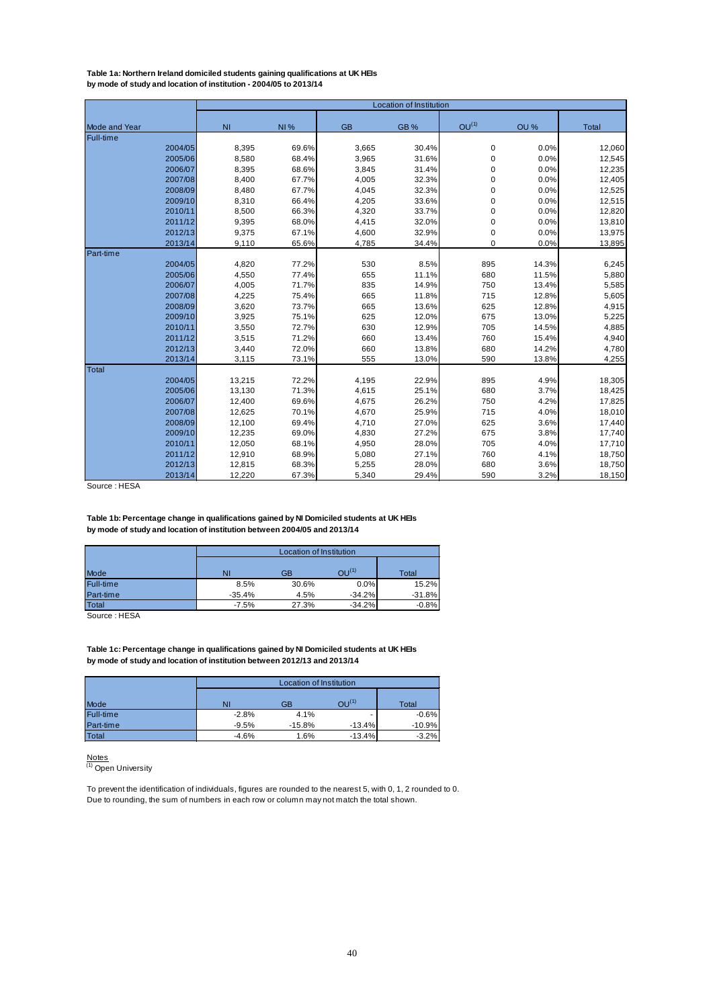<span id="page-39-0"></span>**Table 1a: Northern Ireland domiciled students gaining qualifications at UK HEIs by mode of study and location of institution - 2004/05 to 2013/14**

|                      |                |            |           | Location of Institution |                   |       |              |
|----------------------|----------------|------------|-----------|-------------------------|-------------------|-------|--------------|
| <b>Mode and Year</b> | N <sub>1</sub> | <b>NI%</b> | <b>GB</b> | GB%                     | OU <sup>(1)</sup> | OU %  | <b>Total</b> |
| <b>Full-time</b>     |                |            |           |                         |                   |       |              |
| 2004/05              | 8,395          | 69.6%      | 3,665     | 30.4%                   | 0                 | 0.0%  | 12,060       |
| 2005/06              | 8,580          | 68.4%      | 3,965     | 31.6%                   | $\pmb{0}$         | 0.0%  | 12,545       |
| 2006/07              | 8,395          | 68.6%      | 3,845     | 31.4%                   | $\pmb{0}$         | 0.0%  | 12,235       |
| 2007/08              | 8,400          | 67.7%      | 4,005     | 32.3%                   | 0                 | 0.0%  | 12,405       |
| 2008/09              | 8,480          | 67.7%      | 4,045     | 32.3%                   | $\pmb{0}$         | 0.0%  | 12,525       |
| 2009/10              | 8,310          | 66.4%      | 4,205     | 33.6%                   | $\pmb{0}$         | 0.0%  | 12,515       |
| 2010/11              | 8,500          | 66.3%      | 4,320     | 33.7%                   | 0                 | 0.0%  | 12,820       |
| 2011/12              | 9,395          | 68.0%      | 4,415     | 32.0%                   | 0                 | 0.0%  | 13,810       |
| 2012/13              | 9,375          | 67.1%      | 4,600     | 32.9%                   | 0                 | 0.0%  | 13,975       |
| 2013/14              | 9,110          | 65.6%      | 4,785     | 34.4%                   | 0                 | 0.0%  | 13,895       |
| Part-time            |                |            |           |                         |                   |       |              |
| 2004/05              | 4,820          | 77.2%      | 530       | 8.5%                    | 895               | 14.3% | 6,245        |
| 2005/06              | 4,550          | 77.4%      | 655       | 11.1%                   | 680               | 11.5% | 5,880        |
| 2006/07              | 4,005          | 71.7%      | 835       | 14.9%                   | 750               | 13.4% | 5,585        |
| 2007/08              | 4,225          | 75.4%      | 665       | 11.8%                   | 715               | 12.8% | 5,605        |
| 2008/09              | 3,620          | 73.7%      | 665       | 13.6%                   | 625               | 12.8% | 4,915        |
| 2009/10              | 3,925          | 75.1%      | 625       | 12.0%                   | 675               | 13.0% | 5,225        |
| 2010/11              | 3,550          | 72.7%      | 630       | 12.9%                   | 705               | 14.5% | 4,885        |
| 2011/12              | 3,515          | 71.2%      | 660       | 13.4%                   | 760               | 15.4% | 4,940        |
| 2012/13              | 3,440          | 72.0%      | 660       | 13.8%                   | 680               | 14.2% | 4,780        |
| 2013/14              | 3,115          | 73.1%      | 555       | 13.0%                   | 590               | 13.8% | 4,255        |
| <b>Total</b>         |                |            |           |                         |                   |       |              |
| 2004/05              | 13,215         | 72.2%      | 4,195     | 22.9%                   | 895               | 4.9%  | 18,305       |
| 2005/06              | 13,130         | 71.3%      | 4,615     | 25.1%                   | 680               | 3.7%  | 18,425       |
| 2006/07              | 12,400         | 69.6%      | 4,675     | 26.2%                   | 750               | 4.2%  | 17,825       |
| 2007/08              | 12,625         | 70.1%      | 4,670     | 25.9%                   | 715               | 4.0%  | 18,010       |
| 2008/09              | 12,100         | 69.4%      | 4,710     | 27.0%                   | 625               | 3.6%  | 17,440       |
| 2009/10              | 12,235         | 69.0%      | 4,830     | 27.2%                   | 675               | 3.8%  | 17,740       |
| 2010/11              | 12,050         | 68.1%      | 4,950     | 28.0%                   | 705               | 4.0%  | 17,710       |
| 2011/12              | 12,910         | 68.9%      | 5,080     | 27.1%                   | 760               | 4.1%  | 18,750       |
| 2012/13              | 12,815         | 68.3%      | 5,255     | 28.0%                   | 680               | 3.6%  | 18,750       |
| 2013/14              | 12,220         | 67.3%      | 5,340     | 29.4%                   | 590               | 3.2%  | 18,150       |

Source : HESA

**by mode of study and location of institution between 2004/05 and 2013/14 Table 1b: Percentage change in qualifications gained by NI Domiciled students at UK HEIs** 

|                  |          | Location of Institution |                   |              |  |  |  |  |  |  |  |  |
|------------------|----------|-------------------------|-------------------|--------------|--|--|--|--|--|--|--|--|
|                  |          |                         |                   |              |  |  |  |  |  |  |  |  |
| Mode             | NI       | GB                      | OU <sup>(1)</sup> | <b>Total</b> |  |  |  |  |  |  |  |  |
| <b>Full-time</b> | 8.5%     | 30.6%                   | 0.0%              | 15.2%        |  |  |  |  |  |  |  |  |
| Part-time        | $-35.4%$ | 4.5%                    | $-34.2%$          | $-31.8%$     |  |  |  |  |  |  |  |  |
| Total            | $-7.5%$  | 27.3%                   | $-34.2%$          | $-0.8%$      |  |  |  |  |  |  |  |  |

Source : HESA

**by mode of study and location of institution between 2012/13 and 2013/14 Table 1c: Percentage change in qualifications gained by NI Domiciled students at UK HEIs** 

|                  |         | Location of Institution |            |          |  |  |  |  |  |  |  |  |  |
|------------------|---------|-------------------------|------------|----------|--|--|--|--|--|--|--|--|--|
|                  |         |                         |            |          |  |  |  |  |  |  |  |  |  |
| Mode             | NI      | GB                      | $OU^{(1)}$ | Total    |  |  |  |  |  |  |  |  |  |
| <b>Full-time</b> | $-2.8%$ | 4.1%                    |            | $-0.6%$  |  |  |  |  |  |  |  |  |  |
| Part-time        | $-9.5%$ | $-15.8%$                | $-13.4%$   | $-10.9%$ |  |  |  |  |  |  |  |  |  |
| Total            | $-4.6%$ | 1.6%                    | $-13.4%$   | $-3.2%$  |  |  |  |  |  |  |  |  |  |

<u>Notes</u><br><sup>(1)</sup> Open University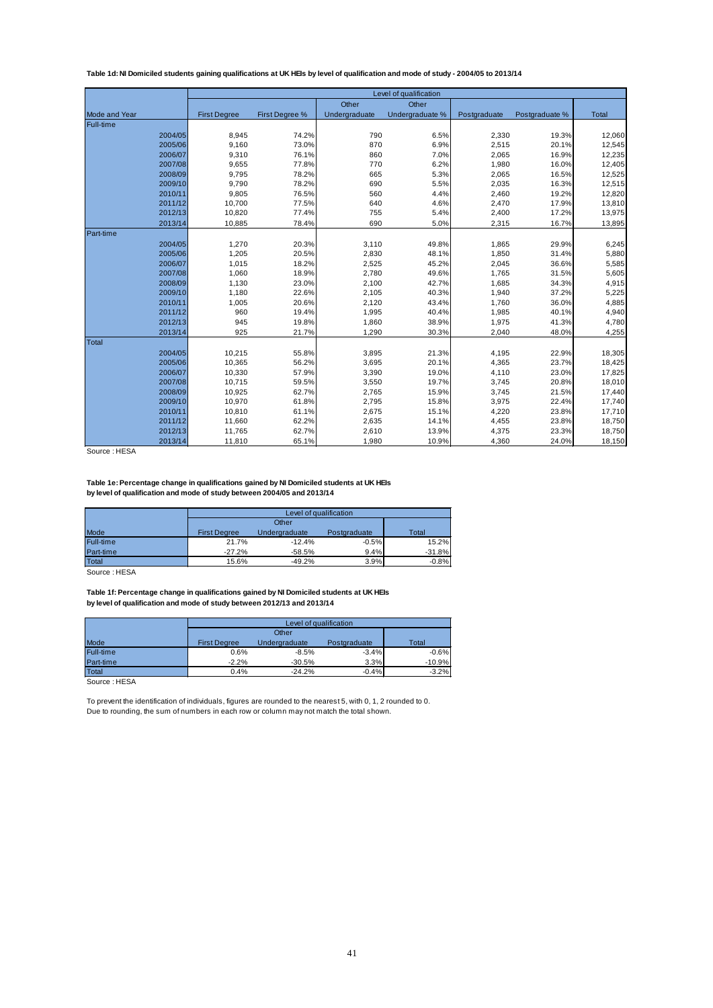<span id="page-40-0"></span>**Table 1d: NI Domiciled students gaining qualifications at UK HEIs by level of qualification and mode of study - 2004/05 to 2013/14** 

|                      |                     |                |               | Level of qualification |              |                |              |
|----------------------|---------------------|----------------|---------------|------------------------|--------------|----------------|--------------|
|                      |                     |                | Other         | Other                  |              |                |              |
| <b>Mode and Year</b> | <b>First Degree</b> | First Degree % | Undergraduate | Undergraduate %        | Postgraduate | Postgraduate % | <b>Total</b> |
| Full-time            |                     |                |               |                        |              |                |              |
| 2004/05              | 8,945               | 74.2%          | 790           | 6.5%                   | 2,330        | 19.3%          | 12,060       |
| 2005/06              | 9,160               | 73.0%          | 870           | 6.9%                   | 2,515        | 20.1%          | 12,545       |
| 2006/07              | 9,310               | 76.1%          | 860           | 7.0%                   | 2,065        | 16.9%          | 12,235       |
| 2007/08              | 9,655               | 77.8%          | 770           | 6.2%                   | 1,980        | 16.0%          | 12,405       |
| 2008/09              | 9,795               | 78.2%          | 665           | 5.3%                   | 2,065        | 16.5%          | 12,525       |
| 2009/10              | 9,790               | 78.2%          | 690           | 5.5%                   | 2,035        | 16.3%          | 12,515       |
| 2010/11              | 9,805               | 76.5%          | 560           | 4.4%                   | 2,460        | 19.2%          | 12,820       |
| 2011/12              | 10,700              | 77.5%          | 640           | 4.6%                   | 2,470        | 17.9%          | 13,810       |
| 2012/13              | 10,820              | 77.4%          | 755           | 5.4%                   | 2,400        | 17.2%          | 13,975       |
| 2013/14              | 10,885              | 78.4%          | 690           | 5.0%                   | 2,315        | 16.7%          | 13,895       |
| Part-time            |                     |                |               |                        |              |                |              |
| 2004/05              | 1,270               | 20.3%          | 3,110         | 49.8%                  | 1,865        | 29.9%          | 6,245        |
| 2005/06              | 1,205               | 20.5%          | 2,830         | 48.1%                  | 1,850        | 31.4%          | 5,880        |
| 2006/07              | 1,015               | 18.2%          | 2,525         | 45.2%                  | 2,045        | 36.6%          | 5,585        |
| 2007/08              | 1,060               | 18.9%          | 2,780         | 49.6%                  | 1,765        | 31.5%          | 5,605        |
| 2008/09              | 1,130               | 23.0%          | 2,100         | 42.7%                  | 1,685        | 34.3%          | 4,915        |
| 2009/10              | 1,180               | 22.6%          | 2,105         | 40.3%                  | 1,940        | 37.2%          | 5,225        |
| 2010/11              | 1,005               | 20.6%          | 2,120         | 43.4%                  | 1,760        | 36.0%          | 4,885        |
| 2011/12              | 960                 | 19.4%          | 1,995         | 40.4%                  | 1,985        | 40.1%          | 4,940        |
| 2012/13              | 945                 | 19.8%          | 1,860         | 38.9%                  | 1,975        | 41.3%          | 4,780        |
| 2013/14              | 925                 | 21.7%          | 1,290         | 30.3%                  | 2,040        | 48.0%          | 4,255        |
| Total                |                     |                |               |                        |              |                |              |
| 2004/05              | 10,215              | 55.8%          | 3,895         | 21.3%                  | 4,195        | 22.9%          | 18,305       |
| 2005/06              | 10,365              | 56.2%          | 3,695         | 20.1%                  | 4,365        | 23.7%          | 18,425       |
| 2006/07              | 10,330              | 57.9%          | 3,390         | 19.0%                  | 4,110        | 23.0%          | 17,825       |
| 2007/08              | 10,715              | 59.5%          | 3,550         | 19.7%                  | 3,745        | 20.8%          | 18,010       |
| 2008/09              | 10,925              | 62.7%          | 2,765         | 15.9%                  | 3,745        | 21.5%          | 17,440       |
| 2009/10              | 10.970              | 61.8%          | 2.795         | 15.8%                  | 3,975        | 22.4%          | 17,740       |
| 2010/11              | 10,810              | 61.1%          | 2,675         | 15.1%                  | 4,220        | 23.8%          | 17,710       |
| 2011/12              | 11,660              | 62.2%          | 2,635         | 14.1%                  | 4,455        | 23.8%          | 18,750       |
| 2012/13              | 11,765              | 62.7%          | 2,610         | 13.9%                  | 4,375        | 23.3%          | 18,750       |
| 2013/14              | 11,810              | 65.1%          | 1,980         | 10.9%                  | 4,360        | 24.0%          | 18,150       |

Source : HESA

**by level of qualification and mode of study between 2004/05 and 2013/14 Table 1e: Percentage change in qualifications gained by NI Domiciled students at UK HEIs** 

|           |                     | Level of qualification |              |          |
|-----------|---------------------|------------------------|--------------|----------|
|           |                     | Other                  |              |          |
| Mode      | <b>First Degree</b> | Undergraduate          | Postgraduate | Total    |
| Full-time | 21.7%               | $-12.4%$               | $-0.5%$      | 15.2%    |
| Part-time | $-27.2%$            | $-58.5%$               | 9.4%         | $-31.8%$ |
| Total     | 15.6%               | $-49.2%$               | 3.9%         | $-0.8%$  |

Source : HESA

**by level of qualification and mode of study between 2012/13 and 2013/14 Table 1f: Percentage change in qualifications gained by NI Domiciled students at UK HEIs** 

|                      |                     | Level of qualification |              |          |
|----------------------|---------------------|------------------------|--------------|----------|
|                      |                     | Other                  |              |          |
| Mode                 | <b>First Dearee</b> | Undergraduate          | Postgraduate | Total    |
| Full-time            | 0.6%                | $-8.5%$                | $-3.4%$      | $-0.6%$  |
| Part-time            | $-2.2%$             | $-30.5%$               | 3.3%         | $-10.9%$ |
| <b>Total</b>         | 0.4%                | $-24.2%$               | $-0.4%$      | $-3.2%$  |
| $\sim$ $\sim$ $\sim$ |                     |                        |              |          |

Source : HESA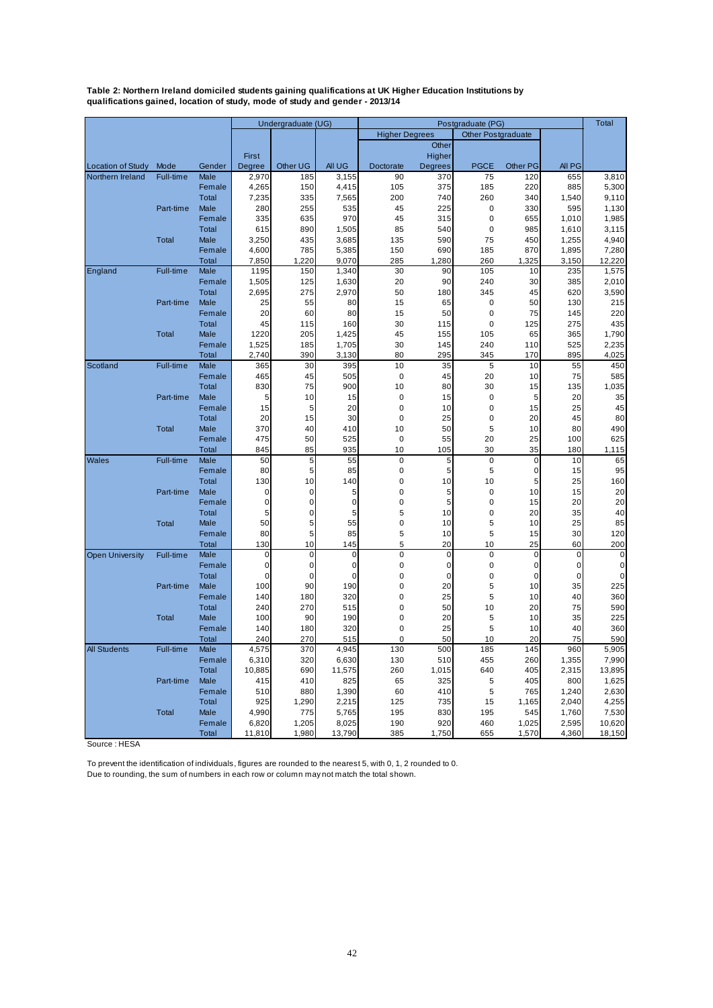<span id="page-41-0"></span>**Table 2: Northern Ireland domiciled students gaining qualifications at UK Higher Education Institutions by qualifications gained, location of study, mode of study and gender - 2013/14**

|                          |           |                      | Undergraduate (UG) |             |                |                       | Postgraduate (PG) |                           |                 | Total       |             |
|--------------------------|-----------|----------------------|--------------------|-------------|----------------|-----------------------|-------------------|---------------------------|-----------------|-------------|-------------|
|                          |           |                      |                    |             |                | <b>Higher Degrees</b> |                   | <b>Other Postgraduate</b> |                 |             |             |
|                          |           |                      |                    |             |                |                       | Other             |                           |                 |             |             |
|                          |           |                      | First              |             |                |                       | Higher            |                           |                 |             |             |
| <b>Location of Study</b> | Mode      | Gender               | Degree             | Other UG    | All UG         | Doctorate             | <b>Degrees</b>    | <b>PGCE</b>               | <b>Other PG</b> | All PG      |             |
| Northern Ireland         | Full-time | Male                 | 2,970              | 185         | 3,155          | 90                    | 370               | 75                        | 120             | 655         | 3,810       |
|                          |           | Female               | 4,265              | 150         | 4,415          | 105                   | 375               | 185                       | 220             | 885         | 5,300       |
|                          |           | <b>Total</b>         | 7,235              | 335         | 7,565          | 200                   | 740               | 260                       | 340             | 1,540       | 9,110       |
|                          | Part-time | Male                 | 280                | 255         | 535            | 45                    | 225               | $\mathbf 0$               | 330             | 595         | 1,130       |
|                          |           | Female               | 335                | 635         | 970            | 45                    | 315               | $\mathbf 0$               | 655             | 1,010       | 1,985       |
|                          |           | <b>Total</b>         | 615                | 890         | 1,505          | 85                    | 540               | $\pmb{0}$                 | 985             | 1,610       | 3,115       |
|                          | Total     | Male                 | 3,250              | 435         | 3,685          | 135                   | 590               | 75                        | 450             | 1,255       | 4,940       |
|                          |           | Female               | 4,600              | 785         | 5,385          | 150                   | 690               | 185                       | 870             | 1,895       | 7,280       |
|                          |           | Total                | 7,850              | 1,220       | 9,070          | 285                   | 1,280             | 260                       | 1,325           | 3,150       | 12,220      |
| England                  | Full-time | Male                 | 1195               | 150         | 1,340          | 30                    | 90                | 105                       | 10              | 235         | 1,575       |
|                          |           | Female               | 1,505              | 125         | 1,630          | 20                    | 90                | 240                       | 30              | 385         | 2,010       |
|                          |           | Total                | 2,695              | 275         | 2,970          | 50                    | 180               | 345                       | 45              | 620         | 3,590       |
|                          | Part-time | Male                 | 25                 | 55          | 80             | 15                    | 65                | $\pmb{0}$                 | 50              | 130         | 215         |
|                          |           | Female               | 20                 | 60          | 80             | 15                    | 50                | $\mathbf 0$               | 75              | 145         | 220         |
|                          |           | Total                | 45                 | 115         | 160            | 30                    | 115               | $\pmb{0}$                 | 125             | 275         | 435         |
|                          | Total     | Male                 | 1220               | 205         | 1,425          | 45                    | 155               | 105                       | 65              | 365         | 1,790       |
|                          |           | Female               | 1,525              | 185         | 1,705          | 30                    | 145               | 240                       | 110             | 525         | 2,235       |
|                          |           | Total                | 2,740              | 390         | 3,130          | 80                    | 295               | 345                       | 170             | 895         | 4,025       |
| Scotland                 | Full-time | Male                 | 365                | 30          | 395            | 10                    | 35                | 5                         | 10              | 55          | 450         |
|                          |           | Female               | 465                | 45          | 505            | $\mathbf 0$           | 45                | 20                        | 10              | 75          | 585         |
|                          |           | <b>Total</b>         | 830                | 75          | 900            | 10                    | 80                | 30                        | 15              | 135         | 1,035       |
|                          | Part-time | Male                 | 5                  | 10          | 15             | $\mathbf 0$           | 15                | $\mathbf 0$               | 5               | 20          | 35          |
|                          |           | Female               | 15                 | 5           | 20             | $\pmb{0}$             | 10                | $\pmb{0}$                 | 15              | 25          | 45          |
|                          |           | <b>Total</b>         | 20                 | 15          | 30             | 0                     | 25                | $\pmb{0}$                 | 20              | 45          | 80          |
|                          | Total     | Male                 | 370                | 40          | 410            | 10                    | 50                | 5                         | 10              | 80          | 490         |
|                          |           | Female               | 475                | 50          | 525            | $\mathbf 0$           | 55                | 20                        | 25              | 100         | 625         |
| <b>Wales</b>             | Full-time | <b>Total</b><br>Male | 845<br>50          | 85<br>5     | 935<br>55      | 10<br>$\pmb{0}$       | 105               | 30<br>$\pmb{0}$           | 35<br>$\pmb{0}$ | 180<br>10   | 1,115<br>65 |
|                          |           | Female               | 80                 | 5           | 85             | $\pmb{0}$             | 5<br>5            | 5                         | $\pmb{0}$       | 15          | 95          |
|                          |           | <b>Total</b>         | 130                | 10          | 140            | $\pmb{0}$             | 10                | 10                        | 5               | 25          | 160         |
|                          | Part-time | Male                 | $\mathbf 0$        | $\mathbf 0$ | 5              | $\pmb{0}$             | 5                 | $\pmb{0}$                 | 10              | 15          | 20          |
|                          |           | Female               | $\mathbf 0$        | $\mathbf 0$ | $\overline{0}$ | 0                     | 5                 | 0                         | 15              | 20          | 20          |
|                          |           | <b>Total</b>         | 5                  | 0           | 5              | 5                     | 10                | $\pmb{0}$                 | 20              | 35          | 40          |
|                          | Total     | Male                 | 50                 | 5           | 55             | 0                     | 10                | 5                         | 10              | 25          | 85          |
|                          |           | Female               | 80                 | 5           | 85             | 5                     | 10                | 5                         | 15              | 30          | 120         |
|                          |           | <b>Total</b>         | 130                | 10          | 145            | 5                     | 20                | 10                        | 25              | 60          | 200         |
| <b>Open University</b>   | Full-time | Male                 | $\mathbf 0$        | $\mathbf 0$ | 0              | $\mathbf 0$           | $\pmb{0}$         | $\pmb{0}$                 | $\mathbf 0$     | $\mathbf 0$ | $\mathbf 0$ |
|                          |           | Female               | $\mathbf 0$        | $\mathbf 0$ | 0              | 0                     | $\pmb{0}$         | $\pmb{0}$                 | $\pmb{0}$       | 0           | 0           |
|                          |           | <b>Total</b>         | $\mathbf 0$        | $\mathbf 0$ | $\mathbf 0$    | 0                     | $\mathbf 0$       | $\pmb{0}$                 | $\mathbf 0$     | $\mathbf 0$ | $\mathbf 0$ |
|                          | Part-time | Male                 | 100                | 90          | 190            | $\mathbf 0$           | 20                | 5                         | 10              | 35          | 225         |
|                          |           | Female               | 140                | 180         | 320            | $\pmb{0}$             | 25                | 5                         | 10              | 40          | 360         |
|                          |           | <b>Total</b>         | 240                | 270         | 515            | 0                     | 50                | 10                        | 20              | 75          | 590         |
|                          | Total     | Male                 | 100                | 90          | 190            | 0                     | 20                | 5                         | 10              | 35          | 225         |
|                          |           | Female               | 140                | 180         | 320            | $\pmb{0}$             | 25                | 5                         | 10              | 40          | 360         |
|                          |           | <b>Total</b>         | 240                | 270         | 515            | $\pmb{0}$             | 50                | 10                        | 20              | 75          | 590         |
| <b>All Students</b>      | Full-time | Male                 | 4,575              | 370         | 4,945          | 130                   | 500               | 185                       | 145             | 960         | 5,905       |
|                          |           | Female               | 6,310              | 320         | 6,630          | 130                   | 510               | 455                       | 260             | 1,355       | 7,990       |
|                          |           | <b>Total</b>         | 10,885             | 690         | 11,575         | 260                   | 1,015             | 640                       | 405             | 2,315       | 13,895      |
|                          | Part-time | Male                 | 415                | 410         | 825            | 65                    | 325               | 5                         | 405             | 800         | 1,625       |
|                          |           | Female               | 510                | 880         | 1,390          | 60                    | 410               | 5                         | 765             | 1,240       | 2,630       |
|                          |           | <b>Total</b>         | 925                | 1,290       | 2,215          | 125                   | 735               | 15                        | 1,165           | 2,040       | 4,255       |
|                          | Total     | <b>Male</b>          | 4,990              | 775         | 5,765          | 195                   | 830               | 195                       | 545             | 1,760       | 7,530       |
|                          |           | Female               | 6,820              | 1,205       | 8,025          | 190                   | 920               | 460                       | 1,025           | 2,595       | 10,620      |
|                          |           | <b>Total</b>         | 11,810             | 1,980       | 13,790         | 385                   | 1,750             | 655                       | 1,570           | 4,360       | 18,150      |

Source : HESA

To prevent the identification of individuals, figures are rounded to the nearest 5, with 0, 1, 2 rounded to 0.

Due to rounding, the sum of numbers in each row or column may not match the total shown.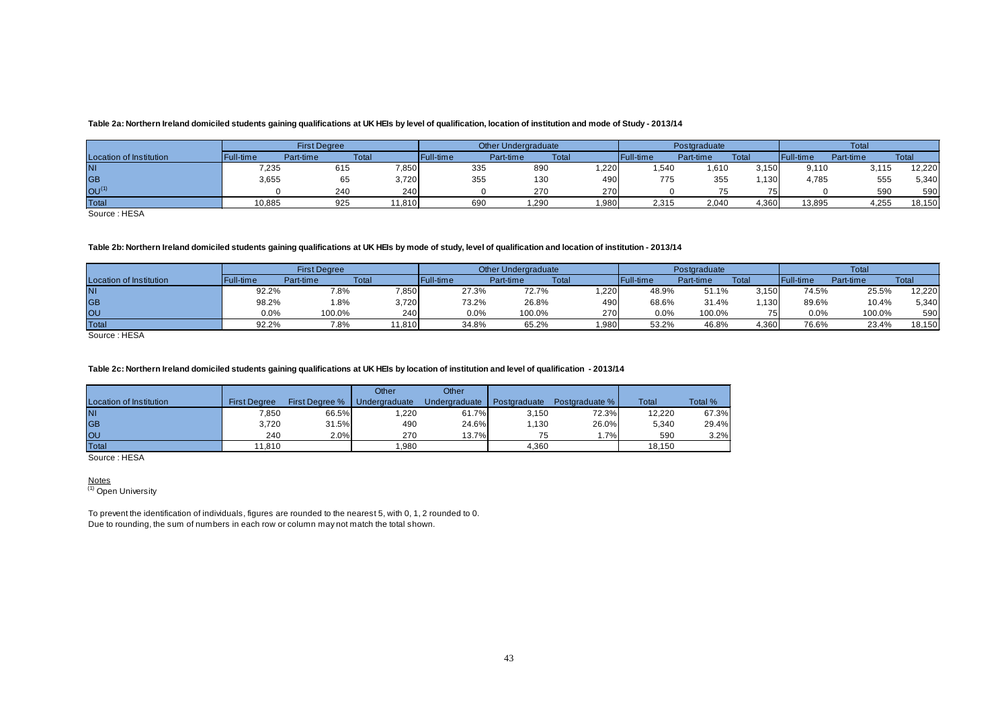#### **Table 2a: Northern Ireland domiciled students gaining qualifications at UK HEIs by level of qualification, location of institution and mode of Study - 2013/14**

|                         |           | <b>First Dearee</b> |        |           | <b>Other Undergraduate</b> |       |                  | Postgraduate |       | Total             |           |              |
|-------------------------|-----------|---------------------|--------|-----------|----------------------------|-------|------------------|--------------|-------|-------------------|-----------|--------------|
| Location of Institution | Full-time | Part-time           | Total  | Full-time | Part-time                  | Tota  | <b>Full-time</b> | Part-time    | Total | <b>IFull-time</b> | Part-time | <b>Total</b> |
| ΙNΙ                     | 7,235     | 615                 | 7,850  | 335       | 890                        | ,220  | 540, ا           | 610, ا       | 3.150 | 9,110             | 3,115     | 12,220       |
| GB                      | 3,655     | 65                  | 3,720  | 355       | 130                        | 490   | 775              | 355          | .130  | 4,785             | 555       | 5,340        |
| OU <sup>(1)</sup>       |           | 240                 | 240    |           | 270                        | 270   |                  | 75           | 75    |                   | 590       | 590          |
| <b>Total</b>            | 10,885    | 925                 | 11,810 | 690       | 290. ا                     | 1,980 | 2,315            | 2,040        | 4,360 | 13,895            | 4,255     | 18,150       |

Source : HESA

#### **Table 2b: Northern Ireland domiciled students gaining qualifications at UK HEIs by mode of study, level of qualification and location of institution - 2013/14**

|                         |           | <b>First Degree</b> |        |                   | <b>Other Undergraduate</b> |       |           | Postgraduate |                 | Total             |           |              |
|-------------------------|-----------|---------------------|--------|-------------------|----------------------------|-------|-----------|--------------|-----------------|-------------------|-----------|--------------|
| Location of Institution | Full-time | Part-time           | Total  | <b>IFull-time</b> | Part-time                  | Tota  | Full-time | Part-time    | Total           | <b>'Full-time</b> | Part-time | <b>Total</b> |
| ΙNΙ                     | 92.2%     | 7.8%                | 7,850  | 27.3%             | 72.7%                      | 1.220 | 48.9%     | 51.1%        | 3.150           | 74.5%             | 25.5%     | 12,220       |
| GB                      | 98.2%     | .8%                 | 3,720  | 73.2%             | 26.8%                      | 490   | 68.6%     | 31.4%        | .130            | 89.6%             | 10.4%     | 5,340        |
| lou                     | 0.0%      | 100.0%              | 240    | 0.0%              | 100.0%                     | 270   | 0.0%      | 100.0%       | 75 <sub>1</sub> | 0.0%              | 100.0%    | 590          |
| <b>Total</b>            | 92.2%     | 7.8%                | 11,810 | 34.8%             | 65.2%                      | 1,980 | 53.2%     | 46.8%        | 1,360           | 76.6%             | 23.4%     | 18,150       |

Source : HESA

#### **Table 2c: Northern Ireland domiciled students gaining qualifications at UK HEIs by location of institution and level of qualification - 2013/14**

<span id="page-42-0"></span>

|                         |                     |                                | Other | Other         |              |                |        |         |
|-------------------------|---------------------|--------------------------------|-------|---------------|--------------|----------------|--------|---------|
| Location of Institution | <b>First Dearee</b> | First Degree %   Undergraduate |       | Undergraduate | Postgraduate | Postgraduate % | Total  | Total % |
| <b>NI</b>               | 7,850               | 66.5%                          | ,220  | 61.7%         | 3.150        | 72.3%          | 12,220 | 67.3%   |
| <b>GB</b>               | 3,720               | 31.5%                          | 490   | 24.6%         | 1.130        | 26.0%          | 5,340  | 29.4%   |
| <b>OU</b>               | 240                 | 2.0%                           | 270   | 13.7%         | 75           | 1.7%           | 590    | 3.2%    |
| Total                   | 11.810              |                                | .980  |               | 4.360        |                | 18.150 |         |

Source : HESA

<u>Notes</u><br><sup>(1)</sup> Open University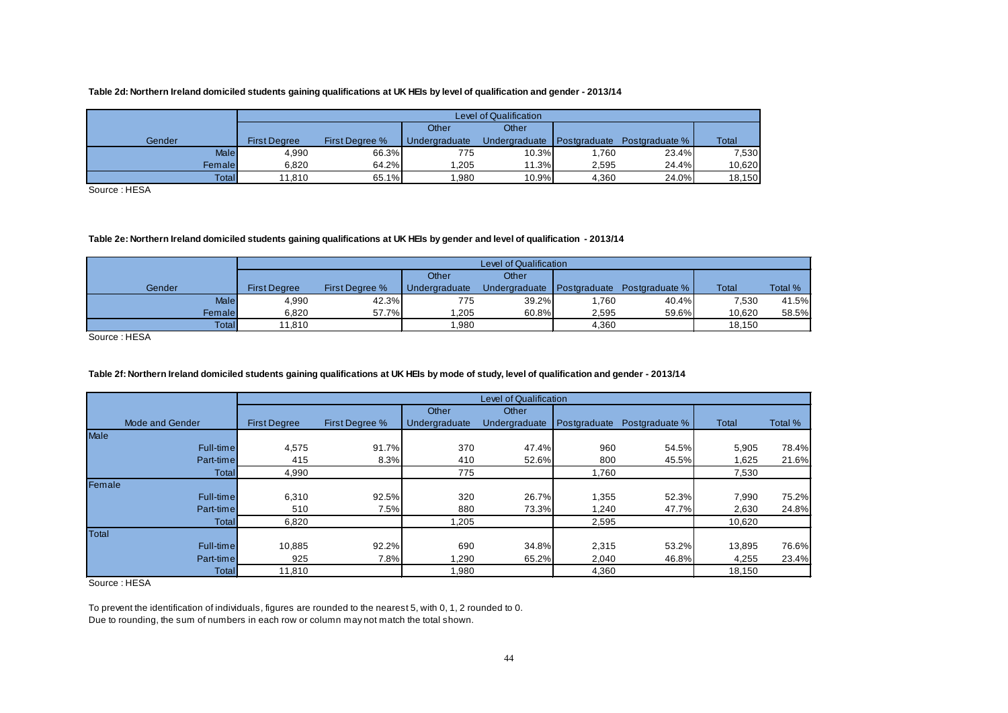#### **Table 2d: Northern Ireland domiciled students gaining qualifications at UK HEIs by level of qualification and gender - 2013/14**

|             |                     | Level of Qualification |               |               |              |                |        |  |  |  |  |
|-------------|---------------------|------------------------|---------------|---------------|--------------|----------------|--------|--|--|--|--|
|             |                     |                        | Other         | Other         |              |                |        |  |  |  |  |
| Gender      | <b>First Dearee</b> | <b>First Dearee %</b>  | Undergraduate | Undergraduate | Postgraduate | Postgraduate % | Total  |  |  |  |  |
| <b>Male</b> | 4.990               | 66.3%                  | 775           | 10.3%         | 1.760        | 23.4%          | 7,530  |  |  |  |  |
| Female      | 6.820               | 64.2%                  | .205          | 11.3%         | 2.595        | 24.4%          | 10.620 |  |  |  |  |
| Total       | 11.810              | 65.1%                  | ,980          | 10.9%         | 4.360        | 24.0%          | 18,150 |  |  |  |  |

Source : HESA

#### **Table 2e: Northern Ireland domiciled students gaining qualifications at UK HEIs by gender and level of qualification - 2013/14**

|              |                     |                |               | Level of Qualification     |       |                |        |         |
|--------------|---------------------|----------------|---------------|----------------------------|-------|----------------|--------|---------|
|              |                     |                | Other         | Other                      |       |                |        |         |
| Gender       | <b>First Dearee</b> | First Dearee % | Undergraduate | Undergraduate Postgraduate |       | Postgraduate % | Total  | Total % |
| <b>Male</b>  | 4,990               | 42.3%          | 775           | $39.2\%$                   | .760  | 40.4%          | 7,530  | 41.5%   |
| Female       | 6.820               | 57.7%          | 1.205         | 60.8%                      | 2,595 | 59.6%          | 10.620 | 58.5%   |
| <b>Total</b> | 11.810              |                | 1.980         |                            | 4,360 |                | 18.150 |         |

Source : HESA

#### **Table 2f: Northern Ireland domiciled students gaining qualifications at UK HEIs by mode of study, level of qualification and gender - 2013/14**

<span id="page-43-0"></span>

|                 |                     |                |               | Level of Qualification |              |                |        |         |
|-----------------|---------------------|----------------|---------------|------------------------|--------------|----------------|--------|---------|
|                 |                     |                | Other         | Other                  |              |                |        |         |
| Mode and Gender | <b>First Degree</b> | First Degree % | Undergraduate | Undergraduate          | Postgraduate | Postgraduate % | Total  | Total % |
| <b>Male</b>     |                     |                |               |                        |              |                |        |         |
| Full-time       | 4,575               | 91.7%          | 370           | 47.4%                  | 960          | 54.5%          | 5,905  | 78.4%   |
| Part-time       | 415                 | 8.3%           | 410           | 52.6%                  | 800          | 45.5%          | 1,625  | 21.6%   |
| Totall          | 4,990               |                | 775           |                        | 1,760        |                | 7,530  |         |
| Female          |                     |                |               |                        |              |                |        |         |
| Full-time       | 6,310               | 92.5%          | 320           | 26.7%                  | 1,355        | 52.3%          | 7,990  | 75.2%   |
| Part-time       | 510                 | 7.5%           | 880           | 73.3%                  | 1,240        | 47.7%          | 2,630  | 24.8%   |
| Total           | 6,820               |                | 1,205         |                        | 2,595        |                | 10,620 |         |
| Total           |                     |                |               |                        |              |                |        |         |
| Full-time       | 10,885              | 92.2%          | 690           | 34.8%                  | 2,315        | 53.2%          | 13,895 | 76.6%   |
| Part-time       | 925                 | 7.8%           | 1,290         | 65.2%                  | 2,040        | 46.8%          | 4,255  | 23.4%   |
| Total           | 11,810              |                | 1,980         |                        | 4,360        |                | 18,150 |         |

Source : HESA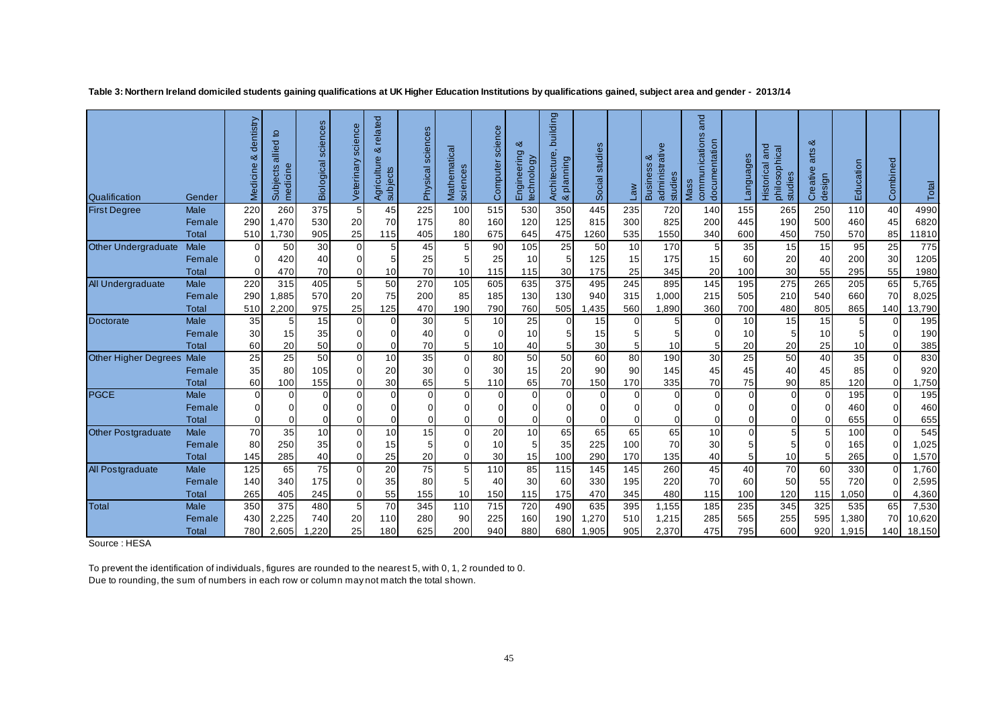| Qualification               | Gender                 | dentistry<br>య<br>$\mathbf{\Phi}$<br>Medicin | đ<br>allied<br>¢<br>ects<br>medicin<br>Subj | sciences<br>Biological | science<br>Veterinary | related<br>య<br>Agriculture<br>subjects | sciences<br>Physical    | Mathematical<br>sciences | science<br>Computer  | య<br>Engineering<br>technology | building<br>Architecture,<br>& planning | studies<br>Social | <b>Law</b> | administrative<br>ఱ<br><b>Business</b><br>studies | and<br>communications<br>documentation<br>Mass | cenbuel  | and<br>philosophical<br>studies<br><b>Historical</b> | ಹ<br>arts<br>Creative<br>design | Education  | Combined                   | Total      |
|-----------------------------|------------------------|----------------------------------------------|---------------------------------------------|------------------------|-----------------------|-----------------------------------------|-------------------------|--------------------------|----------------------|--------------------------------|-----------------------------------------|-------------------|------------|---------------------------------------------------|------------------------------------------------|----------|------------------------------------------------------|---------------------------------|------------|----------------------------|------------|
| <b>First Degree</b>         | <b>Male</b>            | 220                                          | 260                                         | 375                    | 5                     | 45                                      | 225                     | 100                      | 515                  | 530                            | 350                                     | 445               | 235        | 720                                               | 140                                            | 155      | 265                                                  | 250                             | 110        | 40                         | 4990       |
|                             | Female                 | 290                                          | 1,470                                       | 530                    | 20                    | 70                                      | 175                     | 80                       | 160                  | 120                            | 125                                     | 815               | 300        | 825                                               | 200                                            | 445      | 190                                                  | 500                             | 460        | 45                         | 6820       |
|                             | Total                  | 510                                          | 1,730                                       | 905                    | 25                    | 115                                     | 405                     | 180                      | 675                  | 645                            | 475                                     | 1260              | 535        | 1550                                              | 340                                            | 600      | 450                                                  | 750                             | 570        | 85                         | 11810      |
| Other Undergraduate         | Male                   | 0                                            | 50                                          | 30                     | $\Omega$              | 5 <sup>1</sup>                          | 45                      | 5 <sub>l</sub>           | 90                   | 105                            | 25                                      | 50                | 10         | 170                                               | 5 <sub>l</sub>                                 | 35       | 15                                                   | 15                              | 95         | 25                         | 775        |
|                             | Female                 | 0                                            | 420                                         | 40                     | 0                     | 5                                       | 25                      |                          | 25                   | 10                             |                                         | 125               | 15         | 175                                               | 15                                             | 60       | 20                                                   | 40                              | 200        | 30                         | 1205       |
|                             | Total                  | 0                                            | 470                                         | 70                     | 0                     | 10                                      | 70                      | 10 <sup>1</sup>          | 115                  | 115                            | 30                                      | 175               | 25         | 345                                               | 20 <sub>2</sub>                                | 100      | 30                                                   | 55                              | 295        | 55                         | 1980       |
| All Undergraduate           | <b>Male</b>            | 220                                          | 315                                         | 405                    | 5                     | 50                                      | 270                     | 105                      | 605                  | 635                            | 375                                     | 495               | 245        | 895                                               | 145                                            | 195      | 275                                                  | 265                             | 205        | 65                         | 5,765      |
|                             | Female                 | 290                                          | 1,885                                       | 570                    | 20                    | 75                                      | 200                     | 85                       | 185                  | 130                            | 130                                     | 940               | 315        | 1,000                                             | 215                                            | 505      | 210                                                  | 540                             | 660        | 70                         | 8,025      |
|                             | Total                  | 510                                          | 2,200                                       | 975                    | 25                    | 125                                     | 470                     | 190                      | 790                  | 760                            | 505                                     | ,435              | 560        | 1,890                                             | 360                                            | 700      | 480                                                  | 805                             | 865        | 140                        | 13,790     |
| Doctorate                   | Male                   | 35                                           | 5                                           | 15                     | $\Omega$              | $\Omega$                                | 30                      | 5 <sub>1</sub>           | 10                   | 25                             | $\Omega$                                | 15                | $\Omega$   |                                                   | $\Omega$                                       | 10       | 15                                                   | 15                              | 5          | 0                          | 195        |
|                             | Female                 | 30                                           | 15                                          | 35                     | 0                     | $\Omega$                                | 40                      | $\Omega$                 | $\Omega$             | 10                             |                                         | 15                |            |                                                   | U                                              | 10       | 5                                                    | 10                              | 5          | $\mathbf 0$                | 190        |
|                             | Total                  | 60                                           | 20                                          | 50                     | 0                     | 0                                       | 70                      |                          | 10                   | 40                             |                                         | 30                |            | 10                                                |                                                | 20       | 20                                                   | 25                              | 10         | $\mathbf 0$                | 385        |
| <b>Other Higher Degrees</b> | Male                   | 25                                           | 25                                          | 50                     | $\Omega$              | 10                                      | 35                      | $\Omega$                 | 80                   | 50                             | 50                                      | 60                | 80         | 190                                               | 30 <sup>1</sup>                                | 25       | 50                                                   | 40                              | 35         | $\Omega$                   | 830        |
|                             | Female                 | 35                                           | 80                                          | 105                    | U                     | 20                                      | 30                      | $\Omega$                 | 30                   | 15                             | 20                                      | 90                | 90         | 145                                               | 45                                             | 45       | 40                                                   | 45                              | 85         | $\mathbf 0$                | 920        |
|                             | Total                  | 60                                           | 100                                         | 155                    | $\Omega$              | 30                                      | 65                      | 5 <sup>1</sup>           | 110                  | 65                             | 70                                      | 150               | 170        | 335                                               | 70                                             | 75       | 90                                                   | 85                              | 120        | $\Omega$                   | 1,750      |
| <b>PGCE</b>                 | <b>Male</b>            | 0                                            | 0                                           | $\Omega$               | $\Omega$              | $\Omega$                                | $\mathbf 0$<br>$\Omega$ | $\Omega$<br>$\Omega$     | $\Omega$<br>$\Omega$ | $\Omega$                       | $\Omega$                                | $\Omega$          | $\Omega$   | $\Omega$                                          | $\Omega$<br>$\Omega$                           | $\Omega$ | $\mathbf 0$                                          | $\Omega$                        | 195        | 0                          | 195        |
|                             | Female<br><b>Total</b> | 0<br>0                                       | U                                           | $\Omega$<br>$\Omega$   | ი                     | 0<br>0                                  | 0                       | U                        |                      |                                |                                         |                   |            |                                                   | $\Omega$                                       |          | $\mathbf 0$<br>$\mathbf 0$                           | $\Omega$<br>$\Omega$            | 460<br>655 | $\mathbf 0$<br>$\mathbf 0$ | 460        |
| <b>Other Postgraduate</b>   | Male                   | 70                                           | 35                                          | 10                     | $\Omega$              | 10                                      | 15                      | $\overline{0}$           | 20                   | 10                             | 65                                      | 65                | 65         | 65                                                | 10 <sub>1</sub>                                | $\Omega$ | 5                                                    | 5                               | 100        | $\Omega$                   | 655<br>545 |
|                             | Female                 | 80                                           | 250                                         | 35                     | O                     | 15                                      | 5                       | n١                       | 10                   |                                | 35                                      | 225               | 100        | 70                                                | 30 <sup>2</sup>                                |          | 5                                                    | $\Omega$                        | 165        | 0                          | 1,025      |
|                             | Total                  | 145                                          | 285                                         | 40                     | O                     | 25                                      | 20                      | $\Omega$                 | 30                   | 15                             | 100                                     | 290               | 170        | 135                                               | 40                                             |          | 10                                                   | 5                               | 265        | $\Omega$                   | 1,570      |
| All Postgraduate            | Male                   | 125                                          | 65                                          | 75                     | $\Omega$              | 20                                      | 75                      | 5 <sup>1</sup>           | 110                  | 85                             | 115                                     | 145               | 145        | 260                                               | 45                                             | 40       | 70                                                   | 60                              | 330        | $\mathbf 0$                | 1,760      |
|                             | Female                 | 140                                          | 340                                         | 175                    | 0                     | 35                                      | 80                      | 5                        | 40                   | 30                             | 60                                      | 330               | 195        | 220                                               | 70                                             | 60       | 50                                                   | 55                              | 720        | $\Omega$                   | 2,595      |
|                             | <b>Total</b>           | 265                                          | 405                                         | 245                    | 0                     | 55                                      | 155                     | 10 <sup>1</sup>          | 150                  | 115                            | 175                                     | 470               | 345        | 480                                               | 115                                            | 100      | 120                                                  | 115                             | ,050       | $\Omega$                   | 4,360      |
| Total                       | <b>Male</b>            | 350                                          | 375                                         | 480                    | 5 <sup>1</sup>        | 70                                      | 345                     | 110                      | 715                  | 720                            | 490                                     | 635               | 395        | 1,155                                             | 185                                            | 235      | 345                                                  | 325                             | 535        | 65                         | 7,530      |
|                             | Female                 | 430                                          | 2,225                                       | 740                    | 20                    | 110                                     | 280                     | 90                       | 225                  | 160                            | 190                                     | 1,270             | 510        | 1,215                                             | 285                                            | 565      | 255                                                  | 595                             | 1,380      | 70                         | 10,620     |
|                             | Total                  | 780                                          | 2,605                                       | ,220                   | 25                    | 180                                     | 625                     | 200                      | 940                  | 880                            | 680                                     | 1,905             | 905        | 2,370                                             | 475                                            | 795      | 600                                                  | 920                             | ,915       | 140                        | 18,150     |

**Table 3: Northern Ireland domiciled students gaining qualifications at UK Higher Education Institutions by qualifications gained, subject area and gender - 2013/14**

<span id="page-44-0"></span>Source : HESA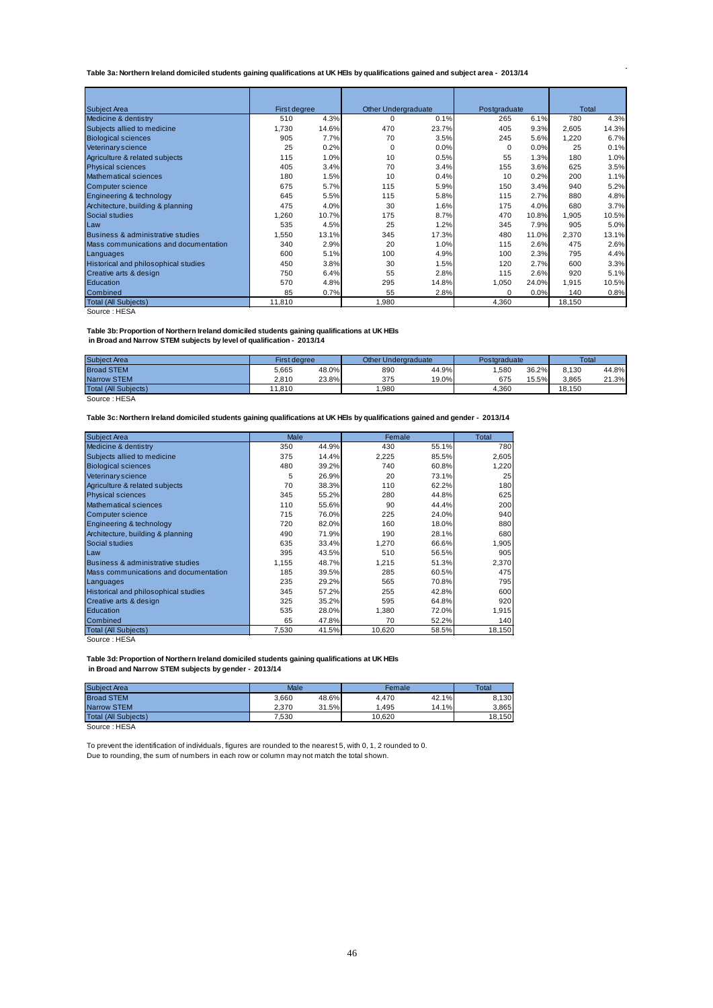#### <span id="page-45-0"></span>**Table 3a: Northern Ireland domiciled students gaining qualifications at UK HEIs by qualifications gained and subject area - 2013/14**

| <b>Subject Area</b>                   | First degree |       | <b>Other Undergraduate</b> |       | Postgraduate |       | Total  |       |
|---------------------------------------|--------------|-------|----------------------------|-------|--------------|-------|--------|-------|
| Medicine & dentistry                  | 510          | 4.3%  | 0                          | 0.1%  | 265          | 6.1%  | 780    | 4.3%  |
| Subjects allied to medicine           | 1,730        | 14.6% | 470                        | 23.7% | 405          | 9.3%  | 2,605  | 14.3% |
| <b>Biological sciences</b>            | 905          | 7.7%  | 70                         | 3.5%  | 245          | 5.6%  | 1,220  | 6.7%  |
| Veterinary science                    | 25           | 0.2%  | 0                          | 0.0%  | 0            | 0.0%  | 25     | 0.1%  |
| Agriculture & related subjects        | 115          | 1.0%  | 10                         | 0.5%  | 55           | 1.3%  | 180    | 1.0%  |
| <b>Physical sciences</b>              | 405          | 3.4%  | 70                         | 3.4%  | 155          | 3.6%  | 625    | 3.5%  |
| <b>Mathematical sciences</b>          | 180          | 1.5%  | 10                         | 0.4%  | 10           | 0.2%  | 200    | 1.1%  |
| Computer science                      | 675          | 5.7%  | 115                        | 5.9%  | 150          | 3.4%  | 940    | 5.2%  |
| Engineering & technology              | 645          | 5.5%  | 115                        | 5.8%  | 115          | 2.7%  | 880    | 4.8%  |
| Architecture, building & planning     | 475          | 4.0%  | 30                         | 1.6%  | 175          | 4.0%  | 680    | 3.7%  |
| Social studies                        | 1,260        | 10.7% | 175                        | 8.7%  | 470          | 10.8% | 1,905  | 10.5% |
| Law                                   | 535          | 4.5%  | 25                         | 1.2%  | 345          | 7.9%  | 905    | 5.0%  |
| Business & administrative studies     | 1,550        | 13.1% | 345                        | 17.3% | 480          | 11.0% | 2,370  | 13.1% |
| Mass communications and documentation | 340          | 2.9%  | 20                         | 1.0%  | 115          | 2.6%  | 475    | 2.6%  |
| Languages                             | 600          | 5.1%  | 100                        | 4.9%  | 100          | 2.3%  | 795    | 4.4%  |
| Historical and philosophical studies  | 450          | 3.8%  | 30                         | 1.5%  | 120          | 2.7%  | 600    | 3.3%  |
| Creative arts & design                | 750          | 6.4%  | 55                         | 2.8%  | 115          | 2.6%  | 920    | 5.1%  |
| Education                             | 570          | 4.8%  | 295                        | 14.8% | 1,050        | 24.0% | 1,915  | 10.5% |
| Combined                              | 85           | 0.7%  | 55                         | 2.8%  | $\mathbf 0$  | 0.0%  | 140    | 0.8%  |
| <b>Total (All Subjects)</b>           | 11,810       |       | 1,980                      |       | 4,360        |       | 18,150 |       |

Source : HESA

#### **Table 3b: Proportion of Northern Ireland domiciled students gaining qualifications at UK HEIs**

 **in Broad and Narrow STEM subjects by level of qualification - 2013/14**

| <b>Subiect Area</b>         | <b>First dearee</b> |       | <b>Other Undergraduate</b> |       | Postaraduate |       | <b>Total</b> |       |
|-----------------------------|---------------------|-------|----------------------------|-------|--------------|-------|--------------|-------|
| <b>Broad STEM</b>           | 5.665               | 48.0% | 890                        | 44.9% | .580         | 36.2% | 8.130        | 44.8% |
| <b>Narrow STEM</b>          | 2.810               | 23.8% | 375                        | 19.0% | 675          | 5.5%  | 3.865        | 21.3% |
| <b>Total (All Subiects)</b> | 11.810              |       | .980                       |       | 4.360        |       | 18.150       |       |

Source : HESA

**Table 3c: Northern Ireland domiciled students gaining qualifications at UK HEIs by qualifications gained and gender - 2013/14**

| <b>Subject Area</b>                   | Male  |       |        | Female | Total  |
|---------------------------------------|-------|-------|--------|--------|--------|
| Medicine & dentistry                  | 350   | 44.9% | 430    | 55.1%  | 780    |
| Subjects allied to medicine           | 375   | 14.4% | 2,225  | 85.5%  | 2,605  |
| <b>Biological sciences</b>            | 480   | 39.2% | 740    | 60.8%  | 1,220  |
| Veterinary science                    | 5     | 26.9% | 20     | 73.1%  | 25     |
| Agriculture & related subjects        | 70    | 38.3% | 110    | 62.2%  | 180    |
| <b>Physical sciences</b>              | 345   | 55.2% | 280    | 44.8%  | 625    |
| Mathematical sciences                 | 110   | 55.6% | 90     | 44.4%  | 200    |
| Computer science                      | 715   | 76.0% | 225    | 24.0%  | 940    |
| Engineering & technology              | 720   | 82.0% | 160    | 18.0%  | 880    |
| Architecture, building & planning     | 490   | 71.9% | 190    | 28.1%  | 680    |
| Social studies                        | 635   | 33.4% | 1.270  | 66.6%  | 1,905  |
| Law                                   | 395   | 43.5% | 510    | 56.5%  | 905    |
| Business & administrative studies     | 1,155 | 48.7% | 1.215  | 51.3%  | 2,370  |
| Mass communications and documentation | 185   | 39.5% | 285    | 60.5%  | 475    |
| Languages                             | 235   | 29.2% | 565    | 70.8%  | 795    |
| Historical and philosophical studies  | 345   | 57.2% | 255    | 42.8%  | 600    |
| Creative arts & design                | 325   | 35.2% | 595    | 64.8%  | 920    |
| Education                             | 535   | 28.0% | 1,380  | 72.0%  | 1,915  |
| Combined                              | 65    | 47.8% | 70     | 52.2%  | 140    |
| <b>Total (All Subjects)</b>           | 7,530 | 41.5% | 10,620 | 58.5%  | 18,150 |

Source : HESA

#### **Table 3d: Proportion of Northern Ireland domiciled students gaining qualifications at UK HEIs in Broad and Narrow STEM subjects by gender - 2013/14**

| <b>Subject Area</b>  | Male  |       | Female |       | Total  |
|----------------------|-------|-------|--------|-------|--------|
| <b>Broad STEM</b>    | 3.660 | 48.6% | 4.470  | 42.1% | 8.130  |
| <b>Narrow STEM</b>   | 2.370 | 31.5% | 1.495  | 14.1% | 3.865  |
| Total (All Subiects) | 7.530 |       | 10.620 |       | 18.150 |
| Source: HESA         |       |       |        |       |        |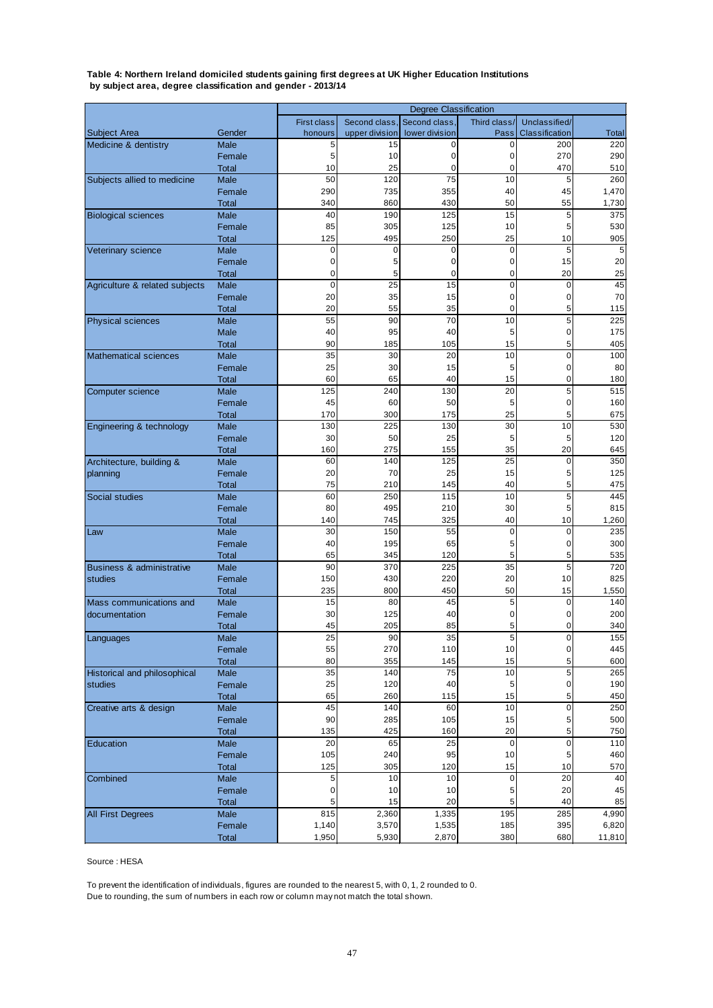#### <span id="page-46-0"></span>**Table 4: Northern Ireland domiciled students gaining first degrees at UK Higher Education Institutions by subject area, degree classification and gender - 2013/14**

|                                      |                        |                    |                | <b>Degree Classification</b> |                |                |                 |
|--------------------------------------|------------------------|--------------------|----------------|------------------------------|----------------|----------------|-----------------|
|                                      |                        | <b>First class</b> | Second class,  | Second class,                | Third class/   | Unclassified/  |                 |
| Subject Area                         | Gender                 | honours            | upper division | lower division               | Pass           | Classification | <b>Total</b>    |
| Medicine & dentistry                 | <b>Male</b>            | 5<br>5             | 15<br>10       | 0<br>0                       | 0<br>0         | 200<br>270     | 220<br>290      |
|                                      | Female                 | 10                 | 25             | 0                            | 0              | 470            | 510             |
| Subjects allied to medicine          | <b>Total</b><br>Male   | 50                 | 120            | 75                           | 10             | 5              | 260             |
|                                      | Female                 | 290                | 735            | 355                          | 40             | 45             | 1,470           |
|                                      | <b>Total</b>           | 340                | 860            | 430                          | 50             | 55             | 1,730           |
| <b>Biological sciences</b>           | <b>Male</b>            | 40                 | 190            | 125                          | 15             | 5              | 375             |
|                                      | Female                 | 85                 | 305            | 125                          | 10             | 5              | 530             |
|                                      | Total                  | 125                | 495            | 250                          | 25             | 10             | 905             |
| Veterinary science                   | Male                   | 0                  | 0              | 0                            | 0              | 5              | 5               |
|                                      | Female                 | 0                  | 5              | 0                            | 0              | 15             | 20              |
|                                      | <b>Total</b>           | $\mathbf 0$        | 5              | 0                            | 0              | 20             | 25              |
| Agriculture & related subjects       | <b>Male</b>            | $\mathbf 0$        | 25             | 15                           | $\overline{0}$ | $\mathbf 0$    | 45              |
|                                      | Female                 | 20                 | 35             | 15                           | 0              | 0              | 70              |
|                                      | <b>Total</b>           | 20                 | 55             | 35                           | 0              | 5              | 115             |
| <b>Physical sciences</b>             | Male                   | 55                 | 90             | 70                           | 10             | 5              | 225             |
|                                      | Male                   | 40                 | 95             | 40                           | 5              | 0              | 175             |
|                                      | Total                  | 90                 | 185            | 105                          | 15             | 5              | 405             |
| <b>Mathematical sciences</b>         | <b>Male</b>            | 35                 | 30             | 20                           | 10             | $\mathbf 0$    | 100             |
|                                      | Female                 | 25                 | 30             | 15                           | 5              | 0              | 80              |
|                                      | <b>Total</b>           | 60                 | 65             | 40                           | 15             | 0<br>5         | 180             |
| Computer science                     | <b>Male</b><br>Female  | 125<br>45          | 240<br>60      | 130<br>50                    | 20<br>5        | 0              | 515<br>160      |
|                                      | <b>Total</b>           | 170                | 300            | 175                          | 25             | 5              | 675             |
| Engineering & technology             | Male                   | 130                | 225            | 130                          | 30             | 10             | 530             |
|                                      | Female                 | 30                 | 50             | 25                           | 5              | 5              | 120             |
|                                      | <b>Total</b>           | 160                | 275            | 155                          | 35             | 20             | 645             |
| Architecture, building &             | Male                   | 60                 | 140            | 125                          | 25             | 0              | 350             |
| planning                             | Female                 | 20                 | 70             | 25                           | 15             | 5              | 125             |
|                                      | <b>Total</b>           | 75                 | 210            | 145                          | 40             | 5              | 475             |
| Social studies                       | Male                   | 60                 | 250            | 115                          | 10             | 5              | 445             |
|                                      | Female                 | 80                 | 495            | 210                          | 30             | 5              | 815             |
|                                      | Total                  | 140                | 745            | 325                          | 40             | 10             | 1,260           |
| Law                                  | <b>Male</b>            | 30                 | 150            | 55                           | $\mathbf 0$    | 0              | 235             |
|                                      | Female<br><b>Total</b> | 40<br>65           | 195<br>345     | 65<br>120                    | 5<br>5         | 0<br>5         | 300             |
| <b>Business &amp; administrative</b> | <b>Male</b>            | 90                 | 370            | 225                          | 35             | 5              | 535<br>720      |
| studies                              | Female                 | 150                | 430            | 220                          | 20             | 10             | 825             |
|                                      | <b>Total</b>           | 235                | 800            | 450                          | 50             | 15             | 1,550           |
| Mass communications and              | Male                   | 15                 | 80             | 45                           | 5              | 0              | 140             |
| documentation                        | Female                 | 30                 | 125            | 40                           | 0              | 0              | 200             |
|                                      | Total                  | 45                 | 205            | 85                           | 5              | 0              | 340             |
| Languages                            | Male                   | 25                 | 90             | 35                           | $\overline{5}$ |                | 155             |
|                                      | Female                 | 55                 | 270            | 110                          | $10$           | 0              | 445             |
|                                      | <b>Total</b>           | 80                 | 355            | 145                          | 15             | 5              | 600             |
| <b>Historical and philosophical</b>  | Male<br>Female         | 35<br>25           | 140<br>120     | 75<br>40                     | 10<br>5        | 5<br>0         | 265<br>190      |
| studies                              | <b>Total</b>           | 65                 | 260            | 115                          | 15             | 5 <sup>5</sup> | 450             |
| Creative arts & design               | Male                   | 45                 | 140            | 60                           | 10             | 0              | 250             |
|                                      | Female                 | 90                 | 285            | 105                          | 15             | 5              | 500             |
|                                      | <b>Total</b>           | 135                | 425            | 160                          | 20             | 5              | 750             |
| Education                            | Male                   | 20                 | 65             | 25                           | $\pmb{0}$      | $\mathbf 0$    | 110             |
|                                      | Female                 | 105                | 240            | 95                           | 10             | 5              | 460             |
|                                      | <b>Total</b>           | 125                | 305            | 120                          | 15             | 10             | 570             |
| Combined                             | Male                   | 5                  | 10             | 10                           | $\pmb{0}$      | 20             | 40              |
|                                      | Female                 | 0                  | 10             | 10                           | 5              | 20             | 45              |
|                                      | <b>Total</b>           | 5                  | 15             | 20                           | 5              | 40             | 85              |
| <b>All First Degrees</b>             | Male                   | 815                | 2,360          | 1,335                        | 195            | 285            | 4,990           |
|                                      | Female<br>Total        | 1,140<br>1,950     | 3,570<br>5,930 | 1,535<br>2,870               | 185<br>380     | 395<br>680     | 6,820<br>11,810 |
|                                      |                        |                    |                |                              |                |                |                 |

Source : HESA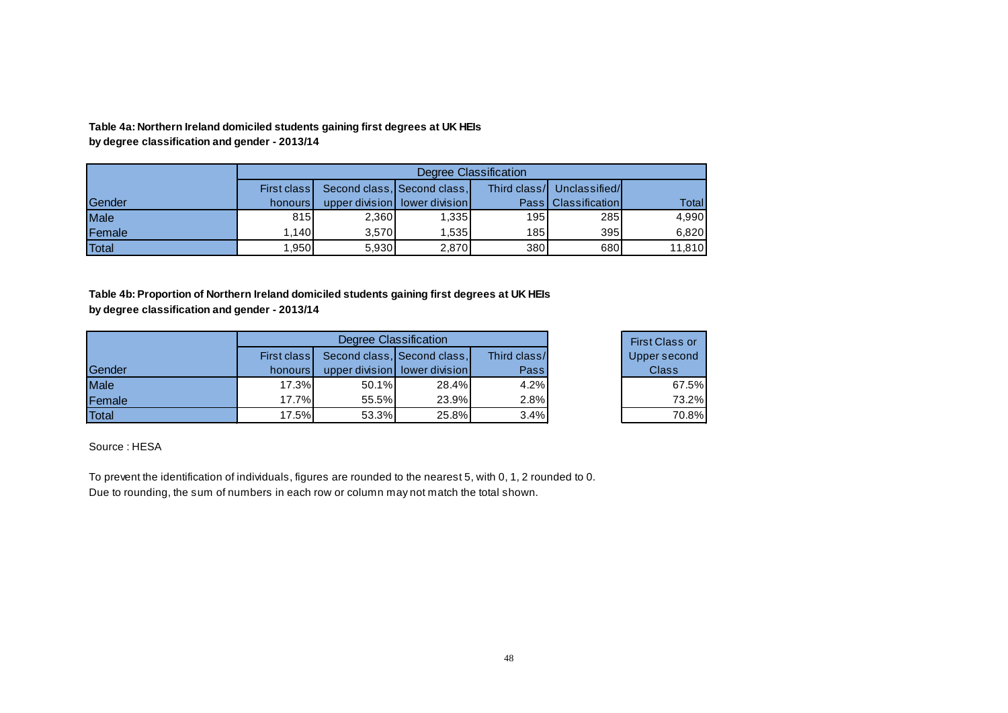**by degree classification and gender - 2013/14 Table 4a: Northern Ireland domiciled students gaining first degrees at UK HEIs** 

|              |             |       |                                 | Degree Classification |                              |        |
|--------------|-------------|-------|---------------------------------|-----------------------|------------------------------|--------|
|              | First class |       | Second class, Second class,     |                       | Third class/ Unclassified/   |        |
| Gender       | honours I   |       | upper division   lower division |                       | <b>PassI ClassificationI</b> | Total  |
| Male         | 815         | 2,360 | 1,335                           | 195                   | 285                          | 4,990  |
| Female       | .140        | 3.570 | 1.535                           | 185                   | 395                          | 6.820  |
| <b>Total</b> | 1.950       | 5,930 | 2.870                           | 380                   | 680                          | 11.810 |

**by degree classification and gender - 2013/14 Table 4b: Proportion of Northern Ireland domiciled students gaining first degrees at UK HEIs** 

|               |             | Degree Classification |                               |              | <b>First Class or</b> |
|---------------|-------------|-----------------------|-------------------------------|--------------|-----------------------|
|               | First class |                       | Second class, Second class,   | Third class/ | Upper second          |
| <b>Sender</b> | honours I   |                       | upper division lower division | Pass         | <b>Class</b>          |
| Male          | $17.3\%$    | 50.1%                 | 28.4%                         | 4.2%         | 67.5%                 |
| Female        | 17.7%       | 55.5%                 | 23.9%                         | 2.8%         | 73.2%                 |
| Total         | 17.5%       | 53.3%                 | 25.8%                         | 3.4%         | 70.8%                 |

<span id="page-47-0"></span>Source : HESA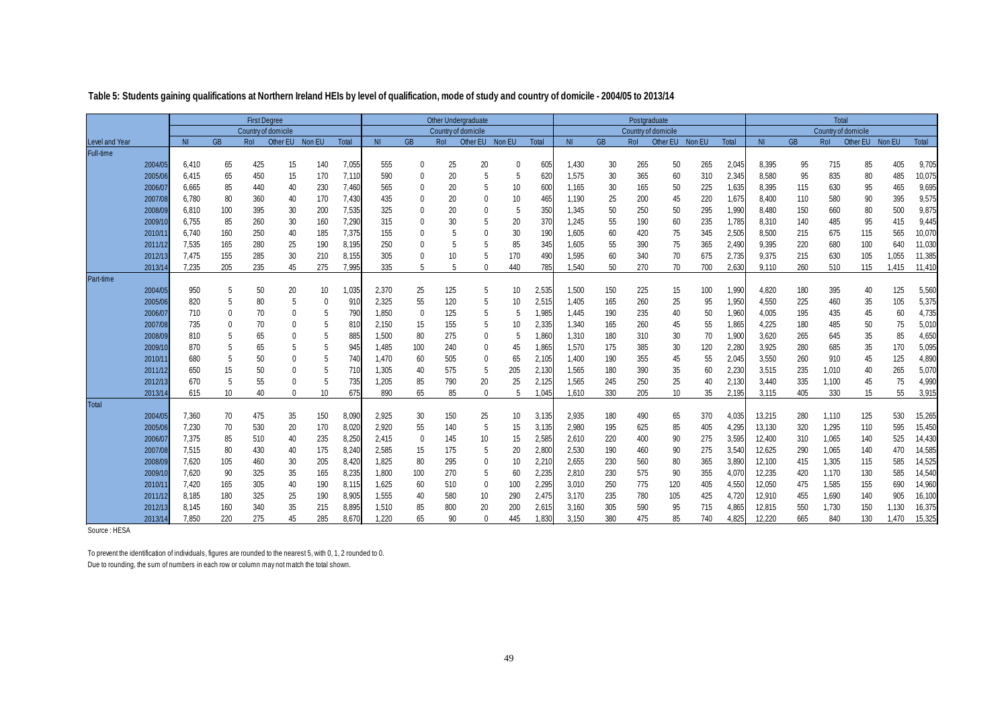|                       |         |                |             | <b>First Degree</b> |                 |          | <b>Other Undergraduate</b><br>Country of domicile |           |              |     | Postgraduate |        |       |                | Total     |                     |          |        |       |                |           |                     |                 |       |        |
|-----------------------|---------|----------------|-------------|---------------------|-----------------|----------|---------------------------------------------------|-----------|--------------|-----|--------------|--------|-------|----------------|-----------|---------------------|----------|--------|-------|----------------|-----------|---------------------|-----------------|-------|--------|
|                       |         |                |             | Country of domicile |                 |          |                                                   |           |              |     |              |        |       |                |           | Country of domicile |          |        |       |                |           | Country of domicile |                 |       |        |
| <b>Level and Year</b> |         | N <sub>l</sub> | <b>GB</b>   | Rol                 | Other EU Non EU |          | Total                                             | <b>NI</b> | <b>GB</b>    | Rol | Other EU     | Non EU | Total | N <sub>1</sub> | <b>GB</b> | <b>Rol</b>          | Other EU | Non EU | Total | N <sub>l</sub> | <b>GB</b> | Rol                 | Other EU Non EU |       | Total  |
| Full-time             |         |                |             |                     |                 |          |                                                   |           |              |     |              |        |       |                |           |                     |          |        |       |                |           |                     |                 |       |        |
|                       | 2004/05 | 6,410          | 65          | 425                 | 15              | 140      | 7,055                                             | 555       | 0            | 25  | 20           |        | 605   | 1,430          | 30        | 265                 | 50       | 265    | 2,045 | 8,395          | 95        | 715                 | 85              | 405   | 9,705  |
|                       | 2005/06 | 6,415          | 65          | 450                 | 15              | 170      | 7,110                                             | 590       |              | 20  |              | 5      | 620   | 1,575          | 30        | 365                 | 60       | 310    | 2,345 | 8,580          | 95        | 835                 | 80              | 485   | 10,075 |
|                       | 2006/07 | 6,665          | 85          | 440                 | 40              | 230      | 7,460                                             | 565       | 0            | 20  | -5           | 10     | 600   | 1,165          | 30        | 165                 | 50       | 225    | 1,635 | 8,395          | 115       | 630                 | 95              | 465   | 9,695  |
|                       | 2007/08 | 6.780          | 80          | 360                 | 40              | 170      | 7,430                                             | 435       |              | 20  | $\Omega$     | 10     | 465   | 1.190          | 25        | 200                 | 45       | 220    | 1,675 | 8.400          | 110       | 580                 | 90              | 395   | 9,575  |
|                       | 2008/09 | 6,810          | 100         | 395                 | 30              | 200      | 7,535                                             | 325       |              | 20  |              | 5      | 350   | 1,345          | 50        | 250                 | 50       | 295    | 1,990 | 8,480          | 150       | 660                 | 80              | 500   | 9,875  |
|                       | 2009/10 | 6,755          | 85          | 260                 | 30              | 160      | 7,290                                             | 315       |              | 30  | 5            | 20     | 370   | 1,245          | 55        | 190                 | 60       | 235    | 1,785 | 8,310          | 140       | 485                 | 95              | 415   | 9,445  |
|                       | 2010/1  | 6,740          | 160         | 250                 | 40              | 185      | 7,375                                             | 155       |              | 5   |              | 30     | 190   | 1,605          | 60        | 420                 | 75       | 345    | 2,505 | 8,500          | 215       | 675                 | 115             | 565   | 10,070 |
|                       | 2011/12 | 7,535          | 165         | 280                 | 25              | 190      | 8,195                                             | 250       |              | 5   |              | 85     | 345   | 1,605          | 55        | 390                 | 75       | 365    | 2,490 | 9,395          | 220       | 680                 | 100             | 640   | 11,030 |
|                       | 2012/13 | 7,475          | 155         | 285                 | 30              | 210      | 8,155                                             | 305       |              | 10  |              | 170    | 490   | 1,595          | 60        | 340                 | 70       | 675    | 2,735 | 9,375          | 215       | 630                 | 105             | 1,055 | 11,385 |
|                       | 2013/14 | 7,235          | 205         | 235                 | 45              | 275      | 7,995                                             | 335       | 5            | 5   |              | 440    | 785   | 1,540          | 50        | 270                 | 70       | 700    | 2,630 | 9,110          | 260       | 510                 | 115             | 1,415 | 11,410 |
| Part-time             |         |                |             |                     |                 |          |                                                   |           |              |     |              |        |       |                |           |                     |          |        |       |                |           |                     |                 |       |        |
|                       | 2004/05 | 950            | -5          | 50                  | 20              | 10       | 1,035                                             | 2,370     | 25           | 125 | 5            | 10     | 2,535 | 1,500          | 150       | 225                 | 15       | 100    | 1,990 | 4,820          | 180       | 395                 | 40              | 125   | 5,560  |
|                       | 2005/06 | 820            | 5           | 80                  | 5               | $\Omega$ | 910                                               | 2,325     | 55           | 120 | 5            | 10     | 2,515 | 1.405          | 165       | 260                 | 25       | 95     | 1,950 | 4,550          | 225       | 460                 | 35              | 105   | 5,375  |
|                       | 2006/07 | 710            | $\mathbf 0$ | 70                  | $\Omega$        | 5        | 790                                               | 1,850     | $\mathbf{0}$ | 125 | 5            | 5      | 1,985 | 1,445          | 190       | 235                 | 40       | 50     | 1,960 | 4,005          | 195       | 435                 | 45              | 60    | 4,735  |
|                       | 2007/0  | 735            | 0           | 70                  | $\Omega$        | 5        | 810                                               | 2,150     | 15           | 155 | 5            | 10     | 2,335 | 1,340          | 165       | 260                 | 45       | 55     | 1,865 | 4,225          | 180       | 485                 | 50              | 75    | 5,010  |
|                       | 2008/09 | 810            | 5           | 65                  |                 | 5        | 885                                               | 1,500     | 80           | 275 | $\Omega$     | 5      | 1,860 | 1,310          | 180       | 310                 | 30       | 70     | 1,900 | 3,620          | 265       | 645                 | 35              | 85    | 4,650  |
|                       | 2009/10 | 870            | 5           | 65                  |                 | 5        | 945                                               | 1.485     | 100          | 240 |              | 45     | 1,865 | 1,570          | 175       | 385                 | 30       | 120    | 2,280 | 3,925          | 280       | 685                 | 35              | 170   | 5,095  |
|                       | 2010/1  | 680            | 5           | 50                  |                 | 5        | 740                                               | 1,470     | 60           | 505 |              | 65     | 2,105 | 1,400          | 190       | 355                 | 45       | 55     | 2,045 | 3,550          | 260       | 910                 | 45              | 125   | 4,890  |
|                       | 2011/12 | 650            | 15          | 50                  | $\theta$        | 5        | 710                                               | 1,305     | 40           | 575 | -5           | 205    | 2,130 | 1,565          | 180       | 390                 | 35       | 60     | 2,230 | 3,515          | 235       | 1,010               | 40              | 265   | 5,070  |
|                       | 2012/13 | 670            | 5           | 55                  | $\Omega$        | 5        | 735                                               | 1.205     | 85           | 790 | 20           | 25     | 2.125 | 1.565          | 245       | 250                 | 25       | 40     | 2.130 | 3.440          | 335       | 1,100               | 45              | 75    | 4,990  |
|                       | 2013/14 | 615            | 10          | 40                  | $\Omega$        | 10       | 675                                               | 890       | 65           | 85  | $\Omega$     | 5      | 1,045 | 1.610          | 330       | 205                 | 10       | 35     | 2,195 | 3,115          | 405       | 330                 | 15              | 55    | 3,915  |
| <b>Total</b>          |         |                |             |                     |                 |          |                                                   |           |              |     |              |        |       |                |           |                     |          |        |       |                |           |                     |                 |       |        |
|                       | 2004/05 | 7,360          | 70          | 475                 | 35              | 150      | 8,090                                             | 2,925     | 30           | 150 | 25           | 10     | 3,135 | 2,935          | 180       | 490                 | 65       | 370    | 4,035 | 13,215         | 280       | 1,110               | 125             | 530   | 15,265 |
|                       | 2005/06 | 7,230          | 70          | 530                 | 20              | 170      | 8,020                                             | 2,920     | 55           | 140 | -5           | 15     | 3,135 | 2,980          | 195       | 625                 | 85       | 405    | 4,295 | 13,130         | 320       | 1,295               | 110             | 595   | 15,450 |
|                       | 2006/07 | 7,375          | 85          | 510                 | 40              | 235      | 8,250                                             | 2,415     | $\mathbf 0$  | 145 | 10           | 15     | 2,585 | 2,610          | 220       | 400                 | 90       | 275    | 3,595 | 12,400         | 310       | 1,065               | 140             | 525   | 14,430 |
|                       | 2007/08 | 7,515          | 80          | 430                 | 40              | 175      | 8,240                                             | 2,585     | 15           | 175 | 5            | 20     | 2,800 | 2,530          | 190       | 460                 | 90       | 275    | 3,540 | 12,625         | 290       | 1,065               | 140             | 470   | 14,585 |
|                       | 2008/09 | 7,620          | 105         | 460                 | 30              | 205      | 8,420                                             | 1,825     | 80           | 295 |              | 10     | 2,210 | 2,655          | 230       | 560                 | 80       | 365    | 3,890 | 12,100         | 415       | 1,305               | 115             | 585   | 14,525 |
|                       | 2009/10 | 7,620          | 90          | 325                 | 35              | 165      | 8,235                                             | 1,800     | 100          | 270 | -5           | 60     | 2,235 | 2,810          | 230       | 575                 | 90       | 355    | 4,070 | 12,235         | 420       | 1,170               | 130             | 585   | 14,540 |
|                       | 2010/1  | 7.420          | 165         | 305                 | 40              | 190      | 8,115                                             | 1,625     | 60           | 510 | $\Omega$     | 100    | 2,295 | 3,010          | 250       | 775                 | 120      | 405    | 4,550 | 12,050         | 475       | 1,585               | 155             | 690   | 14,960 |
|                       | 2011/12 | 8,185          | 180         | 325                 | 25              | 190      | 8,905                                             | 1,555     | 40           | 580 | 10           | 290    | 2,475 | 3,170          | 235       | 780                 | 105      | 425    | 4,720 | 12,910         | 455       | 1,690               | 140             | 905   | 16,100 |
|                       | 2012/13 | 8,145          | 160         | 340                 | 35              | 215      | 8,895                                             | 1,510     | 85           | 800 | 20           | 200    | 2,615 | 3,160          | 305       | 590                 | 95       | 715    | 4.865 | 12,815         | 550       | 1,730               | 150             | 1,130 | 16,375 |
|                       | 2013/14 | 7,850          | 220         | 275                 | 45              | 285      | 8,670                                             | 1,220     | 65           | 90  | $\Omega$     | 445    | .830  | 3,150          | 380       | 475                 | 85       | 740    | 4,825 | 12,220         | 665       | 840                 | 130             | 1,470 | 15,325 |

#### **Table 5: Students gaining qualifications at Northern Ireland HEIs by level of qualification, mode of study and country of domicile - 2004/05 to 2013/14**

<span id="page-48-0"></span>Source : HESA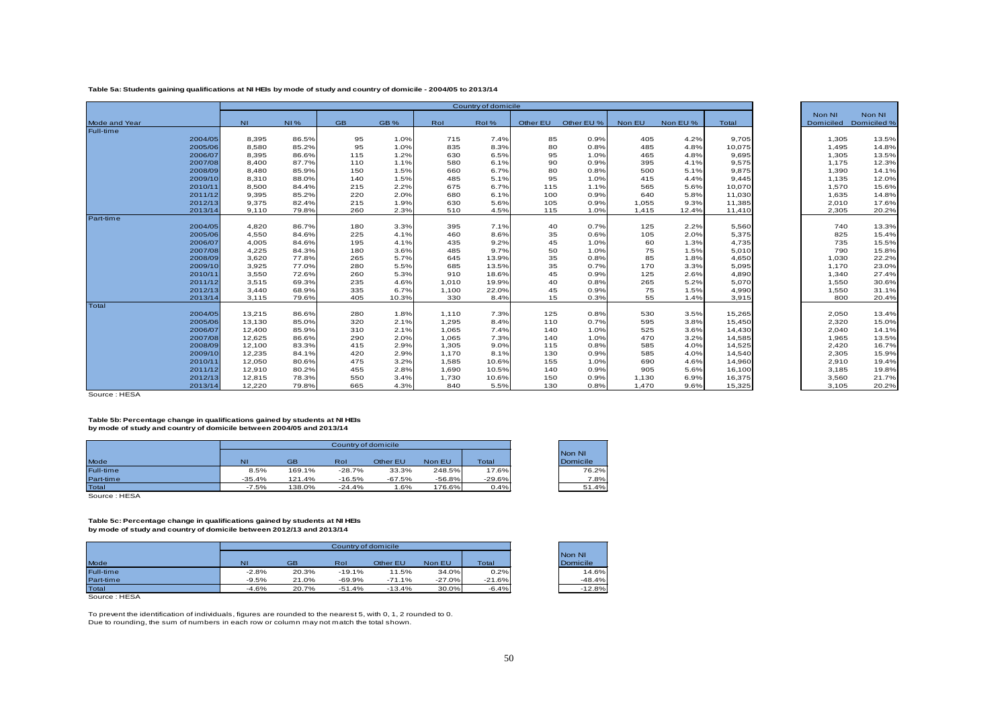#### **Table 5a: Students gaining qualifications at NI HEIs by mode of study and country of domicile - 2004/05 to 2013/14**

|               |         |           |            |           |       |       | Country of domicile |          |            |        |          |        |                     |                       |
|---------------|---------|-----------|------------|-----------|-------|-------|---------------------|----------|------------|--------|----------|--------|---------------------|-----------------------|
| Mode and Year |         | <b>NI</b> | <b>NI%</b> | <b>GB</b> | GB%   | Rol   | Rol%                | Other EU | Other EU % | Non EU | Non EU % | Total  | Non NI<br>Domiciled | Non NI<br>Domiciled % |
| Full-time     |         |           |            |           |       |       |                     |          |            |        |          |        |                     |                       |
|               | 2004/05 | 8,395     | 86.5%      | 95        | 1.0%  | 715   | 7.4%                | 85       | 0.9%       | 405    | 4.2%     | 9,705  | 1,305               | 13.5%                 |
|               | 2005/06 | 8,580     | 85.2%      | 95        | 1.0%  | 835   | 8.3%                | 80       | 0.8%       | 485    | 4.8%     | 10,075 | 1,495               | 14.8%                 |
|               | 2006/07 | 8,395     | 86.6%      | 115       | 1.2%  | 630   | 6.5%                | 95       | 1.0%       | 465    | 4.8%     | 9,695  | 1,305               | 13.5%                 |
|               | 2007/08 | 8,400     | 87.7%      | 110       | 1.1%  | 580   | 6.1%                | 90       | 0.9%       | 395    | 4.1%     | 9,575  | 1,175               | 12.3%                 |
|               | 2008/09 | 8,480     | 85.9%      | 150       | 1.5%  | 660   | 6.7%                | 80       | 0.8%       | 500    | 5.1%     | 9,875  | 1,390               | 14.1%                 |
|               | 2009/10 | 8,310     | 88.0%      | 140       | 1.5%  | 485   | 5.1%                | 95       | 1.0%       | 415    | 4.4%     | 9,445  | 1,135               | 12.0%                 |
|               | 2010/11 | 8,500     | 84.4%      | 215       | 2.2%  | 675   | 6.7%                | 115      | 1.1%       | 565    | 5.6%     | 10,070 | 1,570               | 15.6%                 |
|               | 2011/12 | 9,395     | 85.2%      | 220       | 2.0%  | 680   | 6.1%                | 100      | 0.9%       | 640    | 5.8%     | 11,030 | 1,635               | 14.8%                 |
|               | 2012/13 | 9,375     | 82.4%      | 215       | 1.9%  | 630   | 5.6%                | 105      | 0.9%       | 1,055  | 9.3%     | 11,385 | 2,010               | 17.6%                 |
|               | 2013/14 | 9,110     | 79.8%      | 260       | 2.3%  | 510   | 4.5%                | 115      | 1.0%       | 1,415  | 12.4%    | 11,410 | 2,305               | 20.2%                 |
| Part-time     |         |           |            |           |       |       |                     |          |            |        |          |        |                     |                       |
|               | 2004/05 | 4,820     | 86.7%      | 180       | 3.3%  | 395   | 7.1%                | 40       | 0.7%       | 125    | 2.2%     | 5,560  | 740                 | 13.3%                 |
|               | 2005/06 | 4,550     | 84.6%      | 225       | 4.1%  | 460   | 8.6%                | 35       | 0.6%       | 105    | 2.0%     | 5,375  | 825                 | 15.4%                 |
|               | 2006/07 | 4,005     | 84.6%      | 195       | 4.1%  | 435   | 9.2%                | 45       | 1.0%       | 60     | 1.3%     | 4,735  | 735                 | 15.5%                 |
|               | 2007/08 | 4,225     | 84.3%      | 180       | 3.6%  | 485   | 9.7%                | 50       | 1.0%       | 75     | 1.5%     | 5,010  | 790                 | 15.8%                 |
|               | 2008/09 | 3,620     | 77.8%      | 265       | 5.7%  | 645   | 13.9%               | 35       | 0.8%       | 85     | 1.8%     | 4,650  | 1,030               | 22.2%                 |
|               | 2009/10 | 3,925     | 77.0%      | 280       | 5.5%  | 685   | 13.5%               | 35       | 0.7%       | 170    | 3.3%     | 5,095  | 1,170               | 23.0%                 |
|               | 2010/11 | 3,550     | 72.6%      | 260       | 5.3%  | 910   | 18.6%               | 45       | 0.9%       | 125    | 2.6%     | 4,890  | 1,340               | 27.4%                 |
|               | 2011/12 | 3,515     | 69.3%      | 235       | 4.6%  | 1,010 | 19.9%               | 40       | 0.8%       | 265    | 5.2%     | 5,070  | 1,550               | 30.6%                 |
|               | 2012/13 | 3,440     | 68.9%      | 335       | 6.7%  | 1,100 | 22.0%               | 45       | 0.9%       | 75     | 1.5%     | 4,990  | 1,550               | 31.1%                 |
|               | 2013/14 | 3,115     | 79.6%      | 405       | 10.3% | 330   | 8.4%                | 15       | 0.3%       | 55     | 1.4%     | 3,915  | 800                 | 20.4%                 |
| Total         |         |           |            |           |       |       |                     |          |            |        |          |        |                     |                       |
|               | 2004/05 | 13,215    | 86.6%      | 280       | 1.8%  | 1,110 | 7.3%                | 125      | 0.8%       | 530    | 3.5%     | 15,265 | 2,050               | 13.4%                 |
|               | 2005/06 | 13,130    | 85.0%      | 320       | 2.1%  | 1,295 | 8.4%                | 110      | 0.7%       | 595    | 3.8%     | 15,450 | 2,320               | 15.0%                 |
|               | 2006/07 | 12,400    | 85.9%      | 310       | 2.1%  | 1,065 | 7.4%                | 140      | 1.0%       | 525    | 3.6%     | 14,430 | 2,040               | 14.1%                 |
|               | 2007/08 | 12.625    | 86.6%      | 290       | 2.0%  | 1.065 | 7.3%                | 140      | 1.0%       | 470    | 3.2%     | 14,585 | 1,965               | 13.5%                 |
|               | 2008/09 | 12,100    | 83.3%      | 415       | 2.9%  | 1,305 | 9.0%                | 115      | 0.8%       | 585    | 4.0%     | 14,525 | 2,420               | 16.7%                 |
|               | 2009/10 | 12.235    | 84.1%      | 420       | 2.9%  | 1.170 | 8.1%                | 130      | 0.9%       | 585    | 4.0%     | 14,540 | 2,305               | 15.9%                 |
|               | 2010/11 | 12,050    | 80.6%      | 475       | 3.2%  | 1,585 | 10.6%               | 155      | 1.0%       | 690    | 4.6%     | 14,960 | 2,910               | 19.4%                 |
|               | 2011/12 | 12,910    | 80.2%      | 455       | 2.8%  | 1,690 | 10.5%               | 140      | 0.9%       | 905    | 5.6%     | 16,100 | 3,185               | 19.8%                 |
|               | 2012/13 | 12,815    | 78.3%      | 550       | 3.4%  | 1,730 | 10.6%               | 150      | 0.9%       | 1,130  | 6.9%     | 16,375 | 3,560               | 21.7%                 |
|               | 2013/14 | 12,220    | 79.8%      | 665       | 4.3%  | 840   | 5.5%                | 130      | 0.8%       | 1,470  | 9.6%     | 15,325 | 3,105               | 20.2%                 |

<span id="page-49-0"></span>Source : HESA

**Table 5b: Percentage change in qualifications gained by students at NI HEIs by mode of study and country of domicile between 2004/05 and 2013/14**

|           |          |           | Country of domicile |          |          |              |          |
|-----------|----------|-----------|---------------------|----------|----------|--------------|----------|
|           |          |           |                     |          |          |              | Non NI   |
| Mode      | N        | <b>GB</b> | Rol                 | Other EU | Non EU   | <b>Total</b> | Domicile |
| Full-time | 8.5%     | 169.1%    | $-28.7%$            | 33.3%    | 248.5%   | 17.6%        | 76.2%    |
| Part-time | $-35.4%$ | 121.4%    | $-16.5%$            | $-67.5%$ | $-56.8%$ | $-29.6%$     | 7.8%     |
| Total     | $-7.5%$  | 138.0%    | $-24.4%$            | .6%      | 176.6%   | 0.4%         | 51.4%    |

Source : HESA

#### **Table 5c: Percentage change in qualifications gained by students at NI HEIs by mode of study and country of domicile between 2012/13 and 2013/14**

|           |         |           | Country of domicile |          |          |          |          |
|-----------|---------|-----------|---------------------|----------|----------|----------|----------|
|           |         |           |                     |          |          |          | Non NI   |
| Mode      | NI      | <b>GB</b> | Rol                 | Other EU | Non EU   | Total    | Domicile |
| Full-time | $-2.8%$ | 20.3%     | $-19.1%$            | 11.5%    | 34.0%    | 0.2%     | 14.6%    |
| Part-time | $-9.5%$ | 21.0%     | $-69.9%$            | $-71.1%$ | $-27.0%$ | $-21.6%$ | $-48.4%$ |
| Total     | $-4.6%$ | 20.7%     | $-51.4%$            | $-13.4%$ | $30.0\%$ | $-6.4%$  | $-12.8%$ |

Source : HESA

To prevent the identification of individuals, figures are rounded to the nearest 5, with 0, 1, 2 rounded to 0. Due to rounding, the sum of numbers in each row or column may not match the total shown.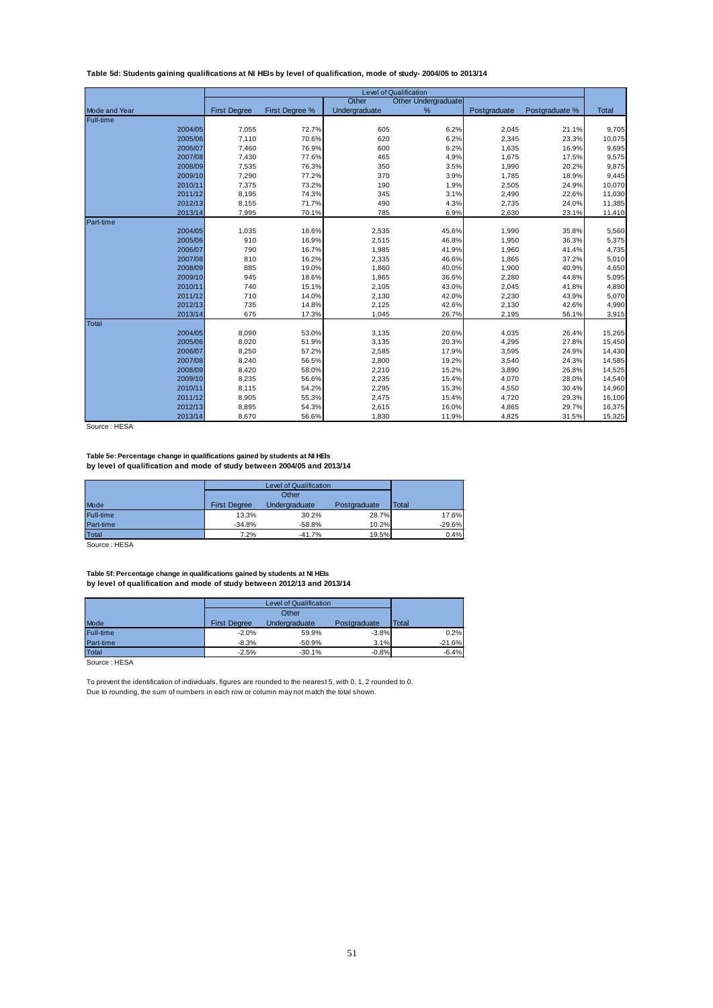#### <span id="page-50-0"></span>**Table 5d: Students gaining qualifications at NI HEIs by level of qualification, mode of study- 2004/05 to 2013/14**

|                      |                     |                |               | <b>Level of Qualification</b> |              |                |              |
|----------------------|---------------------|----------------|---------------|-------------------------------|--------------|----------------|--------------|
|                      |                     |                | Other         | <b>Other Undergraduate</b>    |              |                |              |
| <b>Mode and Year</b> | <b>First Degree</b> | First Degree % | Undergraduate | %                             | Postgraduate | Postgraduate % | <b>Total</b> |
| Full-time            |                     |                |               |                               |              |                |              |
| 2004/05              | 7,055               | 72.7%          | 605           | 6.2%                          | 2,045        | 21.1%          | 9,705        |
| 2005/06              | 7,110               | 70.6%          | 620           | 6.2%                          | 2,345        | 23.3%          | 10,075       |
| 2006/07              | 7,460               | 76.9%          | 600           | 6.2%                          | 1,635        | 16.9%          | 9,695        |
| 2007/08              | 7,430               | 77.6%          | 465           | 4.9%                          | 1,675        | 17.5%          | 9,575        |
| 2008/09              | 7,535               | 76.3%          | 350           | 3.5%                          | 1,990        | 20.2%          | 9,875        |
| 2009/10              | 7,290               | 77.2%          | 370           | 3.9%                          | 1,785        | 18.9%          | 9,445        |
| 2010/11              | 7,375               | 73.2%          | 190           | 1.9%                          | 2,505        | 24.9%          | 10,070       |
| 2011/12              | 8,195               | 74.3%          | 345           | 3.1%                          | 2,490        | 22.6%          | 11,030       |
| 2012/13              | 8,155               | 71.7%          | 490           | 4.3%                          | 2,735        | 24.0%          | 11,385       |
| 2013/14              | 7,995               | 70.1%          | 785           | 6.9%                          | 2,630        | 23.1%          | 11,410       |
| Part-time            |                     |                |               |                               |              |                |              |
| 2004/05              | 1,035               | 18.6%          | 2,535         | 45.6%                         | 1,990        | 35.8%          | 5,560        |
| 2005/06              | 910                 | 16.9%          | 2,515         | 46.8%                         | 1,950        | 36.3%          | 5,375        |
| 2006/07              | 790                 | 16.7%          | 1,985         | 41.9%                         | 1,960        | 41.4%          | 4,735        |
| 2007/08              | 810                 | 16.2%          | 2,335         | 46.6%                         | 1,865        | 37.2%          | 5,010        |
| 2008/09              | 885                 | 19.0%          | 1,860         | 40.0%                         | 1,900        | 40.9%          | 4,650        |
| 2009/10              | 945                 | 18.6%          | 1,865         | 36.6%                         | 2,280        | 44.8%          | 5,095        |
| 2010/11              | 740                 | 15.1%          | 2,105         | 43.0%                         | 2,045        | 41.8%          | 4,890        |
| 2011/12              | 710                 | 14.0%          | 2,130         | 42.0%                         | 2,230        | 43.9%          | 5,070        |
| 2012/13              | 735                 | 14.8%          | 2,125         | 42.6%                         | 2,130        | 42.6%          | 4,990        |
| 2013/14              | 675                 | 17.3%          | 1,045         | 26.7%                         | 2,195        | 56.1%          | 3,915        |
| Total                |                     |                |               |                               |              |                |              |
| 2004/05              | 8,090               | 53.0%          | 3,135         | 20.6%                         | 4,035        | 26.4%          | 15,265       |
| 2005/06              | 8,020               | 51.9%          | 3,135         | 20.3%                         | 4,295        | 27.8%          | 15,450       |
| 2006/07              | 8,250               | 57.2%          | 2,585         | 17.9%                         | 3,595        | 24.9%          | 14,430       |
| 2007/08              | 8,240               | 56.5%          | 2,800         | 19.2%                         | 3,540        | 24.3%          | 14,585       |
| 2008/09              | 8,420               | 58.0%          | 2,210         | 15.2%                         | 3,890        | 26.8%          | 14,525       |
| 2009/10              | 8,235               | 56.6%          | 2,235         | 15.4%                         | 4,070        | 28.0%          | 14,540       |
| 2010/11              | 8,115               | 54.2%          | 2,295         | 15.3%                         | 4,550        | 30.4%          | 14,960       |
| 2011/12              | 8,905               | 55.3%          | 2,475         | 15.4%                         | 4,720        | 29.3%          | 16,100       |
| 2012/13              | 8,895               | 54.3%          | 2,615         | 16.0%                         | 4,865        | 29.7%          | 16,375       |
| 2013/14              | 8,670               | 56.6%          | 1,830         | 11.9%                         | 4,825        | 31.5%          | 15,325       |

Source : HESA

**Table 5e: Percentage change in qualifications gained by students at NI HEIs by level of qualification and mode of study between 2004/05 and 2013/14**

|                  |                     | <b>Level of Qualification</b> |              |              |
|------------------|---------------------|-------------------------------|--------------|--------------|
|                  |                     | Other                         |              |              |
| Mode             | <b>First Degree</b> | Undergraduate                 | Postgraduate | <b>Total</b> |
| <b>Full-time</b> | 13.3%               | 30.2%                         | 28.7%        | 17.6%        |
| Part-time        | $-34.8%$            | $-58.8%$                      | 10.2%        | $-29.6%$     |
| <b>Total</b>     | 7.2%                | $-41.7%$                      | 19.5%        | 0.4%         |

Source : HESA

**Table 5f: Percentage change in qualifications gained by students at NI HEIs by level of qualification and mode of study between 2012/13 and 2013/14**

|                  |                     | <b>Level of Qualification</b> |              |              |
|------------------|---------------------|-------------------------------|--------------|--------------|
|                  |                     | Other                         |              |              |
| Mode             | <b>First Degree</b> | <b>Undergraduate</b>          | Postgraduate | <b>Total</b> |
| <b>Full-time</b> | $-2.0%$             | 59.9%                         | $-3.8%$      | 0.2%         |
| Part-time        | $-8.3%$             | $-50.9%$                      | 3.1%         | $-21.6%$     |
| Total            | $-2.5%$             | $-30.1%$                      | $-0.8%$      | $-6.4%$      |

Source : HESA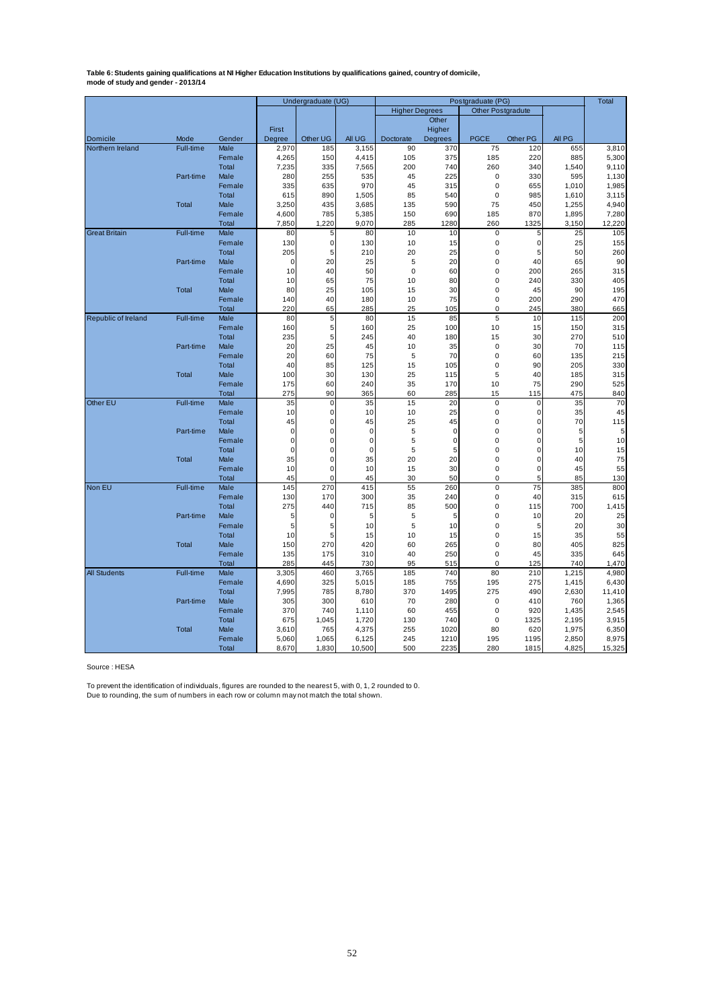<span id="page-51-0"></span>Table 6: Students gaining qualifications at NI Higher Education Institutions by qualifications gained, country of domicile,<br>mode of study and gender - 2013/14

|                      |              |                 |             | Undergraduate (UG) |             |                       |             | Postgraduate (PG)          |             |              | <b>Total</b> |
|----------------------|--------------|-----------------|-------------|--------------------|-------------|-----------------------|-------------|----------------------------|-------------|--------------|--------------|
|                      |              |                 |             |                    |             | <b>Higher Degrees</b> |             | <b>Other Postgradute</b>   |             |              |              |
|                      |              |                 |             |                    |             |                       | Other       |                            |             |              |              |
|                      |              |                 | First       |                    |             |                       | Higher      |                            |             |              |              |
| Domicile             | Mode         | Gender          | Degree      | Other UG           | All UG      | Doctorate             | Degrees     | <b>PGCE</b>                | Other PG    | AII PG       |              |
| Northern Ireland     | Full-time    | Male            | 2,970       | 185                | 3,155       | 90                    | 370         | 75                         | 120         | 655          | 3,810        |
|                      |              | Female          | 4,265       | 150                | 4,415       | 105                   | 375         | 185                        | 220         | 885          | 5,300        |
|                      |              | Total           | 7,235       | 335                | 7,565       | 200                   | 740         | 260                        | 340         | 1,540        | 9,110        |
|                      | Part-time    | Male            | 280         | 255                | 535         | 45                    | 225         | $\mathbf 0$                | 330         | 595          | 1,130        |
|                      |              | Female          | 335         | 635                | 970         | 45                    | 315         | $\mathbf 0$                | 655         | 1,010        | 1,985        |
|                      |              | Total           | 615         | 890                | 1,505       | 85                    | 540         | $\mathbf 0$                | 985         | 1,610        | 3,115        |
|                      | Total        | Male            | 3,250       | 435                | 3,685       | 135                   | 590         | 75                         | 450         | 1,255        | 4,940        |
|                      |              | Female          | 4,600       | 785                | 5,385       | 150                   | 690         | 185                        | 870         | 1,895        | 7,280        |
|                      |              | Total           | 7,850       | 1,220              | 9,070       | 285                   | 1280        | 260                        | 1325        | 3,150        | 12,220       |
| <b>Great Britain</b> | Full-time    | Male            | 80          | 5                  | 80          | 10                    | 10          | 0                          | 5           | 25           | 105          |
|                      |              | Female          | 130         | $\mathbf 0$        | 130         | 10                    | 15          | $\pmb{0}$                  | $\mathbf 0$ | 25           | 155          |
|                      |              | Total           | 205         | 5                  | 210         | 20                    | 25          | $\mathbf 0$                | 5           | 50           | 260          |
|                      | Part-time    | Male            | 0           | 20                 | 25          | 5                     | 20          | $\mathbf 0$                | 40          | 65           | 90           |
|                      |              | Female          | 10          | 40                 | 50          | $\mathbf 0$           | 60          | $\mathbf 0$                | 200         | 265          | 315          |
|                      |              | Total           | 10          | 65                 | 75          | 10                    | 80          | $\mathbf 0$                | 240         | 330          | 405          |
|                      | <b>Total</b> | Male            | 80          | 25                 | 105         | 15                    | 30          | $\mathbf 0$                | 45          | 90           | 195          |
|                      |              | Female          | 140         | 40                 | 180         | 10                    | 75          | $\Omega$                   | 200         | 290          | 470          |
|                      |              | Total           | 220         | 65                 | 285         | 25                    | 105         | $\mathbf 0$                | 245         | 380          | 665          |
| Republic of Ireland  | Full-time    | Male            | 80          | 5                  | 80          | 15                    | 85          | 5                          | 10          | 115          | 200          |
|                      |              | Female          | 160         | 5                  | 160         | 25                    | 100         | 10                         | 15          | 150          | 315          |
|                      |              | Total           | 235         | 5                  | 245         | 40                    | 180         | 15                         | 30          | 270          | 510          |
|                      | Part-time    | Male            | 20          | 25                 | 45          | 10                    | 35          | $\mathbf 0$                | 30          | 70           | 115          |
|                      |              | Female          | 20          | 60                 | 75          | 5                     | 70          | $\mathbf 0$                | 60          | 135          | 215          |
|                      |              | Total           | 40          | 85                 | 125         | 15                    | 105         | $\mathbf 0$                | 90          | 205          | 330          |
|                      | Total        | Male            | 100         | 30                 | 130         | 25                    | 115         | 5                          | 40          | 185          | 315          |
|                      |              | Female          | 175         | 60                 | 240         | 35                    | 170         | 10                         | 75          | 290          | 525          |
|                      |              | Total           | 275         | 90                 | 365         | 60                    | 285         | 15                         | 115         | 475          | 840          |
| Other EU             | Full-time    | Male            | 35          | $\mathbf 0$        | 35          | 15                    | 20          | $\pmb{0}$                  | $\mathbf 0$ | 35           | 70           |
|                      |              | Female          | 10          | $\mathbf 0$        | 10          | 10                    | 25          | $\mathbf 0$                | $\mathbf 0$ | 35           | 45           |
|                      |              | Total           | 45          | $\mathbf 0$        | 45          | 25                    | 45          | $\mathbf 0$                | $\mathbf 0$ | 70           | 115          |
|                      | Part-time    | Male            | $\mathbf 0$ | $\mathbf 0$        | $\mathbf 0$ | 5                     | 0           | 0                          | 0           | 5            | 5            |
|                      |              | Female          | $\mathbf 0$ | $\mathbf 0$        | $\mathbf 0$ | 5                     | $\mathbf 0$ | $\mathbf 0$                | 0           | 5            | 10           |
|                      |              | Total           | $\mathbf 0$ | $\mathbf 0$        | $\mathbf 0$ | 5                     | 5           | $\mathbf 0$                | 0           | 10           | 15           |
|                      | <b>Total</b> | Male            | 35          | $\mathbf 0$        | 35          | 20                    | 20          | $\mathbf 0$                | $\mathbf 0$ | 40           | 75           |
|                      |              | Female          | 10          | $\mathbf 0$        | 10          | 15                    | 30          | $\pmb{0}$                  | $\mathbf 0$ | 45           | 55           |
|                      |              | Total           | 45          | $\mathbf 0$        | 45          | 30                    | 50          | 0                          | 5           | 85           | 130          |
| Non EU               | Full-time    | Male            | 145         | 270                | 415         | 55                    | 260         | $\mathbf 0$                | 75          | 385          | 800          |
|                      |              | Female<br>Total | 130         | 170                | 300         | 35                    | 240         | $\mathbf 0$<br>$\mathbf 0$ | 40          | 315          | 615          |
|                      |              |                 | 275         | 440                | 715         | 85                    | 500         |                            | 115         | 700          | 1,415        |
|                      | Part-time    | Male            | 5<br>5      | 0<br>5             | 5<br>10     | 5<br>5                | 5<br>10     | $\mathbf 0$<br>$\mathbf 0$ | 10          | 20<br>20     | 25<br>30     |
|                      |              | Female<br>Total | 10          | 5                  | 15          | 10                    | 15          | $\mathbf 0$                | 5<br>15     | 35           | 55           |
|                      | Total        | Male            | 150         | 270                | 420         | 60                    |             | $\mathbf 0$                | 80          | 405          | 825          |
|                      |              |                 | 135         | 175                | 310         |                       | 265         | 0                          | 45          | 335          | 645          |
|                      |              | Female<br>Total | 285         | 445                | 730         | 40<br>95              | 250<br>515  | $\mathbf 0$                | 125         | 740          | 1,470        |
| <b>All Students</b>  | Full-time    | Male            | 3,305       | 460                | 3,765       | 185                   | 740         | 80                         | 210         | 1,215        | 4,980        |
|                      |              | Female          | 4,690       | 325                | 5,015       | 185                   | 755         | 195                        | 275         | 1,415        | 6,430        |
|                      |              | Total           | 7,995       | 785                | 8,780       | 370                   | 1495        | 275                        | 490         | 2,630        | 11,410       |
|                      |              | Male            | 305         | 300                | 610         |                       |             | $\mathbf 0$                | 410         |              | 1,365        |
|                      | Part-time    | Female          | 370         | 740                | 1,110       | 70<br>60              | 280<br>455  | $\mathbf 0$                | 920         | 760<br>1,435 | 2,545        |
|                      |              | Total           | 675         | 1,045              | 1,720       | 130                   | 740         | $\mathbf 0$                | 1325        | 2,195        | 3,915        |
|                      | <b>Total</b> | Male            | 3,610       | 765                | 4,375       | 255                   | 1020        | 80                         | 620         | 1,975        | 6,350        |
|                      |              | Female          | 5,060       | 1,065              | 6,125       | 245                   | 1210        | 195                        | 1195        | 2,850        | 8,975        |
|                      |              | Total           | 8,670       | 1,830              | 10,500      | 500                   | 2235        | 280                        |             | 4,825        | 15,325       |
|                      |              |                 |             |                    |             |                       |             |                            | 1815        |              |              |

Source : HESA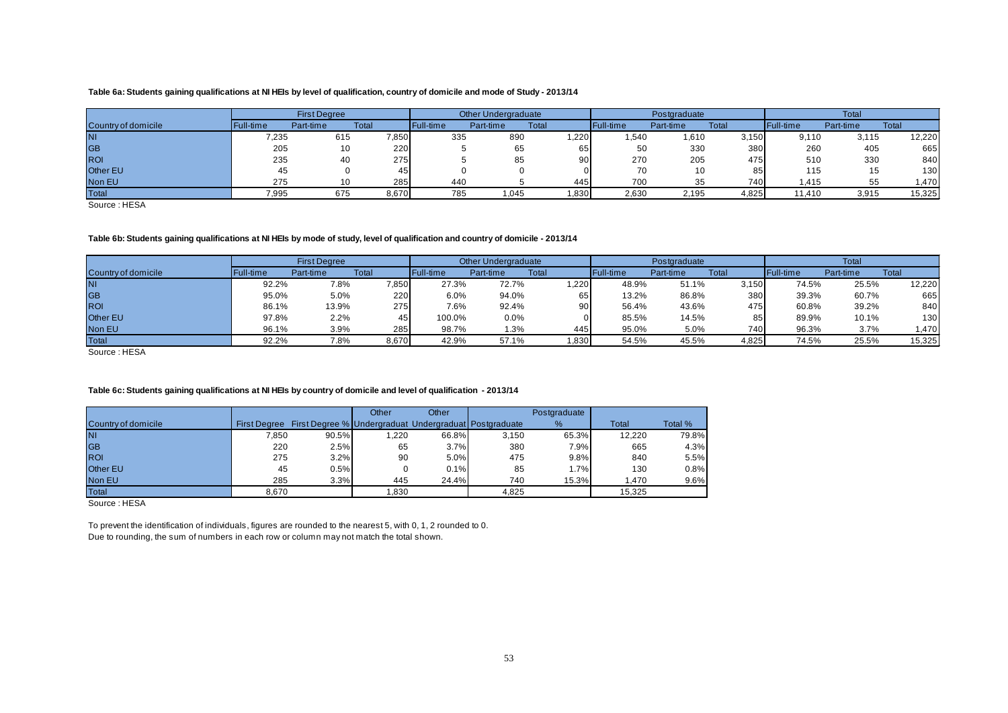#### **Table 6a: Students gaining qualifications at NI HEIs by level of qualification, country of domicile and mode of Study - 2013/14**

|                     |           | <b>First Degree</b> |       |           | Other Undergraduate |       |           | Postgraduate |       | <b>Total</b> |           |        |  |
|---------------------|-----------|---------------------|-------|-----------|---------------------|-------|-----------|--------------|-------|--------------|-----------|--------|--|
| Country of domicile | Full-time | Part-time           | Total | Full-time | Part-time           | Total | Full-time | Part-time    | Total | Full-time    | Part-time | Total  |  |
| <b>NI</b>           | 7,235     | 615                 | 7,850 | 335       | 890                 | ,220  | .540      | 1.610        | 3,150 | 9.110        | 3.115     | 12,220 |  |
| <b>GB</b>           | 205       | 10                  | 220   |           | 65                  | 65.   | 50        | 330          | 380   | 260          | 405       | 665    |  |
| <b>ROI</b>          | 235       | 40                  | 275   |           | 85                  | 90    | 270       | 205          | 475   | 510          | 330       | 840    |  |
| Other EU            |           |                     | 45    |           |                     |       | 70        | 10           | 85    | 115          | ں ا       | 1301   |  |
| Non EU              | 275       | 10                  | 285   | 440       |                     | 445   | 700       | 35           | 740   | 415. ا       |           | 1,470  |  |
| Total               | 7,995     | 675                 | 8,670 | 785       | 045. ا              | ,830  | 2,630     | 2,195        | 4,825 | 11.410       | 3,915     | 15,325 |  |

Source : HESA

#### **Table 6b: Students gaining qualifications at NI HEIs by mode of study, level of qualification and country of domicile - 2013/14**

|                     |           | <b>First Degree</b> |       |           | Other Undergraduate |       |           | Postgraduate |       | Total            |           |        |  |  |
|---------------------|-----------|---------------------|-------|-----------|---------------------|-------|-----------|--------------|-------|------------------|-----------|--------|--|--|
| Country of domicile | Full-time | Part-time           | Total | Full-time | Part-time           | Total | Full-time | Part-time    | Total | <b>Full-time</b> | Part-time | Total  |  |  |
| <b>NI</b>           | 92.2%     | 7.8%                | 7,850 | 27.3%     | 72.7%               | ,220  | 48.9%     | 51.1%        | 3,150 | 74.5%            | 25.5%     | 12,220 |  |  |
| <b>GB</b>           | 95.0%     | 5.0%                | 220   | 6.0%      | 94.0%               | 65    | 13.2%     | 86.8%        | 380   | 39.3%            | 60.7%     | 665    |  |  |
| <b>ROI</b>          | 86.1%     | 13.9%               | 275   | 7.6%      | 92.4%               | 90    | 56.4%     | 43.6%        | 475   | 60.8%            | 39.2%     | 840    |  |  |
| <b>Other EU</b>     | 97.8%     | 2.2%                | 45    | 100.0%    | 0.0%                |       | 85.5%     | 14.5%        |       | 89.9%            | 10.1%     | 130    |  |  |
| Non EU              | 96.1%     | 3.9%                | 285   | 98.7%     | 1.3%                | 445   | 95.0%     | 5.0%         | 740   | 96.3%            | 3.7%      | 1,470  |  |  |
| Total               | 92.2%     | 7.8%                | 8,670 | 42.9%     | 57.1%               | 1,830 | 54.5%     | 45.5%        | 4,825 | 74.5%            | 25.5%     | 15,325 |  |  |

Source : HESA

#### <span id="page-52-0"></span>**Table 6c: Students gaining qualifications at NI HEIs by country of domicile and level of qualification - 2013/14**

|                     |                     |                                                       | Other | Other |       | Postgraduate |        |         |
|---------------------|---------------------|-------------------------------------------------------|-------|-------|-------|--------------|--------|---------|
| Country of domicile | <b>First Degree</b> | First Degree % Undergraduat Undergraduat Postgraduate |       |       |       | $\%$         | Total  | Total % |
| <b>NI</b>           | 7.850               | 90.5%                                                 | .220  | 66.8% | 3.150 | 65.3%        | 12,220 | 79.8%   |
| <b>GB</b>           | 220                 | 2.5%                                                  | 65    | 3.7%  | 380   | 7.9%         | 665    | 4.3%    |
| <b>ROI</b>          | 275                 | 3.2%                                                  | 90    | 5.0%  | 475   | 9.8%         | 840    | 5.5%    |
| <b>Other EU</b>     | 45                  | 0.5%                                                  |       | 0.1%  | 85    | $.7\%$       | 130    | 0.8%    |
| Non EU              | 285                 | 3.3%                                                  | 445   | 24.4% | 740   | 15.3%        | 1,470  | 9.6%    |
| Total               | 8.670               |                                                       | .830  |       | 4.825 |              | 15.325 |         |

Source : HESA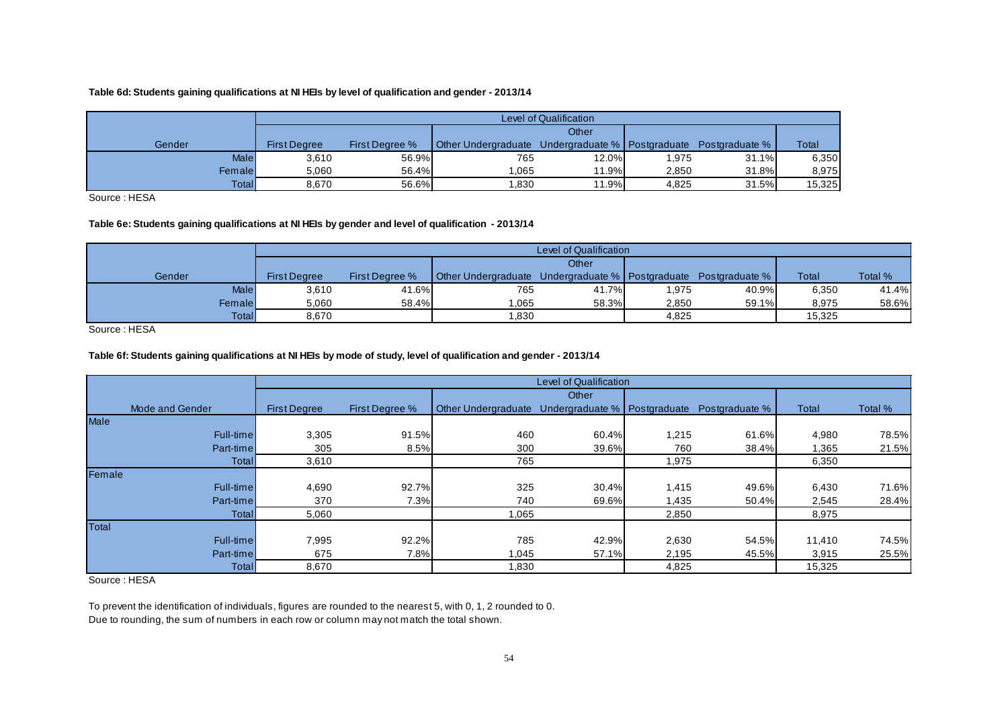#### **Table 6d: Students gaining qualifications at NI HEIs by level of qualification and gender - 2013/14**

|              |                     |                       |                            | Level of Qualification         |       |                |              |
|--------------|---------------------|-----------------------|----------------------------|--------------------------------|-------|----------------|--------------|
|              |                     |                       |                            | Other                          |       |                |              |
| Gender       | <b>First Dearee</b> | <b>First Dearee %</b> | <b>Other Undergraduate</b> | Undergraduate %   Postgraduate |       | Postgraduate % | <b>Total</b> |
| <b>Male</b>  | 3,610               | 56.9%                 | 765                        | 12.0%                          | 1,975 | 31.1%          | 6,350        |
| Femalel      | 5.060               | 56.4%                 | 1.065                      | 11.9%                          | 2.850 | 31.8%          | 8,975        |
| <b>Total</b> | 8.670               | 56.6%                 | .830                       | 11.9%                          | 4.825 | 31.5%          | 15,325       |

Source : HESA

#### **Table 6e: Students gaining qualifications at NI HEIs by gender and level of qualification - 2013/14**

|              |                     |                       |                            | Level of Qualification         |       |                |        |         |
|--------------|---------------------|-----------------------|----------------------------|--------------------------------|-------|----------------|--------|---------|
|              |                     |                       |                            | Other                          |       |                |        |         |
| Gender       | <b>First Dearee</b> | <b>First Dearee %</b> | <b>Other Undergraduate</b> | Undergraduate %   Postgraduate |       | Postgraduate % | Total  | Total % |
| <b>Male</b>  | 3,610               | 41.6%                 | 765                        | 41.7%                          | .975  | 40.9%          | 6,350  | 41.4%   |
| Femalel      | 5,060               | 58.4%                 | .065                       | 58.3%                          | 2,850 | 59.1%          | 8,975  | 58.6%   |
| <b>Total</b> | 8.670               |                       | .830                       |                                | 4.825 |                | 15.325 |         |

Source : HESA

#### **Table 6f: Students gaining qualifications at NI HEIs by mode of study, level of qualification and gender - 2013/14**

<span id="page-53-0"></span>

|                 |                     |                |                            | <b>Level of Qualification</b>  |       |                |        |         |
|-----------------|---------------------|----------------|----------------------------|--------------------------------|-------|----------------|--------|---------|
|                 |                     |                |                            | Other                          |       |                |        |         |
| Mode and Gender | <b>First Degree</b> | First Degree % | <b>Other Undergraduate</b> | Undergraduate %   Postgraduate |       | Postgraduate % | Total  | Total % |
| <b>Male</b>     |                     |                |                            |                                |       |                |        |         |
| Full-time       | 3,305               | 91.5%          | 460                        | 60.4%                          | 1,215 | 61.6%          | 4,980  | 78.5%   |
| Part-time       | 305                 | 8.5%           | 300                        | 39.6%                          | 760   | 38.4%          | 1,365  | 21.5%   |
| Total           | 3,610               |                | 765                        |                                | 1,975 |                | 6,350  |         |
| Female          |                     |                |                            |                                |       |                |        |         |
| Full-time       | 4,690               | 92.7%          | 325                        | 30.4%                          | 1,415 | 49.6%          | 6,430  | 71.6%   |
| Part-time       | 370                 | 7.3%           | 740                        | 69.6%                          | 1,435 | 50.4%          | 2,545  | 28.4%   |
| <b>Total</b>    | 5,060               |                | 1,065                      |                                | 2,850 |                | 8,975  |         |
| Total           |                     |                |                            |                                |       |                |        |         |
| Full-time       | 7,995               | 92.2%          | 785                        | 42.9%                          | 2,630 | 54.5%          | 11.410 | 74.5%   |
| Part-time       | 675                 | 7.8%           | 1,045                      | 57.1%                          | 2,195 | 45.5%          | 3,915  | 25.5%   |
| Total           | 8,670               |                | 1,830                      |                                | 4,825 |                | 15,325 |         |

Source : HESA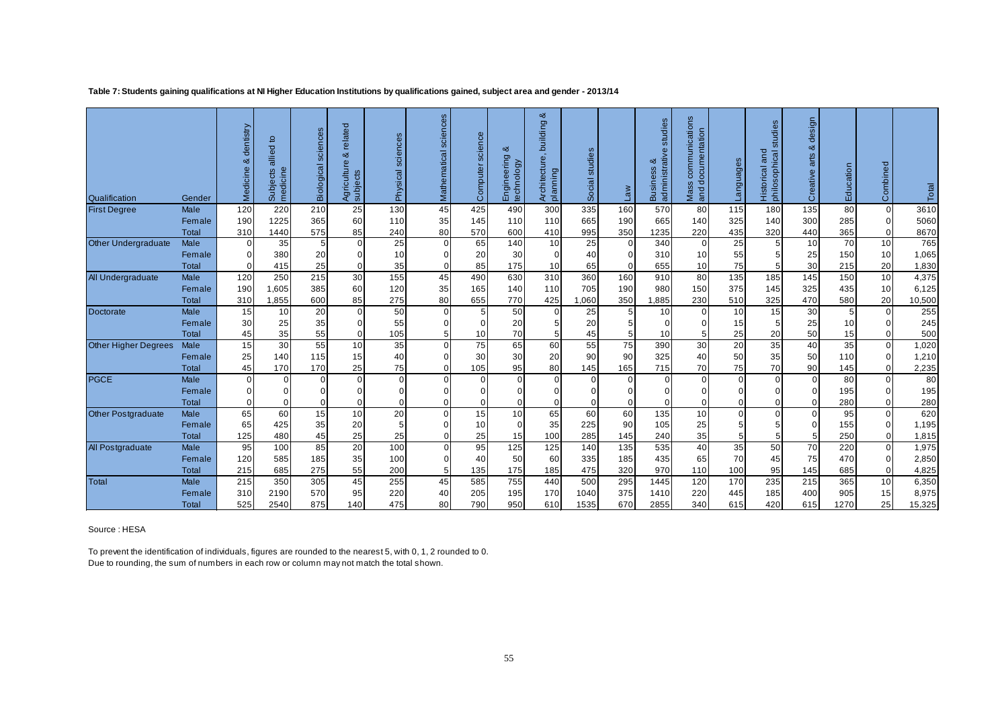#### **Table 7: Students gaining qualifications at NI Higher Education Institutions by qualifications gained, subject area and gender - 2013/14**

| Qualification               | Gender               | dentistry<br>య<br>Medicine | ٥<br>allied<br>medicine<br>Subjects | <b>Biological sciences</b> | related<br>ಹ<br>உ<br>cultu<br>Agricultu | sciences<br>Physical | sciences<br>Mathematical | science<br>Computer | య<br>Engineering<br>technology | building &<br>Architecture,<br>planning | studies<br>Social | me                   | studies<br>య<br>SS<br>$\omega$<br>Busine<br>admini | communications<br>documentation<br>Mass<br>and | age:<br>angua | studies<br>philosophical<br>and<br>Historical | design<br>ಹ<br>arts<br>Creative | Education                         | Combined                           | Total          |
|-----------------------------|----------------------|----------------------------|-------------------------------------|----------------------------|-----------------------------------------|----------------------|--------------------------|---------------------|--------------------------------|-----------------------------------------|-------------------|----------------------|----------------------------------------------------|------------------------------------------------|---------------|-----------------------------------------------|---------------------------------|-----------------------------------|------------------------------------|----------------|
| <b>First Degree</b>         | Male                 | 120                        | 220                                 | 210                        | 25                                      | 130                  | 45                       | 425                 | 490                            | 300                                     | 335               | 160                  | 570                                                | 80                                             | 115           | 180                                           | 135                             | 80                                | $\Omega$                           | 3610           |
|                             | Female               | 190                        | 1225                                | 365                        | 60                                      | 110                  | 35                       | 145                 | 110                            | 110                                     | 665               | 190                  | 665                                                | 140                                            | 325           | 140                                           | 300                             | 285                               | $\overline{0}$                     | 5060           |
|                             | <b>Total</b>         | 310<br>$\Omega$            | 1440                                | 575<br>5                   | 85<br>$\overline{0}$                    | 240                  | 80<br>$\Omega$           | 570                 | 600<br>140                     | 410<br>10                               | 995               | 350<br>$\Omega$      | 1235<br>340                                        | 220<br>$\Omega$                                | 435<br>25     | 320<br>5                                      | 440<br>10                       | 365<br>70                         | $\overline{0}$<br>10 <sup>1</sup>  | 8670<br>765    |
| Other Undergraduate         | Male                 |                            | 35                                  |                            |                                         | 25                   |                          | 65                  |                                | $\Omega$                                | 25                |                      |                                                    |                                                |               |                                               |                                 |                                   |                                    |                |
|                             | Female               | $\Omega$<br>$\Omega$       | 380<br>415                          | 20<br>25                   | $\overline{0}$<br>$\overline{0}$        | 10                   | $\Omega$<br>$\Omega$     | 20                  | 30<br>175                      |                                         | 40<br>65          | $\Omega$<br>$\Omega$ | 310<br>655                                         | 10<br>10                                       | 55<br>75      | 5<br>5                                        | 25<br>30                        | 150<br>215                        | 10 <sup>1</sup><br>20 <sub>1</sub> | 1,065<br>1,830 |
|                             | <b>Total</b><br>Male | 120                        | 250                                 | 215                        | 30                                      | 35<br>155            | 45                       | 85<br>490           | 630                            | 10<br>310                               | 360               | 160                  | 910                                                | 80                                             | 135           | 185                                           | 145                             | 150                               | 10 <sup>1</sup>                    | 4,375          |
| All Undergraduate           | Female               | 190                        | 1,605                               | 385                        | 60                                      | 120                  | 35                       | 165                 | 140                            | 110                                     | 705               | 190                  | 980                                                | 150                                            | 375           | 145                                           | 325                             | 435                               | 10 <sup>1</sup>                    | 6,125          |
|                             |                      | 310                        | 1,855                               | 600                        | 85                                      | 275                  | 80                       | 655                 | 770                            | 425                                     | .060              | 350                  | 1,885                                              | 230                                            | 510           | 325                                           | 470                             | 580                               | 20                                 |                |
|                             | Total<br>Male        | 15                         | 10                                  | 20                         |                                         | 50                   | $\overline{0}$           | 5                   | 50                             | $\Omega$                                | 25                | 5 <sup>1</sup>       | 10                                                 | $\Omega$                                       | 10            | 15                                            | 30                              |                                   | $\overline{0}$                     | 10,500<br>255  |
| Doctorate                   | Female               | 30                         | 25                                  | 35                         | $\overline{0}$<br>$\Omega$              | 55                   | $\Omega$                 |                     | 20                             |                                         | 20                |                      | 0                                                  |                                                | 15            | 5                                             | 25                              | 5 <sup>5</sup><br>10 <sup>1</sup> | $\Omega$                           | 245            |
|                             | <b>Total</b>         | 45                         | 35                                  | 55                         | $\Omega$                                | 105                  | 5                        | 10                  | 70                             |                                         | 45                |                      | 10                                                 | 5                                              | 25            | 20                                            | 50                              | 15                                | $\Omega$                           | 500            |
|                             |                      | 15                         | 30                                  |                            | 10                                      |                      | $\Omega$                 | 75                  |                                | 60                                      | 55                |                      |                                                    |                                                | 20            |                                               | 40                              | 35                                | $\Omega$                           |                |
| <b>Other Higher Degrees</b> | Male                 |                            | 140                                 | 55                         | 15                                      | 35                   | $\Omega$                 |                     | 65                             |                                         | 90                | 75<br>90             | 390<br>325                                         | 30                                             |               | 35                                            |                                 | 110                               | $\Omega$                           | 1,020<br>1,210 |
|                             | Female<br>Total      | 25<br>45                   | 170                                 | 115<br>170                 | 25                                      | 40<br>75             | $\Omega$                 | 30<br>105           | 30<br>95                       | 20<br>80                                | 145               | 165                  | 715                                                | 40<br>70                                       | 50<br>75      | 35<br>70                                      | 50<br>90                        | 145                               | $\overline{0}$                     |                |
| <b>PGCE</b>                 | Male                 | $\Omega$                   | $\Omega$                            | $\Omega$                   | $\Omega$                                | $\Omega$             | $\Omega$                 |                     | $\Omega$                       | $\Omega$                                | $\overline{0}$    | $\Omega$             | 0                                                  | $\Omega$                                       | $\Omega$      | $\Omega$                                      | $\overline{0}$                  | 80                                | $\Omega$                           | 2,235<br>80    |
|                             | Female               | $\Omega$                   |                                     | 0                          | $\overline{0}$                          |                      | $\Omega$                 |                     | $\Omega$                       |                                         | $\overline{0}$    | $\Omega$             | 0                                                  | $\Omega$                                       |               | $\Omega$                                      | $\overline{0}$                  | 195                               | $\Omega$                           | 195            |
|                             | <b>Total</b>         | $\Omega$                   | $\Omega$                            | $\Omega$                   | $\overline{0}$                          | $\Omega$             | $\Omega$                 |                     | $\mathbf 0$                    | $\Omega$                                | $\overline{0}$    | $\Omega$             | 0                                                  | $\Omega$                                       | 0             | $\Omega$                                      | $\overline{0}$                  | 280                               | $\overline{0}$                     | 280            |
| Other Postgraduate          | Male                 | 65                         | 60                                  | 15                         | 10                                      | 20                   | $\mathbf 0$              | 15                  | 10                             | 65                                      | 60                | 60                   | 135                                                | 10                                             | $\Omega$      | $\mathbf 0$                                   | $\overline{0}$                  | 95                                | $\overline{0}$                     | 620            |
|                             | Female               | 65                         | 425                                 | 35                         | 20                                      | 5                    | $\Omega$                 | 10                  | $\Omega$                       | 35                                      | 225               | 90 <sup>°</sup>      | 105                                                | 25                                             | 5             | 5                                             | $\Omega$                        | 155                               | $\Omega$                           | 1,195          |
|                             | Total                | 125                        | 480                                 | 45                         | 25                                      | 25                   | $\Omega$                 | 25                  | 15                             | 100                                     | 285               | 145                  | 240                                                | 35                                             | 5             | 5                                             | 5 <sup>1</sup>                  | 250                               | $\Omega$                           | 1,815          |
| All Postgraduate            | Male                 | 95                         | 100                                 | 85                         | 20                                      | 100                  | $\Omega$                 | 95                  | 125                            | 125                                     | 140               | 135                  | 535                                                | 40                                             | 35            | 50                                            | 70                              | 220                               | $\Omega$                           | 1,975          |
|                             | Female               | 120                        | 585                                 | 185                        | 35                                      | 100                  | $\overline{0}$           | 40                  | 50                             | 60                                      | 335               | 185                  | 435                                                | 65                                             | 70            | 45                                            | 75                              | 470                               | $\overline{0}$                     | 2,850          |
|                             | <b>Total</b>         | 215                        | 685                                 | 275                        | 55                                      | 200                  | 5                        | 135                 | 175                            | 185                                     | 475               | 320                  | 970                                                | 110                                            | 100           | 95                                            | 145                             | 685                               | $\overline{0}$                     | 4,825          |
| Total                       | Male                 | 215                        | 350                                 | 305                        | 45                                      | 255                  | 45                       | 585                 | 755                            | 440                                     | 500               | 295                  | 1445                                               | 120                                            | 170           | 235                                           | 215                             | 365                               | 10 <sup>1</sup>                    | 6,350          |
|                             | Female               | 310                        | 2190                                | 570                        | 95                                      | 220                  | 40                       | 205                 | 195                            | 170                                     | 1040              | 375                  | 1410                                               | 220                                            | 445           | 185                                           | 400                             | 905                               | 15                                 | 8,975          |
|                             | <b>Total</b>         | 525                        | 2540                                | 875                        | 140                                     | 475                  | 80                       | 790                 | 950                            | 610                                     | 1535              | 670                  | 2855                                               | 340                                            | 615           | 420                                           | 615                             | 1270                              | 25                                 | 15,325         |

<span id="page-54-0"></span>Source : HESA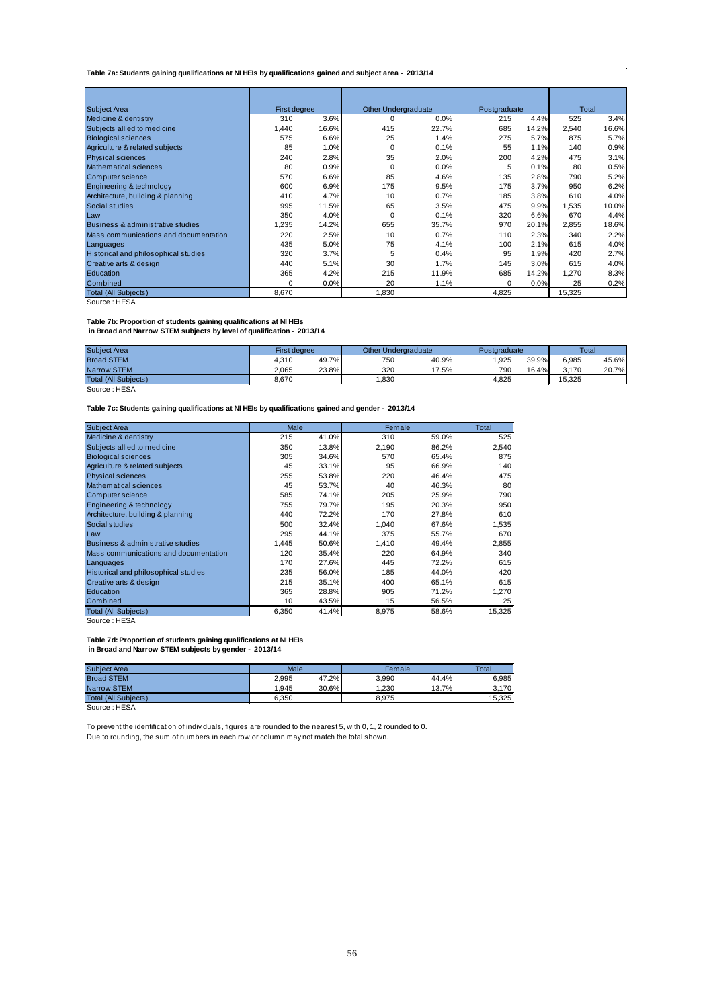#### <span id="page-55-0"></span>**Table 7a: Students gaining qualifications at NI HEIs by qualifications gained and subject area - 2013/14**

| Subiect Area                                | First degree |       | <b>Other Undergraduate</b> |       | Postgraduate |       | Total  |       |
|---------------------------------------------|--------------|-------|----------------------------|-------|--------------|-------|--------|-------|
| Medicine & dentistry                        | 310          | 3.6%  | 0                          | 0.0%  | 215          | 4.4%  | 525    | 3.4%  |
| Subjects allied to medicine                 | 1,440        | 16.6% | 415                        | 22.7% | 685          | 14.2% | 2,540  | 16.6% |
| <b>Biological sciences</b>                  | 575          | 6.6%  | 25                         | 1.4%  | 275          | 5.7%  | 875    | 5.7%  |
| Agriculture & related subjects              | 85           | 1.0%  | 0                          | 0.1%  | 55           | 1.1%  | 140    | 0.9%  |
| <b>Physical sciences</b>                    | 240          | 2.8%  | 35                         | 2.0%  | 200          | 4.2%  | 475    | 3.1%  |
| Mathematical sciences                       | 80           | 0.9%  | 0                          | 0.0%  | 5            | 0.1%  | 80     | 0.5%  |
| Computer science                            | 570          | 6.6%  | 85                         | 4.6%  | 135          | 2.8%  | 790    | 5.2%  |
| Engineering & technology                    | 600          | 6.9%  | 175                        | 9.5%  | 175          | 3.7%  | 950    | 6.2%  |
| Architecture, building & planning           | 410          | 4.7%  | 10                         | 0.7%  | 185          | 3.8%  | 610    | 4.0%  |
| Social studies                              | 995          | 11.5% | 65                         | 3.5%  | 475          | 9.9%  | 1,535  | 10.0% |
| Law                                         | 350          | 4.0%  | $\mathbf 0$                | 0.1%  | 320          | 6.6%  | 670    | 4.4%  |
| Business & administrative studies           | 1,235        | 14.2% | 655                        | 35.7% | 970          | 20.1% | 2,855  | 18.6% |
| Mass communications and documentation       | 220          | 2.5%  | 10                         | 0.7%  | 110          | 2.3%  | 340    | 2.2%  |
| Languages                                   | 435          | 5.0%  | 75                         | 4.1%  | 100          | 2.1%  | 615    | 4.0%  |
| <b>Historical and philosophical studies</b> | 320          | 3.7%  | 5                          | 0.4%  | 95           | 1.9%  | 420    | 2.7%  |
| Creative arts & design                      | 440          | 5.1%  | 30                         | 1.7%  | 145          | 3.0%  | 615    | 4.0%  |
| Education                                   | 365          | 4.2%  | 215                        | 11.9% | 685          | 14.2% | 1,270  | 8.3%  |
| Combined                                    | $\Omega$     | 0.0%  | 20                         | 1.1%  | 0            | 0.0%  | 25     | 0.2%  |
| <b>Total (All Subjects)</b>                 | 8,670        |       | 1,830                      |       | 4,825        |       | 15,325 |       |

Source : HESA

#### **Table 7b: Proportion of students gaining qualifications at NI HEIs**

 **in Broad and Narrow STEM subjects by level of qualification - 2013/14**

| <b>Subiect Area</b>         | <b>First dearee</b> |       | <b>Other Undergraduate</b> |       | Postgraduate | <b>Total</b> |        |       |
|-----------------------------|---------------------|-------|----------------------------|-------|--------------|--------------|--------|-------|
| <b>Broad STEM</b>           | 4,310               | 49.7% | 750                        | 40.9% | ,925         | 39.9%        | 6.985  | 45.6% |
| <b>Narrow STEM</b>          | 2.065               | 23.8% | 320                        | 7.5%  | 790          | 16.4%        | 3.170  | 20.7% |
| <b>Total (All Subiects)</b> | 8.670               |       | .830                       |       | 4.825        |              | 15.325 |       |

Source : HESA

**Table 7c: Students gaining qualifications at NI HEIs by qualifications gained and gender - 2013/14**

| <b>Subject Area</b>                   | Male  |       | Female |       | Total  |
|---------------------------------------|-------|-------|--------|-------|--------|
| Medicine & dentistry                  | 215   | 41.0% | 310    | 59.0% | 525    |
| Subjects allied to medicine           | 350   | 13.8% | 2,190  | 86.2% | 2,540  |
| <b>Biological sciences</b>            | 305   | 34.6% | 570    | 65.4% | 875    |
| Agriculture & related subjects        | 45    | 33.1% | 95     | 66.9% | 140    |
| <b>Physical sciences</b>              | 255   | 53.8% | 220    | 46.4% | 475    |
| Mathematical sciences                 | 45    | 53.7% | 40     | 46.3% | 80     |
| Computer science                      | 585   | 74.1% | 205    | 25.9% | 790    |
| Engineering & technology              | 755   | 79.7% | 195    | 20.3% | 950    |
| Architecture, building & planning     | 440   | 72.2% | 170    | 27.8% | 610    |
| Social studies                        | 500   | 32.4% | 1,040  | 67.6% | 1,535  |
| Law                                   | 295   | 44.1% | 375    | 55.7% | 670    |
| Business & administrative studies     | 1.445 | 50.6% | 1.410  | 49.4% | 2,855  |
| Mass communications and documentation | 120   | 35.4% | 220    | 64.9% | 340    |
| Languages                             | 170   | 27.6% | 445    | 72.2% | 615    |
| Historical and philosophical studies  | 235   | 56.0% | 185    | 44.0% | 420    |
| Creative arts & design                | 215   | 35.1% | 400    | 65.1% | 615    |
| Education                             | 365   | 28.8% | 905    | 71.2% | 1,270  |
| Combined                              | 10    | 43.5% | 15     | 56.5% | 25     |
| Total (All Subjects)                  | 6,350 | 41.4% | 8,975  | 58.6% | 15,325 |

Source : HESA

**Table 7d: Proportion of students gaining qualifications at NI HEIs**

 **in Broad and Narrow STEM subjects by gender - 2013/14**

| <b>Subject Area</b>  | Male  |       | Female |       | Total  |
|----------------------|-------|-------|--------|-------|--------|
| <b>Broad STEM</b>    | 2,995 | 47.2% | 3.990  | 44.4% | 6.985  |
| <b>Narrow STEM</b>   | 1.945 | 30.6% | 1.230  | 13.7% | 3.170  |
| Total (All Subiects) | 6.350 |       | 8.975  |       | 15.325 |
| Source: HESA         |       |       |        |       |        |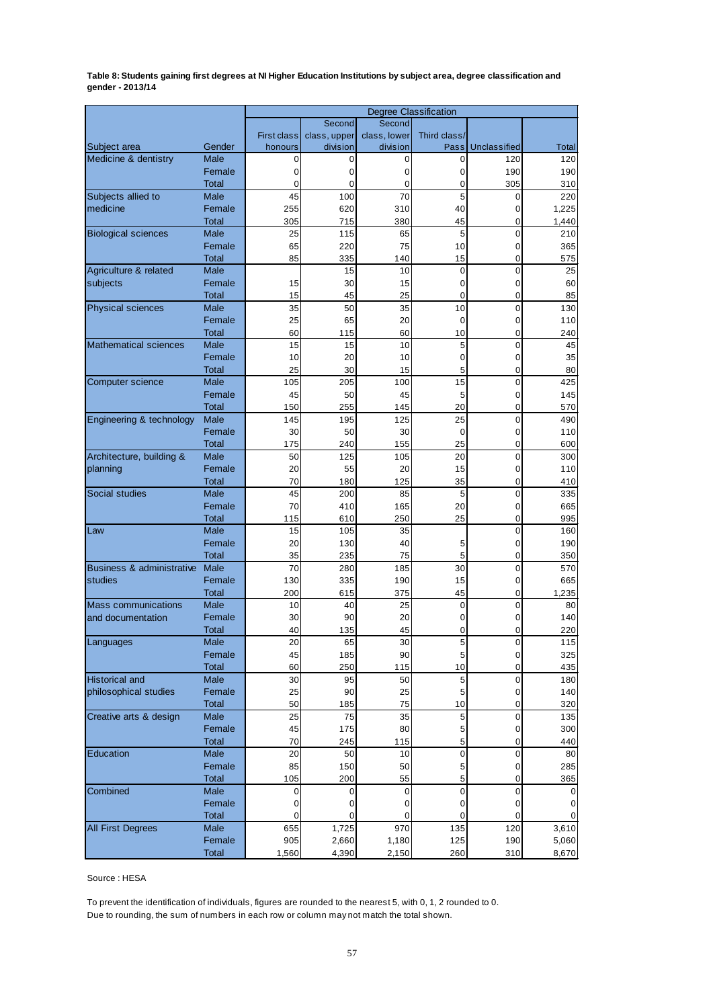<span id="page-56-0"></span>**Table 8: Students gaining first degrees at NI Higher Education Institutions by subject area, degree classification and gender - 2013/14**

|                              |                             | Degree Classification |              |              |                |              |            |  |  |  |  |
|------------------------------|-----------------------------|-----------------------|--------------|--------------|----------------|--------------|------------|--|--|--|--|
|                              |                             |                       | Second       | Second       |                |              |            |  |  |  |  |
|                              |                             | <b>First class</b>    | class, upper | class, lower | Third class/   |              |            |  |  |  |  |
| Subject area                 | Gender                      | honours               | division     | division     | Pass           | Unclassified | Total      |  |  |  |  |
| Medicine & dentistry         | Male                        | 0                     | 0            | 0            | 0              | 120          | 120        |  |  |  |  |
|                              | Female                      | 0                     | 0            | 0            | 0              | 190          | 190        |  |  |  |  |
|                              | <b>Total</b>                | 0                     | 0            | 0            | 0              | 305          | 310        |  |  |  |  |
| Subjects allied to           | Male                        | 45                    | 100          | 70           | 5              | 0            | 220        |  |  |  |  |
| medicine                     | Female                      | 255                   | 620          | 310          | 40             | 0            | 1,225      |  |  |  |  |
|                              | <b>Total</b>                | 305                   | 715          | 380          | 45             | 0            | 1,440      |  |  |  |  |
| <b>Biological sciences</b>   | <b>Male</b>                 | 25                    | 115          | 65           | 5              | 0            | 210        |  |  |  |  |
|                              | Female                      | 65                    | 220          | 75           | 10             | 0            | 365        |  |  |  |  |
|                              | <b>Total</b>                | 85                    | 335          | 140          | 15             | 0            | 575        |  |  |  |  |
| Agriculture & related        | <b>Male</b>                 |                       | 15           | 10           | 0              | 0            | 25         |  |  |  |  |
| subjects                     | Female                      | 15                    | 30           | 15           | 0              | 0            | 60         |  |  |  |  |
|                              | <b>Total</b><br><b>Male</b> | 15                    | 45<br>50     | 25           | 0              | 0            | 85         |  |  |  |  |
| <b>Physical sciences</b>     | Female                      | 35<br>25              | 65           | 35           | 10             | 0<br>0       | 130        |  |  |  |  |
|                              |                             | 60                    | 115          | 20           | 0              | 0            | 110        |  |  |  |  |
| <b>Mathematical sciences</b> | Total<br><b>Male</b>        | 15                    | 15           | 60<br>10     | 10<br>5        | 0            | 240<br>45  |  |  |  |  |
|                              | Female                      | 10                    | 20           | 10           | 0              | 0            | 35         |  |  |  |  |
|                              | <b>Total</b>                | 25                    | 30           | 15           | 5              | 0            | 80         |  |  |  |  |
| Computer science             | Male                        | 105                   | 205          | 100          | 15             | 0            | 425        |  |  |  |  |
|                              | Female                      | 45                    | 50           | 45           | 5              | 0            | 145        |  |  |  |  |
|                              | <b>Total</b>                | 150                   | 255          | 145          | 20             | 0            | 570        |  |  |  |  |
| Engineering & technology     | <b>Male</b>                 | 145                   | 195          | 125          | 25             | $\mathbf 0$  | 490        |  |  |  |  |
|                              | Female                      | 30                    | 50           | 30           | $\mathbf 0$    | 0            | 110        |  |  |  |  |
|                              | <b>Total</b>                | 175                   | 240          | 155          | 25             | 0            | 600        |  |  |  |  |
| Architecture, building &     | Male                        | 50                    | 125          | 105          | 20             | 0            | 300        |  |  |  |  |
| planning                     | Female                      | 20                    | 55           | 20           | 15             | 0            | 110        |  |  |  |  |
|                              | <b>Total</b>                | 70                    | 180          | 125          | 35             | 0            | 410        |  |  |  |  |
| <b>Social studies</b>        | <b>Male</b>                 | 45                    | 200          | 85           | 5              | 0            | 335        |  |  |  |  |
|                              | Female                      | 70                    | 410          | 165          | 20             | 0            | 665        |  |  |  |  |
|                              | <b>Total</b>                | 115                   | 610          | 250          | 25             | 0            | 995        |  |  |  |  |
| Law                          | Male                        | 15                    | 105          | 35           |                | 0            | 160        |  |  |  |  |
|                              | Female                      | 20                    | 130          | 40           | 5              | 0            | 190        |  |  |  |  |
|                              | Total                       | 35                    | 235          | 75           | 5              | 0            | 350        |  |  |  |  |
| Business & administrative    | Male                        | 70                    | 280          | 185          | 30             | 0            | 570        |  |  |  |  |
| studies                      | Female                      | 130                   | 335          | 190          | 15             | 0            | 665        |  |  |  |  |
|                              | <b>Total</b>                | 200                   | 615          | 375          | 45             | 0            | 1,235      |  |  |  |  |
| Mass communications          | Male                        | 10                    | 40           | 25           | 0              | 0            | 80         |  |  |  |  |
| and documentation            | Female                      | 30                    | 90           | 20           | 0              | 0            | 140        |  |  |  |  |
|                              | Total                       | 40                    | 135          | 45           | 0              | 0            | 220        |  |  |  |  |
| Languages                    | Male                        | 20                    | 65           | 30           | $\ddot{\circ}$ | U            | 115        |  |  |  |  |
|                              | Female                      | 45                    | 185          | 90           | $\,$ 5 $\,$    | 0            | 325        |  |  |  |  |
|                              | Total                       | 60                    | 250          | 115          | 10             | 0            | 435        |  |  |  |  |
| <b>Historical and</b>        | Male                        | 30                    | 95           | 50           | $\sqrt{5}$     | 0            | 180        |  |  |  |  |
| philosophical studies        | Female                      | 25                    | 90           | 25           | $\mathbf 5$    | 0            | 140        |  |  |  |  |
|                              | <b>Total</b>                | 50                    | 185          | 75           | 10             | 0            | 320        |  |  |  |  |
| Creative arts & design       | Male                        | 25                    | 75           | 35           | $\mathbf 5$    | 0            | 135        |  |  |  |  |
|                              | Female                      | 45                    | 175          | 80           | 5              | 0            | 300        |  |  |  |  |
|                              | Total<br>Male               | 70                    | 245          | 115          | 5              | 0            | 440        |  |  |  |  |
| Education                    |                             | 20                    | 50           | 10           | 0              | 0            | 80         |  |  |  |  |
|                              | Female                      | 85                    | 150          | 50           | 5              | 0            | 285        |  |  |  |  |
|                              | <b>Total</b>                | 105                   | 200          | 55           | 5              | 0            | 365        |  |  |  |  |
| Combined                     | Male<br>Female              | 0                     | 0            | 0            | 0              | 0            |            |  |  |  |  |
|                              |                             | 0                     | 0            | 0            | 0              | 0            | 0          |  |  |  |  |
|                              | <u>Total</u><br>Male        | 0<br>655              | 0<br>1,725   | 0<br>970     | 0<br>135       | 0<br>120     | 0<br>3,610 |  |  |  |  |
| <b>All First Degrees</b>     | Female                      | 905                   | 2,660        | 1,180        | 125            | 190          | 5,060      |  |  |  |  |
|                              | Total                       | 1,560                 | 4,390        | 2,150        | 260            | 310          | 8,670      |  |  |  |  |
|                              |                             |                       |              |              |                |              |            |  |  |  |  |

Source : HESA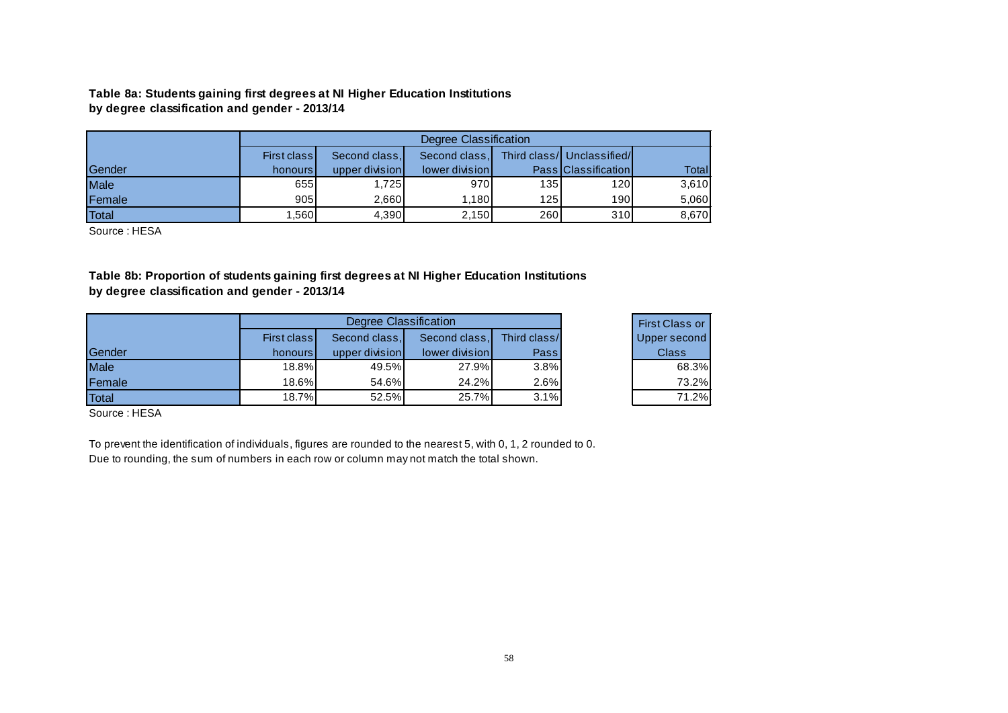**Table 8a: Students gaining first degrees at NI Higher Education Institutions by degree classification and gender - 2013/14**

|        |         |                                                                             | Degree Classification |                  |                            |        |  |  |  |  |  |
|--------|---------|-----------------------------------------------------------------------------|-----------------------|------------------|----------------------------|--------|--|--|--|--|--|
|        |         | Third class/ Unclassified/<br>Second class,<br>Second class.<br>First class |                       |                  |                            |        |  |  |  |  |  |
| Gender | honours | upper division                                                              | lower division        |                  | <b>Pass Classification</b> | Totall |  |  |  |  |  |
| Male   | 655     | 1.7251                                                                      | 970                   | 135              | 120                        | 3,610  |  |  |  |  |  |
| Female | 905     | 2.660                                                                       | 1.180                 | 125 <sub>l</sub> | 190                        | 5,060  |  |  |  |  |  |
| Total  | .560    | 4,390                                                                       | 2.150                 | 260              | 310                        | 8,670  |  |  |  |  |  |

Source : HESA

**Table 8b: Proportion of students gaining first degrees at NI Higher Education Institutions by degree classification and gender - 2013/14**

|               |             | Degree Classification |                |              | <b>First Class or</b> |
|---------------|-------------|-----------------------|----------------|--------------|-----------------------|
|               | First class | Second class,         | Second class,  | Third class/ | Upper second          |
| <b>Sender</b> | honours l   | upper division        | lower division | Passl        | <b>Class</b>          |
| Male          | 18.8%       | 49.5%                 | 27.9%          | 3.8%         | 68.3%                 |
| <b>Female</b> | 18.6%       | 54.6%                 | 24.2%          | 2.6%         | 73.2%                 |
| Total         | 18.7%       | 52.5%                 | 25.7%          | 3.1%         | 71.2%                 |

<span id="page-57-0"></span>Source : HESA

To prevent the identification of individuals, figures are rounded to the nearest 5, with 0, 1, 2 rounded to 0. Due to rounding, the sum of numbers in each row or column may not match the total shown.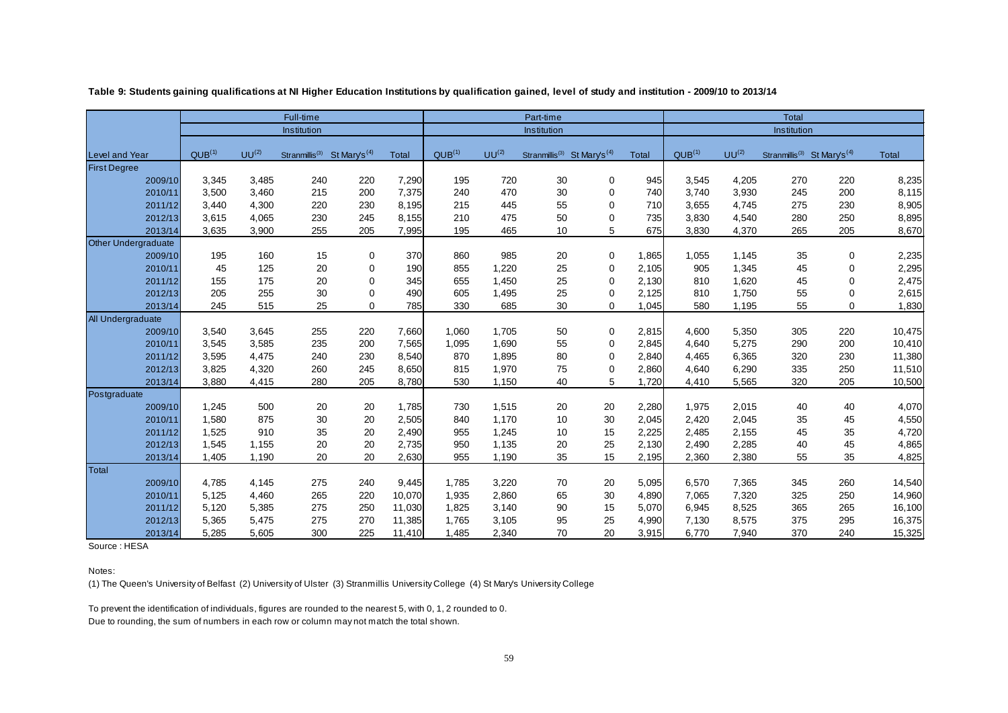|                            |                    |            | Full-time                  |                          |        | Part-time          |            |                            |                          |       | Total              |            |                                                     |             |        |
|----------------------------|--------------------|------------|----------------------------|--------------------------|--------|--------------------|------------|----------------------------|--------------------------|-------|--------------------|------------|-----------------------------------------------------|-------------|--------|
|                            |                    |            | Institution                |                          |        |                    |            | Institution                |                          |       |                    |            | Institution                                         |             |        |
| <b>Level and Year</b>      | QUB <sup>(1)</sup> | $UU^{(2)}$ | Stranmillis <sup>(3)</sup> | St Mary's <sup>(4)</sup> | Total  | QUB <sup>(1)</sup> | $UU^{(2)}$ | Stranmillis <sup>(3)</sup> | St Mary's <sup>(4)</sup> | Total | QUB <sup>(1)</sup> | $UU^{(2)}$ | Stranmillis <sup>(3)</sup> St Mary's <sup>(4)</sup> |             | Total  |
| <b>First Degree</b>        |                    |            |                            |                          |        |                    |            |                            |                          |       |                    |            |                                                     |             |        |
| 2009/10                    | 3,345              | 3,485      | 240                        | 220                      | 7,290  | 195                | 720        | 30                         | 0                        | 945   | 3,545              | 4,205      | 270                                                 | 220         | 8,235  |
| 2010/11                    | 3,500              | 3,460      | 215                        | 200                      | 7,375  | 240                | 470        | 30                         | 0                        | 740   | 3,740              | 3,930      | 245                                                 | 200         | 8,115  |
| 2011/12                    | 3,440              | 4,300      | 220                        | 230                      | 8,195  | 215                | 445        | 55                         | 0                        | 710   | 3,655              | 4,745      | 275                                                 | 230         | 8,905  |
| 2012/13                    | 3,615              | 4,065      | 230                        | 245                      | 8,155  | 210                | 475        | 50                         | 0                        | 735   | 3,830              | 4,540      | 280                                                 | 250         | 8,895  |
| 2013/14                    | 3,635              | 3,900      | 255                        | 205                      | 7,995  | 195                | 465        | 10                         | 5                        | 675   | 3,830              | 4,370      | 265                                                 | 205         | 8,670  |
| <b>Other Undergraduate</b> |                    |            |                            |                          |        |                    |            |                            |                          |       |                    |            |                                                     |             |        |
| 2009/10                    | 195                | 160        | 15                         | 0                        | 370    | 860                | 985        | 20                         | 0                        | 1,865 | 1,055              | 1.145      | 35                                                  | 0           | 2,235  |
| 2010/11                    | 45                 | 125        | 20                         | 0                        | 190    | 855                | 1,220      | 25                         | 0                        | 2,105 | 905                | 1,345      | 45                                                  | 0           | 2,295  |
| 2011/12                    | 155                | 175        | 20                         | $\Omega$                 | 345    | 655                | 1,450      | 25                         | $\mathbf 0$              | 2,130 | 810                | 1,620      | 45                                                  | 0           | 2,475  |
| 2012/13                    | 205                | 255        | 30                         | 0                        | 490    | 605                | 1,495      | 25                         | $\Omega$                 | 2,125 | 810                | 1,750      | 55                                                  | 0           | 2,615  |
| 2013/14                    | 245                | 515        | 25                         | $\Omega$                 | 785    | 330                | 685        | 30                         | $\Omega$                 | 1,045 | 580                | 1,195      | 55                                                  | $\mathbf 0$ | 1,830  |
| All Undergraduate          |                    |            |                            |                          |        |                    |            |                            |                          |       |                    |            |                                                     |             |        |
| 2009/10                    | 3,540              | 3,645      | 255                        | 220                      | 7,660  | 1,060              | 1,705      | 50                         | 0                        | 2,815 | 4,600              | 5,350      | 305                                                 | 220         | 10,475 |
| 2010/11                    | 3,545              | 3,585      | 235                        | 200                      | 7,565  | 1,095              | 1,690      | 55                         | 0                        | 2,845 | 4,640              | 5,275      | 290                                                 | 200         | 10,410 |
| 2011/12                    | 3,595              | 4,475      | 240                        | 230                      | 8,540  | 870                | 1,895      | 80                         | 0                        | 2,840 | 4,465              | 6,365      | 320                                                 | 230         | 11,380 |
| 2012/13                    | 3,825              | 4,320      | 260                        | 245                      | 8,650  | 815                | 1,970      | 75                         | $\mathbf 0$              | 2,860 | 4,640              | 6,290      | 335                                                 | 250         | 11,510 |
| 2013/14                    | 3,880              | 4,415      | 280                        | 205                      | 8,780  | 530                | 1,150      | 40                         | 5                        | 1,720 | 4,410              | 5,565      | 320                                                 | 205         | 10,500 |
| Postgraduate               |                    |            |                            |                          |        |                    |            |                            |                          |       |                    |            |                                                     |             |        |
| 2009/10                    | 1,245              | 500        | 20                         | 20                       | 1,785  | 730                | 1,515      | 20                         | 20                       | 2,280 | 1,975              | 2,015      | 40                                                  | 40          | 4,070  |
| 2010/11                    | 1,580              | 875        | 30                         | 20                       | 2,505  | 840                | 1,170      | 10                         | 30                       | 2,045 | 2,420              | 2,045      | 35                                                  | 45          | 4,550  |
| 2011/12                    | 1,525              | 910        | 35                         | 20                       | 2,490  | 955                | 1,245      | 10                         | 15                       | 2,225 | 2,485              | 2,155      | 45                                                  | 35          | 4,720  |
| 2012/13                    | 1,545              | 1,155      | 20                         | 20                       | 2,735  | 950                | 1,135      | 20                         | 25                       | 2,130 | 2,490              | 2,285      | 40                                                  | 45          | 4,865  |
| 2013/14                    | 1,405              | 1,190      | 20                         | 20                       | 2,630  | 955                | 1,190      | 35                         | 15                       | 2,195 | 2,360              | 2,380      | 55                                                  | 35          | 4,825  |
| Total                      |                    |            |                            |                          |        |                    |            |                            |                          |       |                    |            |                                                     |             |        |
| 2009/10                    | 4,785              | 4,145      | 275                        | 240                      | 9,445  | 1,785              | 3,220      | 70                         | 20                       | 5,095 | 6,570              | 7,365      | 345                                                 | 260         | 14,540 |
| 2010/11                    | 5,125              | 4,460      | 265                        | 220                      | 10,070 | 1,935              | 2,860      | 65                         | 30                       | 4,890 | 7,065              | 7,320      | 325                                                 | 250         | 14,960 |
| 2011/12                    | 5,120              | 5,385      | 275                        | 250                      | 11,030 | 1,825              | 3,140      | 90                         | 15                       | 5,070 | 6,945              | 8,525      | 365                                                 | 265         | 16,100 |
| 2012/13                    | 5,365              | 5,475      | 275                        | 270                      | 11,385 | 1,765              | 3,105      | 95                         | 25                       | 4,990 | 7,130              | 8,575      | 375                                                 | 295         | 16,375 |
| 2013/14                    | 5,285              | 5,605      | 300                        | 225                      | 11,410 | 1,485              | 2,340      | 70                         | 20                       | 3,915 | 6,770              | 7,940      | 370                                                 | 240         | 15,325 |

**Table 9: Students gaining qualifications at NI Higher Education Institutions by qualification gained, level of study and institution - 2009/10 to 2013/14**

<span id="page-58-0"></span>Source : HESA

Notes:

(1) The Queen's University of Belfast (2) University of Ulster (3) Stranmillis University College (4) St Mary's University College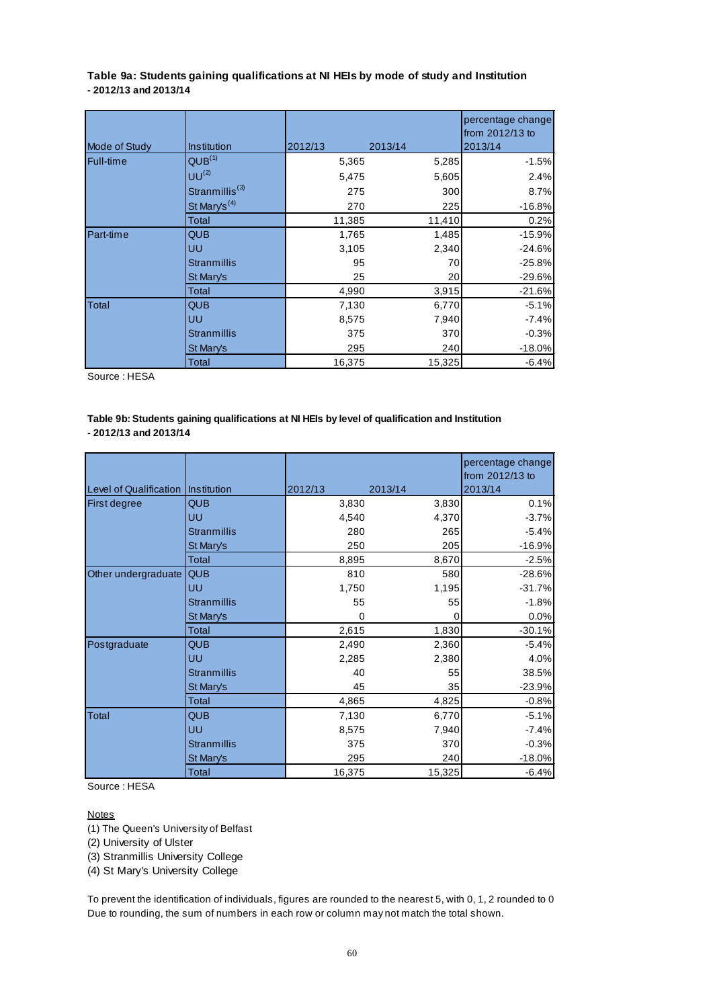<span id="page-59-0"></span>**Table 9a: Students gaining qualifications at NI HEIs by mode of study and Institution - 2012/13 and 2013/14**

|                  |                            |         |         | percentage change<br>from 2012/13 to |
|------------------|----------------------------|---------|---------|--------------------------------------|
| Mode of Study    | Institution                | 2012/13 | 2013/14 | 2013/14                              |
| Full-time        | QUB <sup>(1)</sup>         | 5,365   | 5,285   | $-1.5%$                              |
|                  | $UU^{(2)}$                 | 5,475   | 5,605   | 2.4%                                 |
|                  | Stranmillis <sup>(3)</sup> | 275     | 300     | 8.7%                                 |
|                  | St Mary's <sup>(4)</sup>   | 270     | 225     | $-16.8%$                             |
|                  | Total                      | 11,385  | 11,410  | 0.2%                                 |
| <b>Part-time</b> | <b>QUB</b>                 | 1,765   | 1,485   | $-15.9%$                             |
|                  | UU                         | 3,105   | 2,340   | $-24.6%$                             |
|                  | <b>Stranmillis</b>         | 95      | 70      | $-25.8%$                             |
|                  | St Mary's                  | 25      | 20      | $-29.6%$                             |
|                  | Total                      | 4,990   | 3,915   | $-21.6%$                             |
| Total            | <b>QUB</b>                 | 7,130   | 6,770   | $-5.1%$                              |
|                  | UU                         | 8,575   | 7,940   | $-7.4%$                              |
|                  | <b>Stranmillis</b>         | 375     | 370     | $-0.3%$                              |
|                  | St Mary's                  | 295     | 240     | $-18.0%$                             |
|                  | Total                      | 16,375  | 15,325  | $-6.4%$                              |

Source : HESA

#### **Table 9b: Students gaining qualifications at NI HEIs by level of qualification and Institution - 2012/13 and 2013/14**

| Level of Qualification Institution |                    | 2012/13 | 2013/14 | percentage change<br>from 2012/13 to<br>2013/14 |
|------------------------------------|--------------------|---------|---------|-------------------------------------------------|
| First degree                       | <b>QUB</b>         | 3,830   | 3,830   | 0.1%                                            |
|                                    | UU                 | 4,540   | 4,370   | $-3.7%$                                         |
|                                    | <b>Stranmillis</b> | 280     | 265     | $-5.4%$                                         |
|                                    | St Mary's          | 250     | 205     | $-16.9%$                                        |
|                                    | Total              | 8,895   | 8,670   | $-2.5%$                                         |
| Other undergraduate                | <b>QUB</b>         | 810     | 580     | $-28.6%$                                        |
|                                    | UU                 | 1,750   | 1,195   | $-31.7%$                                        |
|                                    | <b>Stranmillis</b> | 55      | 55      | $-1.8%$                                         |
|                                    | St Mary's          | 0       | O       | 0.0%                                            |
|                                    | Total              | 2,615   | 1,830   | $-30.1%$                                        |
| Postgraduate                       | <b>QUB</b>         | 2,490   | 2,360   | $-5.4%$                                         |
|                                    | UU                 | 2,285   | 2,380   | 4.0%                                            |
|                                    | <b>Stranmillis</b> | 40      | 55      | 38.5%                                           |
|                                    | St Mary's          | 45      | 35      | $-23.9%$                                        |
|                                    | Total              | 4,865   | 4,825   | $-0.8%$                                         |
| Total                              | <b>QUB</b>         | 7,130   | 6,770   | $-5.1%$                                         |
|                                    | UU                 | 8,575   | 7,940   | $-7.4%$                                         |
|                                    | <b>Stranmillis</b> | 375     | 370     | $-0.3%$                                         |
|                                    | <b>St Mary's</b>   | 295     | 240     | $-18.0%$                                        |
|                                    | Total              | 16,375  | 15,325  | $-6.4%$                                         |

Source : HESA

#### **Notes**

(1) The Queen's University of Belfast

(2) University of Ulster

(3) Stranmillis University College

(4) St Mary's University College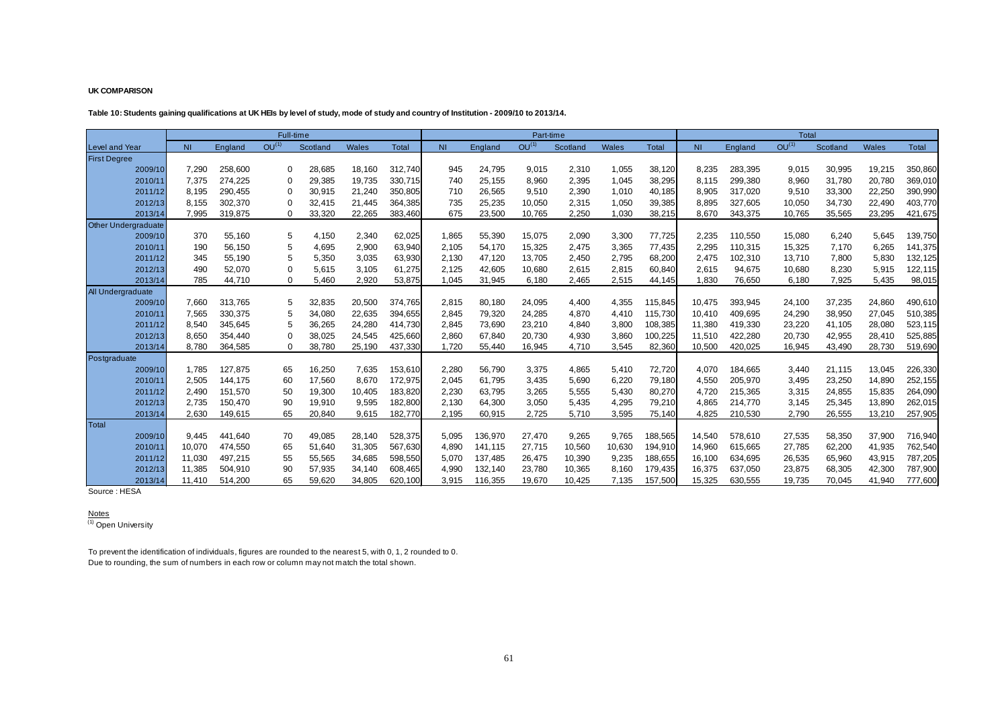#### **UK COMPARISON**

#### **Table 10: Students gaining qualifications at UK HEIs by level of study, mode of study and country of Institution - 2009/10 to 2013/14.**

|                            |                |         |                   | Full-time |              |         |           |         | Part-time         |          |        |              |                |         | <b>Total</b>      |          |              |         |
|----------------------------|----------------|---------|-------------------|-----------|--------------|---------|-----------|---------|-------------------|----------|--------|--------------|----------------|---------|-------------------|----------|--------------|---------|
| <b>Level and Year</b>      | N <sub>1</sub> | England | OU <sup>(1)</sup> | Scotland  | <b>Wales</b> | Total   | <b>NI</b> | England | OU <sup>(1)</sup> | Scotland | Wales  | <b>Total</b> | N <sub>1</sub> | England | OU <sup>(1)</sup> | Scotland | <b>Wales</b> | Total   |
| <b>First Degree</b>        |                |         |                   |           |              |         |           |         |                   |          |        |              |                |         |                   |          |              |         |
| 2009/10                    | 7,290          | 258,600 |                   | 28,685    | 18,160       | 312,740 | 945       | 24,795  | 9,015             | 2,310    | 1,055  | 38,120       | 8,235          | 283,395 | 9,015             | 30,995   | 19,215       | 350,860 |
| 2010/11                    | 7,375          | 274,225 |                   | 29,385    | 19,735       | 330,715 | 740       | 25,155  | 8,960             | 2,395    | 1,045  | 38,295       | 8.115          | 299,380 | 8,960             | 31,780   | 20,780       | 369,010 |
| 2011/12                    | 8,195          | 290,455 |                   | 30,915    | 21,240       | 350,805 | 710       | 26,565  | 9,510             | 2,390    | 1,010  | 40,185       | 8,905          | 317,020 | 9,510             | 33,300   | 22,250       | 390,990 |
| 2012/13                    | 8,155          | 302,370 |                   | 32,415    | 21,445       | 364,385 | 735       | 25,235  | 10,050            | 2,315    | 1,050  | 39,385       | 8,895          | 327,605 | 10,050            | 34,730   | 22,490       | 403,770 |
| 2013/14                    | 7,995          | 319,875 |                   | 33,320    | 22,265       | 383,460 | 675       | 23,500  | 10,765            | 2,250    | 1,030  | 38,215       | 8,670          | 343,375 | 10,765            | 35,565   | 23,295       | 421,675 |
| <b>Other Undergraduate</b> |                |         |                   |           |              |         |           |         |                   |          |        |              |                |         |                   |          |              |         |
| 2009/10                    | 370            | 55,160  | 5                 | 4,150     | 2,340        | 62,025  | 1,865     | 55,390  | 15,075            | 2,090    | 3,300  | 77,725       | 2,235          | 110.550 | 15,080            | 6,240    | 5,645        | 139,750 |
| 2010/11                    | 190            | 56,150  | 5                 | 4,695     | 2,900        | 63,940  | 2,105     | 54,170  | 15,325            | 2,475    | 3,365  | 77,435       | 2,295          | 110,315 | 15,325            | 7,170    | 6,265        | 141,375 |
| 2011/12                    | 345            | 55,190  |                   | 5,350     | 3,035        | 63,930  | 2,130     | 47,120  | 13,705            | 2,450    | 2,795  | 68,200       | 2,475          | 102,310 | 13,710            | 7,800    | 5,830        | 132,125 |
| 2012/13                    | 490            | 52,070  |                   | 5,615     | 3,105        | 61,275  | 2,125     | 42,605  | 10,680            | 2,615    | 2,815  | 60,840       | 2,615          | 94,675  | 10,680            | 8,230    | 5,915        | 122,115 |
| 2013/14                    | 785            | 44,710  |                   | 5,460     | 2,920        | 53,875  | 1,045     | 31,945  | 6,180             | 2,465    | 2,515  | 44,145       | 1,830          | 76,650  | 6,180             | 7,925    | 5,435        | 98,015  |
| All Undergraduate          |                |         |                   |           |              |         |           |         |                   |          |        |              |                |         |                   |          |              |         |
| 2009/10                    | 7,660          | 313,765 | 5                 | 32,835    | 20,500       | 374,765 | 2,815     | 80,180  | 24,095            | 4,400    | 4,355  | 115,845      | 10,475         | 393.945 | 24,100            | 37,235   | 24,860       | 490,610 |
| 2010/11                    | 7,565          | 330,375 |                   | 34,080    | 22,635       | 394,655 | 2,845     | 79,320  | 24,285            | 4,870    | 4,410  | 115,730      | 10,410         | 409,695 | 24,290            | 38,950   | 27,045       | 510,385 |
| 2011/12                    | 8,540          | 345,645 |                   | 36,265    | 24,280       | 414,730 | 2,845     | 73,690  | 23,210            | 4,840    | 3,800  | 108,385      | 11,380         | 419,330 | 23,220            | 41,105   | 28,080       | 523,115 |
| 2012/13                    | 8,650          | 354,440 |                   | 38,025    | 24,545       | 425,660 | 2,860     | 67,840  | 20,730            | 4,930    | 3,860  | 100,225      | 11,510         | 422,280 | 20,730            | 42,955   | 28,410       | 525,885 |
| 2013/14                    | 8,780          | 364,585 |                   | 38,780    | 25,190       | 437,330 | 1,720     | 55,440  | 16,945            | 4,710    | 3,545  | 82,360       | 10,500         | 420,025 | 16,945            | 43,490   | 28,730       | 519,690 |
| Postgraduate               |                |         |                   |           |              |         |           |         |                   |          |        |              |                |         |                   |          |              |         |
| 2009/10                    | 1,785          | 127,875 | 65                | 16,250    | 7,635        | 153,610 | 2,280     | 56,790  | 3,375             | 4,865    | 5,410  | 72,720       | 4,070          | 184,665 | 3,440             | 21,115   | 13,045       | 226,330 |
| 2010/11                    | 2,505          | 144.175 | 60                | 17,560    | 8,670        | 172,975 | 2,045     | 61,795  | 3,435             | 5,690    | 6,220  | 79,180       | 4,550          | 205,970 | 3,495             | 23,250   | 14,890       | 252,155 |
| 2011/12                    | 2,490          | 151,570 | 50                | 19,300    | 10,405       | 183,820 | 2,230     | 63,795  | 3,265             | 5,555    | 5,430  | 80,270       | 4,720          | 215,365 | 3,315             | 24,855   | 15,835       | 264,090 |
| 2012/13                    | 2,735          | 150,470 | 90                | 19,910    | 9,595        | 182,800 | 2,130     | 64,300  | 3,050             | 5,435    | 4,295  | 79,210       | 4,865          | 214,770 | 3,145             | 25,345   | 13,890       | 262,015 |
| 2013/14                    | 2,630          | 149,615 | 65                | 20,840    | 9,615        | 182,770 | 2,195     | 60,915  | 2,725             | 5,710    | 3,595  | 75,140       | 4,825          | 210,530 | 2,790             | 26,555   | 13,210       | 257,905 |
| Total                      |                |         |                   |           |              |         |           |         |                   |          |        |              |                |         |                   |          |              |         |
| 2009/10                    | 9,445          | 441,640 | 70                | 49,085    | 28,140       | 528,375 | 5,095     | 136,970 | 27,470            | 9,265    | 9,765  | 188,565      | 14,540         | 578,610 | 27,535            | 58,350   | 37,900       | 716,940 |
| 2010/11                    | 10,070         | 474,550 | 65                | 51,640    | 31,305       | 567,630 | 4,890     | 141,115 | 27,715            | 10,560   | 10,630 | 194,910      | 14,960         | 615,665 | 27,785            | 62,200   | 41,935       | 762,540 |
| 2011/12                    | 11,030         | 497,215 | 55<br>90          | 55,565    | 34,685       | 598,550 | 5,070     | 137,485 | 26,475            | 10,390   | 9,235  | 188,655      | 16,100         | 634,695 | 26,535            | 65,960   | 43,915       | 787,205 |
| 2012/13                    | 11,385         | 504,910 |                   | 57,935    | 34,140       | 608,465 | 4,990     | 132,140 | 23,780            | 10,365   | 8,160  | 179,435      | 16,375         | 637,050 | 23,875            | 68,305   | 42,300       | 787,900 |
| 2013/14                    | 11.410         | 514,200 | 65                | 59,620    | 34,805       | 620.100 | 3,915     | 116,355 | 19,670            | 10,425   | 7.135  | 157,500      | 15,325         | 630,555 | 19,735            | 70,045   | 41,940       | 777,600 |

<span id="page-60-0"></span>Source : HESA

<u>Notes</u><br><sup>(1)</sup> Open University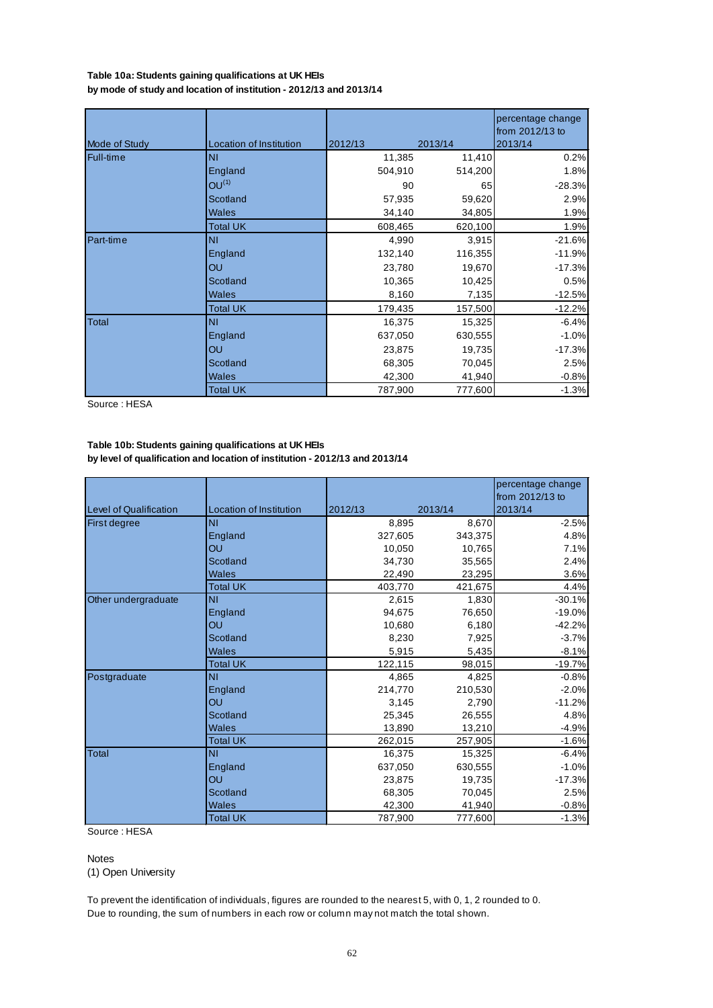#### <span id="page-61-0"></span>**by mode of study and location of institution - 2012/13 and 2013/14 Table 10a: Students gaining qualifications at UK HEIs**

| Mode of Study | Location of Institution | 2012/13 | 2013/14 | percentage change<br>from 2012/13 to<br>2013/14 |
|---------------|-------------------------|---------|---------|-------------------------------------------------|
| Full-time     | <b>NI</b>               | 11,385  | 11,410  | 0.2%                                            |
|               | England                 | 504,910 | 514,200 | 1.8%                                            |
|               | $OU^{(1)}$              |         |         |                                                 |
|               |                         | 90      | 65      | $-28.3%$                                        |
|               | Scotland                | 57,935  | 59,620  | 2.9%                                            |
|               | <b>Wales</b>            | 34,140  | 34,805  | 1.9%                                            |
|               | <b>Total UK</b>         | 608,465 | 620,100 | 1.9%                                            |
| Part-time     | <b>NI</b>               | 4,990   | 3,915   | $-21.6%$                                        |
|               | England                 | 132,140 | 116,355 | $-11.9%$                                        |
|               | OU                      | 23,780  | 19,670  | $-17.3%$                                        |
|               | Scotland                | 10,365  | 10,425  | 0.5%                                            |
|               | Wales                   | 8,160   | 7,135   | $-12.5%$                                        |
|               | Total UK                | 179,435 | 157,500 | $-12.2%$                                        |
| <b>Total</b>  | <b>NI</b>               | 16,375  | 15,325  | $-6.4%$                                         |
|               | England                 | 637,050 | 630,555 | $-1.0%$                                         |
|               | OU                      | 23,875  | 19,735  | $-17.3%$                                        |
|               | Scotland                | 68,305  | 70,045  | 2.5%                                            |
|               | Wales                   | 42,300  | 41,940  | $-0.8%$                                         |
|               | <b>Total UK</b>         | 787,900 | 777,600 | $-1.3%$                                         |

Source : HESA

#### **Table 10b: Students gaining qualifications at UK HEIs by level of qualification and location of institution - 2012/13 and 2013/14**

|                               |                         |         |         | percentage change<br>from 2012/13 to |
|-------------------------------|-------------------------|---------|---------|--------------------------------------|
| <b>Level of Qualification</b> | Location of Institution | 2012/13 | 2013/14 | 2013/14                              |
| <b>First degree</b>           | <b>NI</b>               | 8,895   | 8,670   | $-2.5%$                              |
|                               | England                 | 327,605 | 343,375 | 4.8%                                 |
|                               | OU                      | 10,050  | 10,765  | 7.1%                                 |
|                               | Scotland                | 34,730  | 35,565  | 2.4%                                 |
|                               | Wales                   | 22,490  | 23,295  | 3.6%                                 |
|                               | <b>Total UK</b>         | 403.770 | 421,675 | 4.4%                                 |
| Other undergraduate           | <b>NI</b>               | 2,615   | 1,830   | $-30.1%$                             |
|                               | England                 | 94,675  | 76,650  | $-19.0%$                             |
|                               | OU                      | 10.680  | 6,180   | $-42.2%$                             |
|                               | Scotland                | 8,230   | 7,925   | $-3.7%$                              |
|                               | <b>Wales</b>            | 5,915   | 5,435   | $-8.1%$                              |
|                               | <b>Total UK</b>         | 122,115 | 98,015  | $-19.7%$                             |
| Postgraduate                  | <b>NI</b>               | 4,865   | 4,825   | $-0.8%$                              |
|                               | England                 | 214,770 | 210,530 | $-2.0%$                              |
|                               | OU                      | 3,145   | 2,790   | $-11.2%$                             |
|                               | Scotland                | 25,345  | 26,555  | 4.8%                                 |
|                               | <b>Wales</b>            | 13,890  | 13,210  | $-4.9%$                              |
|                               | <b>Total UK</b>         | 262,015 | 257,905 | $-1.6%$                              |
| Total                         | <b>NI</b>               | 16,375  | 15,325  | $-6.4%$                              |
|                               | England                 | 637,050 | 630,555 | $-1.0%$                              |
|                               | OU                      | 23,875  | 19,735  | $-17.3%$                             |
|                               | Scotland                | 68,305  | 70,045  | 2.5%                                 |
|                               | Wales                   | 42,300  | 41,940  | $-0.8%$                              |
|                               | <b>Total UK</b>         | 787,900 | 777,600 | $-1.3%$                              |

Source : HESA

Notes

(1) Open University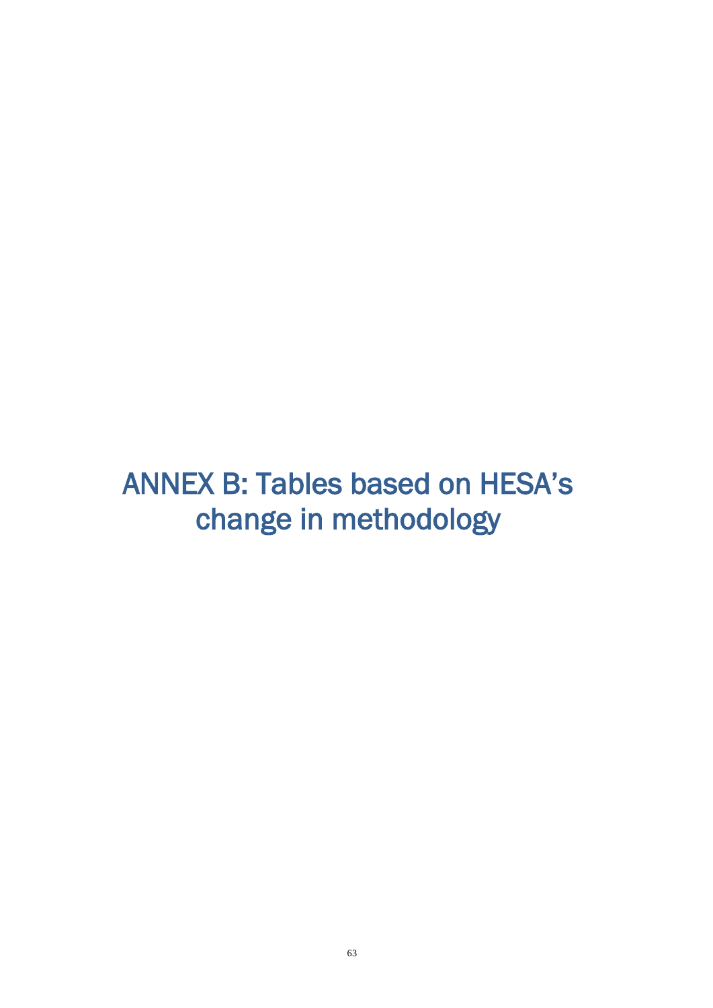# <span id="page-62-0"></span>ANNEX B: Tables based on HESA's change in methodology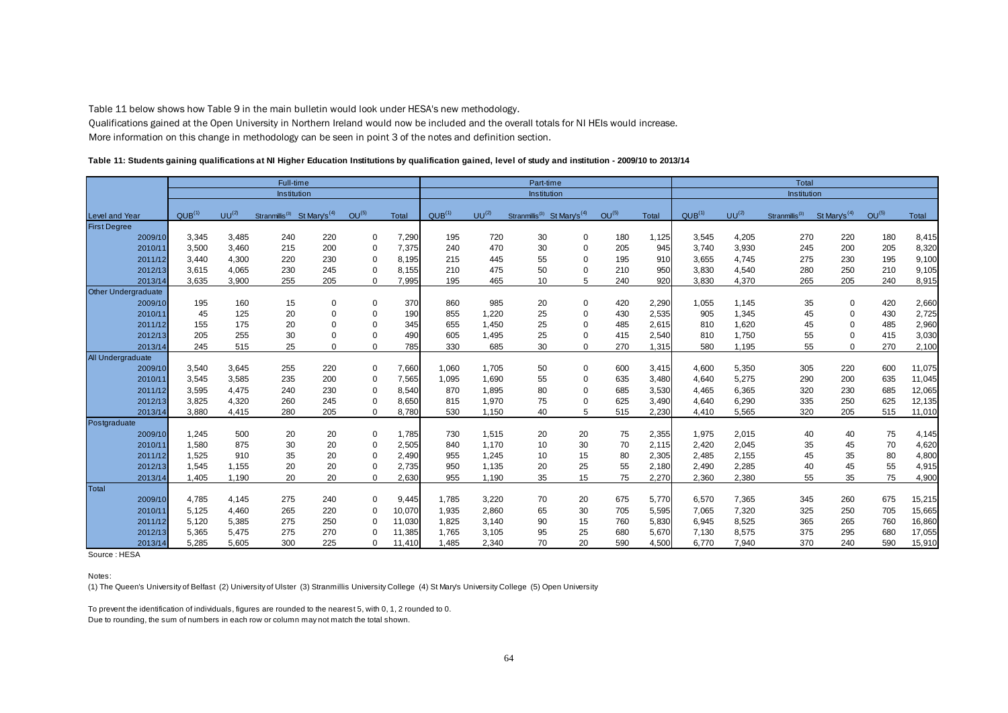Table 11 below shows how Table 9 in the main bulletin would look under HESA's new methodology.

Qualifications gained at the Open University in Northern Ireland would now be included and the overall totals for NI HEIs would increase. More information on this change in methodology can be seen in point 3 of the notes and definition section.

#### **Table 11: Students gaining qualifications at NI Higher Education Institutions by qualification gained, level of study and institution - 2009/10 to 2013/14**

|                       | Full-time          |            |                                                     | Part-time   |                      |              |                    | <b>Total</b> |                                                     |             |            |              |                    |            |                            |                          |            |        |
|-----------------------|--------------------|------------|-----------------------------------------------------|-------------|----------------------|--------------|--------------------|--------------|-----------------------------------------------------|-------------|------------|--------------|--------------------|------------|----------------------------|--------------------------|------------|--------|
|                       | Institution        |            |                                                     | Institution |                      |              |                    | Institution  |                                                     |             |            |              |                    |            |                            |                          |            |        |
| <b>Level and Year</b> | QUB <sup>(1)</sup> | $UU^{(2)}$ | Stranmillis <sup>(3)</sup> St Mary's <sup>(4)</sup> |             | OU <sup>(5)</sup>    | <b>Total</b> | QUB <sup>(1)</sup> | $UU^{(2)}$   | Stranmillis <sup>(3)</sup> St Mary's <sup>(4)</sup> |             | $OU^{(5)}$ | <b>Total</b> | QUB <sup>(1)</sup> | $UU^{(2)}$ | Stranmillis <sup>(3)</sup> | St Mary's <sup>(4)</sup> | $OU^{(5)}$ | Total  |
| <b>First Degree</b>   |                    |            |                                                     |             |                      |              |                    |              |                                                     |             |            |              |                    |            |                            |                          |            |        |
| 2009/10               | 3,345              | 3,485      | 240                                                 | 220         | 0                    | 7,290        | 195                | 720          | 30                                                  | 0           | 180        | 1,125        | 3,545              | 4,205      | 270                        | 220                      | 180        | 8,415  |
| 2010/11               | 3,500              | 3,460      | 215                                                 | 200         | 0                    | 7,375        | 240                | 470          | 30                                                  | $\Omega$    | 205        | 945          | 3,740              | 3,930      | 245                        | 200                      | 205        | 8,320  |
| 2011/12               | 3,440              | 4,300      | 220                                                 | 230         | $\Omega$             | 8,195        | 215                | 445          | 55                                                  | $\Omega$    | 195        | 910          | 3,655              | 4,745      | 275                        | 230                      | 195        | 9,100  |
| 2012/13               | 3,615              | 4,065      | 230                                                 | 245         | $\Omega$             | 8,155        | 210                | 475          | 50                                                  | $\Omega$    | 210        | 950          | 3,830              | 4,540      | 280                        | 250                      | 210        | 9,105  |
| 2013/14               | 3,635              | 3,900      | 255                                                 | 205         | $\Omega$             | 7,995        | 195                | 465          | 10                                                  | 5           | 240        | 920          | 3,830              | 4,370      | 265                        | 205                      | 240        | 8,915  |
| Other Undergraduate   |                    |            |                                                     |             |                      |              |                    |              |                                                     |             |            |              |                    |            |                            |                          |            |        |
| 2009/10               | 195                | 160        | 15                                                  | 0           | 0                    | 370          | 860                | 985          | 20                                                  | $\mathbf 0$ | 420        | 2,290        | 1,055              | 1,145      | 35                         | 0                        | 420        | 2,660  |
| 2010/11               | 45                 | 125        | 20                                                  | $\Omega$    | 0                    | 190          | 855                | 1,220        | 25                                                  | $\mathbf 0$ | 430        | 2,535        | 905                | 1,345      | 45                         | 0                        | 430        | 2,725  |
| 2011/12               | 155                | 175        | 20                                                  | $\Omega$    | $\Omega$             | 345          | 655                | 1,450        | 25                                                  | 0           | 485        | 2,615        | 810                | 1,620      | 45                         | 0                        | 485        | 2,960  |
| 2012/13               | 205                | 255        | 30                                                  |             | $\Omega$             | 490          | 605                | 1,495        | 25                                                  | $\Omega$    | 415        | 2,540        | 810                | 1,750      | 55                         | 0                        | 415        | 3,030  |
| 2013/14               | 245                | 515        | 25                                                  | 0           | $\Omega$             | 785          | 330                | 685          | 30                                                  | $\mathbf 0$ | 270        | 1,315        | 580                | 1,195      | 55                         | 0                        | 270        | 2,100  |
| All Undergraduate     |                    |            |                                                     |             |                      |              |                    |              |                                                     |             |            |              |                    |            |                            |                          |            |        |
| 2009/10               | 3,540              | 3,645      | 255                                                 | 220         | 0                    | 7,660        | 1,060              | 1,705        | 50                                                  | 0           | 600        | 3,415        | 4,600              | 5,350      | 305                        | 220                      | 600        | 11,075 |
| 2010/11               | 3,545              | 3,585      | 235                                                 | 200         | $\Omega$             | 7,565        | 1,095              | 1,690        | 55                                                  | $\Omega$    | 635        | 3,480        | 4,640              | 5,275      | 290                        | 200                      | 635        | 11,045 |
| 2011/12               | 3,595              | 4,475      | 240                                                 | 230         | $\mathbf 0$          | 8,540        | 870                | 1.895        | 80                                                  | $\mathbf 0$ | 685        | 3,530        | 4,465              | 6,365      | 320                        | 230                      | 685        | 12,065 |
| 2012/13               | 3,825              | 4,320      | 260                                                 | 245         | $\Omega$             | 8,650        | 815                | 1,970        | 75                                                  | $\Omega$    | 625        | 3,490        | 4,640              | 6,290      | 335                        | 250                      | 625        | 12,135 |
| 2013/14               | 3,880              | 4,415      | 280                                                 | 205         | $\Omega$             | 8,780        | 530                | 1,150        | 40                                                  | 5           | 515        | 2,230        | 4,410              | 5,565      | 320                        | 205                      | 515        | 11,010 |
| Postgraduate          |                    |            |                                                     |             |                      |              |                    |              |                                                     |             |            |              |                    |            |                            |                          |            |        |
| 2009/10               | 1,245              | 500        | 20                                                  | 20          | 0                    | 1,785        | 730                | 1,515        | 20                                                  | 20          | 75         | 2,355        | 1,975              | 2,015      | 40                         | 40                       | 75         | 4,145  |
| 2010/11               | 1,580              | 875        | 30                                                  | 20          | $\mathbf 0$          | 2,505        | 840                | 1,170        | 10                                                  | 30          | 70         | 2,115        | 2,420              | 2,045      | 35                         | 45                       | 70         | 4,620  |
| 2011/12               | 1,525              | 910        | 35                                                  | 20          | 0                    | 2,490        | 955                | 1,245        | 10                                                  | 15          | 80         | 2,305        | 2,485              | 2,155      | 45                         | 35                       | 80         | 4,800  |
| 2012/13               | 1,545              | 1,155      | 20                                                  | 20          | $\Omega$             | 2,735        | 950                | 1,135        | 20                                                  | 25          | 55         | 2,180        | 2,490              | 2,285      | 40                         | 45                       | 55         | 4,915  |
| 2013/14               | 1.405              | 1.190      | 20                                                  | 20          | $\Omega$             | 2,630        | 955                | 1.190        | 35                                                  | 15          | 75         | 2,270        | 2,360              | 2,380      | 55                         | 35                       | 75         | 4,900  |
| Total                 |                    |            |                                                     |             |                      |              |                    |              |                                                     |             |            |              |                    |            |                            |                          |            |        |
| 2009/10               | 4,785              | 4,145      | 275                                                 | 240         | 0                    | 9,445        | 1,785              | 3,220        | 70                                                  | 20          | 675        | 5,770        | 6,570              | 7,365      | 345                        | 260                      | 675        | 15,215 |
| 2010/11               | 5,125              | 4,460      | 265                                                 | 220         | $\Omega$<br>$\Omega$ | 10,070       | 1,935              | 2,860        | 65                                                  | 30          | 705        | 5,595        | 7,065              | 7,320      | 325                        | 250                      | 705        | 15,665 |
| 2011/12               | 5,120              | 5,385      | 275                                                 | 250         |                      | 11,030       | 1,825              | 3,140        | 90                                                  | 15          | 760        | 5,830        | 6,945              | 8,525      | 365                        | 265                      | 760        | 16,860 |
| 2012/13               | 5,365              | 5,475      | 275                                                 | 270         | $\Omega$             | 11,385       | 1,765              | 3,105        | 95                                                  | 25          | 680        | 5,670        | 7,130              | 8,575      | 375                        | 295                      | 680        | 17,055 |
| 2013/14               | 5,285              | 5,605      | 300                                                 | 225         | 0                    | 11,410       | 1.485              | 2,340        | 70                                                  | 20          | 590        | 4,500        | 6,770              | 7,940      | 370                        | 240                      | 590        | 15,910 |

Source : HESA

#### Notes:

(1) The Queen's University of Belfast (2) University of Ulster (3) Stranmillis University College (4) St Mary's University College (5) Open University